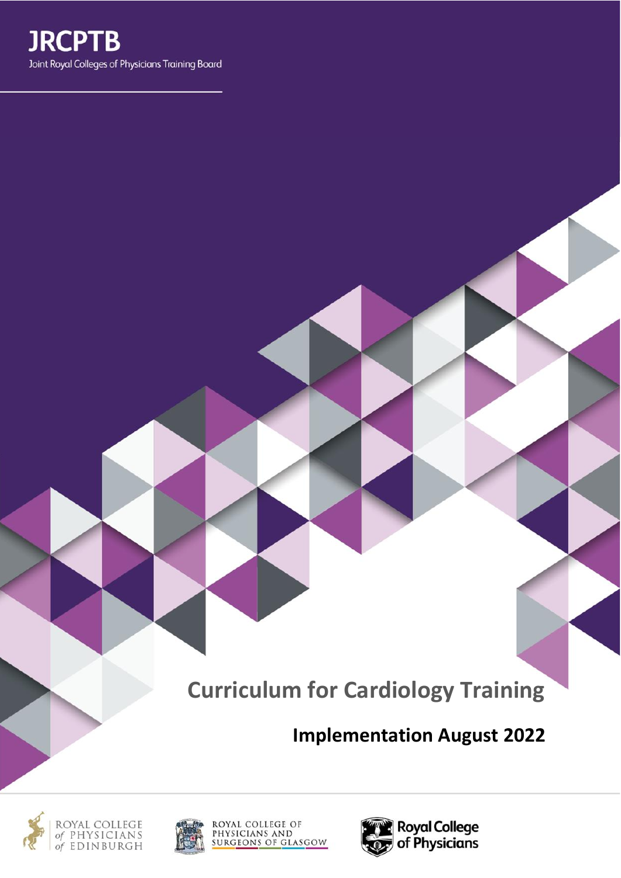

**Curriculum for Cardiology Training**

**Implementation August 2022**





ROYAL COLLEGE OF<br>PHYSICIANS AND<br>SURG<u>EONS OF GLASGOW</u>

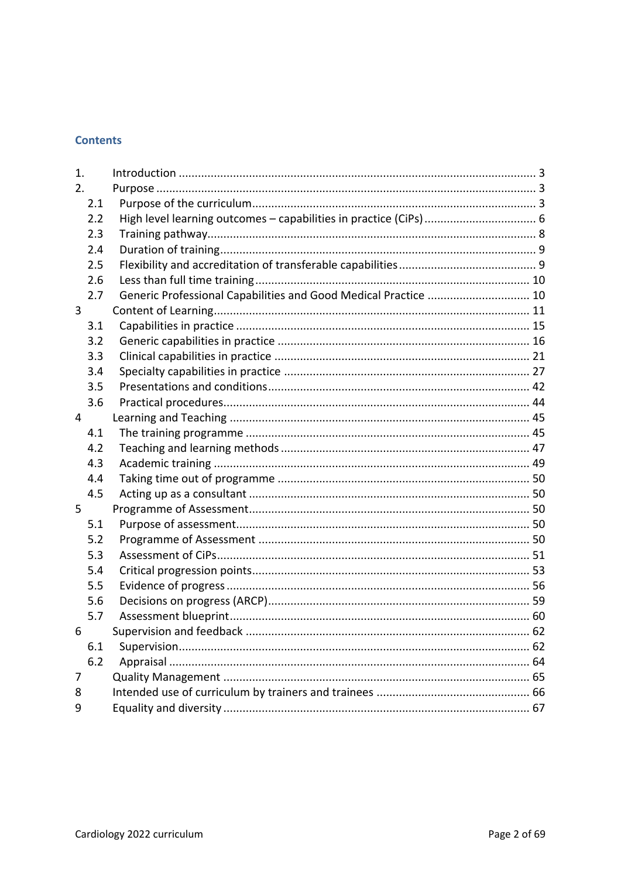# **Contents**

| 1. |     |                                                                   |  |
|----|-----|-------------------------------------------------------------------|--|
| 2. |     |                                                                   |  |
|    | 2.1 |                                                                   |  |
|    | 2.2 | High level learning outcomes - capabilities in practice (CiPs)  6 |  |
|    | 2.3 |                                                                   |  |
|    | 2.4 |                                                                   |  |
|    | 2.5 |                                                                   |  |
|    | 2.6 |                                                                   |  |
|    | 2.7 | Generic Professional Capabilities and Good Medical Practice  10   |  |
| 3  |     |                                                                   |  |
|    | 3.1 |                                                                   |  |
|    | 3.2 |                                                                   |  |
|    | 3.3 |                                                                   |  |
|    | 3.4 |                                                                   |  |
|    | 3.5 |                                                                   |  |
|    | 3.6 |                                                                   |  |
| 4  |     |                                                                   |  |
|    | 4.1 |                                                                   |  |
|    | 4.2 |                                                                   |  |
|    | 4.3 |                                                                   |  |
|    | 4.4 |                                                                   |  |
|    | 4.5 |                                                                   |  |
| 5  |     |                                                                   |  |
|    | 5.1 |                                                                   |  |
|    | 5.2 |                                                                   |  |
|    | 5.3 |                                                                   |  |
|    | 5.4 |                                                                   |  |
|    | 5.5 |                                                                   |  |
|    | 5.6 |                                                                   |  |
|    | 5.7 |                                                                   |  |
| 6  |     | Supervision and feedback                                          |  |
|    | 6.1 |                                                                   |  |
|    | 6.2 |                                                                   |  |
| 7  |     |                                                                   |  |
| 8  |     |                                                                   |  |
| 9  |     |                                                                   |  |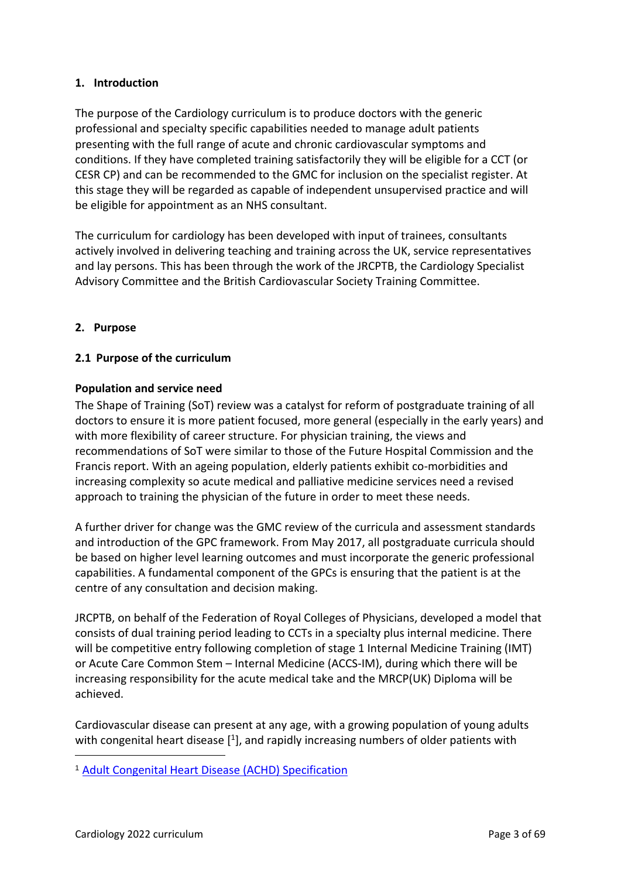### <span id="page-2-0"></span>**1. Introduction**

The purpose of the Cardiology curriculum is to produce doctors with the generic professional and specialty specific capabilities needed to manage adult patients presenting with the full range of acute and chronic cardiovascular symptoms and conditions. If they have completed training satisfactorily they will be eligible for a CCT (or CESR CP) and can be recommended to the GMC for inclusion on the specialist register. At this stage they will be regarded as capable of independent unsupervised practice and will be eligible for appointment as an NHS consultant.

The curriculum for cardiology has been developed with input of trainees, consultants actively involved in delivering teaching and training across the UK, service representatives and lay persons. This has been through the work of the JRCPTB, the Cardiology Specialist Advisory Committee and the British Cardiovascular Society Training Committee.

### <span id="page-2-1"></span>**2. Purpose**

### <span id="page-2-2"></span>**2.1 Purpose of the curriculum**

### **Population and service need**

The Shape of Training (SoT) review was a catalyst for reform of postgraduate training of all doctors to ensure it is more patient focused, more general (especially in the early years) and with more flexibility of career structure. For physician training, the views and recommendations of SoT were similar to those of the Future Hospital Commission and the Francis report. With an ageing population, elderly patients exhibit co-morbidities and increasing complexity so acute medical and palliative medicine services need a revised approach to training the physician of the future in order to meet these needs.

A further driver for change was the GMC review of the curricula and assessment standards and introduction of the GPC framework. From May 2017, all postgraduate curricula should be based on higher level learning outcomes and must incorporate the generic professional capabilities. A fundamental component of the GPCs is ensuring that the patient is at the centre of any consultation and decision making.

JRCPTB, on behalf of the Federation of Royal Colleges of Physicians, developed a model that consists of dual training period leading to CCTs in a specialty plus internal medicine. There will be competitive entry following completion of stage 1 Internal Medicine Training (IMT) or Acute Care Common Stem – Internal Medicine (ACCS-IM), during which there will be increasing responsibility for the acute medical take and the MRCP(UK) Diploma will be achieved.

Cardiovascular disease can present at any age, with a growing population of young adults with congenital heart disease  $[1]$ , and rapidly increasing numbers of older patients with

<sup>1</sup> [Adult Congenital Heart Disease \(ACHD\) Specification](https://www.england.nhs.uk/commissioning/wp-%20content/uploads/sites/12/2016/03/achd-spec-2016.pdf)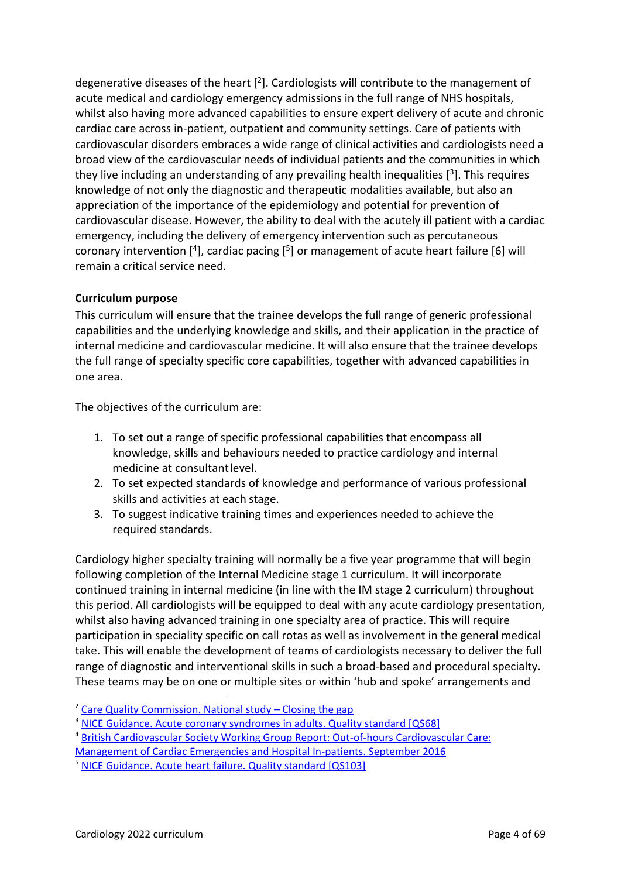degenerative diseases of the heart  $[2]$ . Cardiologists will contribute to the management of acute medical and cardiology emergency admissions in the full range of NHS hospitals, whilst also having more advanced capabilities to ensure expert delivery of acute and chronic cardiac care across in-patient, outpatient and community settings. Care of patients with cardiovascular disorders embraces a wide range of clinical activities and cardiologists need a broad view of the cardiovascular needs of individual patients and the communities in which they live including an understanding of any prevailing health inequalities  $[3]$ . This requires knowledge of not only the diagnostic and therapeutic modalities available, but also an appreciation of the importance of the epidemiology and potential for prevention of cardiovascular disease. However, the ability to deal with the acutely ill patient with a cardiac emergency, including the delivery of emergency intervention such as percutaneous coronary intervention  $[4]$ , cardiac pacing  $[5]$  or management of acute heart failure  $[6]$  will remain a critical service need.

### **Curriculum purpose**

This curriculum will ensure that the trainee develops the full range of generic professional capabilities and the underlying knowledge and skills, and their application in the practice of internal medicine and cardiovascular medicine. It will also ensure that the trainee develops the full range of specialty specific core capabilities, together with advanced capabilities in one area.

The objectives of the curriculum are:

- 1. To set out a range of specific professional capabilities that encompass all knowledge, skills and behaviours needed to practice cardiology and internal medicine at consultantlevel.
- 2. To set expected standards of knowledge and performance of various professional skills and activities at each stage.
- 3. To suggest indicative training times and experiences needed to achieve the required standards.

Cardiology higher specialty training will normally be a five year programme that will begin following completion of the Internal Medicine stage 1 curriculum. It will incorporate continued training in internal medicine (in line with the IM stage 2 curriculum) throughout this period. All cardiologists will be equipped to deal with any acute cardiology presentation, whilst also having advanced training in one specialty area of practice. This will require participation in speciality specific on call rotas as well as involvement in the general medical take. This will enable the development of teams of cardiologists necessary to deliver the full range of diagnostic and interventional skills in such a broad-based and procedural specialty. These teams may be on one or multiple sites or within 'hub and spoke' arrangements and

<sup>&</sup>lt;sup>2</sup> [Care Quality Commission. National study](http://webarchive.nationalarchives.gov.uk/20100810052827/http:/www.cqc.org.uk/_db/_documents/Clo%20sing_the_gap.pdf) – Closing the gap

<sup>&</sup>lt;sup>3</sup> [NICE Guidance. Acute coronary syndromes in adults. Quality standard \[QS68\]](https://www.nice.org.uk/guidance/qs68/chapter/quality-statement-6-primary-pci-for-acute-stemi)

<sup>4</sup> [British Cardiovascular Society Working Group Report: Out-of-hours Cardiovascular Care:](http://www.bcs.com/documents/BCSOOHWP_Final_Report_05092016.pdf) 

[Management of Cardiac Emergencies and Hospital In-patients. September 2016](http://www.bcs.com/documents/BCSOOHWP_Final_Report_05092016.pdf)

<sup>&</sup>lt;sup>5</sup> [NICE Guidance. Acute heart failure. Quality standard \[QS103\]](https://www.nice.org.uk/guidance/qs103)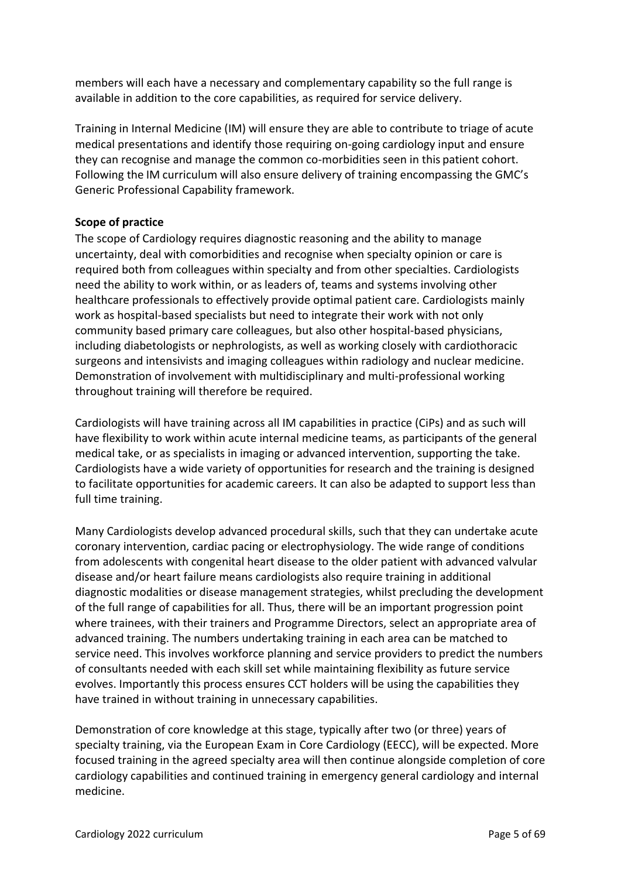members will each have a necessary and complementary capability so the full range is available in addition to the core capabilities, as required for service delivery.

Training in Internal Medicine (IM) will ensure they are able to contribute to triage of acute medical presentations and identify those requiring on-going cardiology input and ensure they can recognise and manage the common co-morbidities seen in this patient cohort. Following the IM curriculum will also ensure delivery of training encompassing the GMC's Generic Professional Capability framework.

### **Scope of practice**

The scope of Cardiology requires diagnostic reasoning and the ability to manage uncertainty, deal with comorbidities and recognise when specialty opinion or care is required both from colleagues within specialty and from other specialties. Cardiologists need the ability to work within, or as leaders of, teams and systems involving other healthcare professionals to effectively provide optimal patient care. Cardiologists mainly work as hospital-based specialists but need to integrate their work with not only community based primary care colleagues, but also other hospital-based physicians, including diabetologists or nephrologists, as well as working closely with cardiothoracic surgeons and intensivists and imaging colleagues within radiology and nuclear medicine. Demonstration of involvement with multidisciplinary and multi-professional working throughout training will therefore be required.

Cardiologists will have training across all IM capabilities in practice (CiPs) and as such will have flexibility to work within acute internal medicine teams, as participants of the general medical take, or as specialists in imaging or advanced intervention, supporting the take. Cardiologists have a wide variety of opportunities for research and the training is designed to facilitate opportunities for academic careers. It can also be adapted to support less than full time training.

Many Cardiologists develop advanced procedural skills, such that they can undertake acute coronary intervention, cardiac pacing or electrophysiology. The wide range of conditions from adolescents with congenital heart disease to the older patient with advanced valvular disease and/or heart failure means cardiologists also require training in additional diagnostic modalities or disease management strategies, whilst precluding the development of the full range of capabilities for all. Thus, there will be an important progression point where trainees, with their trainers and Programme Directors, select an appropriate area of advanced training. The numbers undertaking training in each area can be matched to service need. This involves workforce planning and service providers to predict the numbers of consultants needed with each skill set while maintaining flexibility as future service evolves. Importantly this process ensures CCT holders will be using the capabilities they have trained in without training in unnecessary capabilities.

Demonstration of core knowledge at this stage, typically after two (or three) years of specialty training, via the European Exam in Core Cardiology (EECC), will be expected. More focused training in the agreed specialty area will then continue alongside completion of core cardiology capabilities and continued training in emergency general cardiology and internal medicine.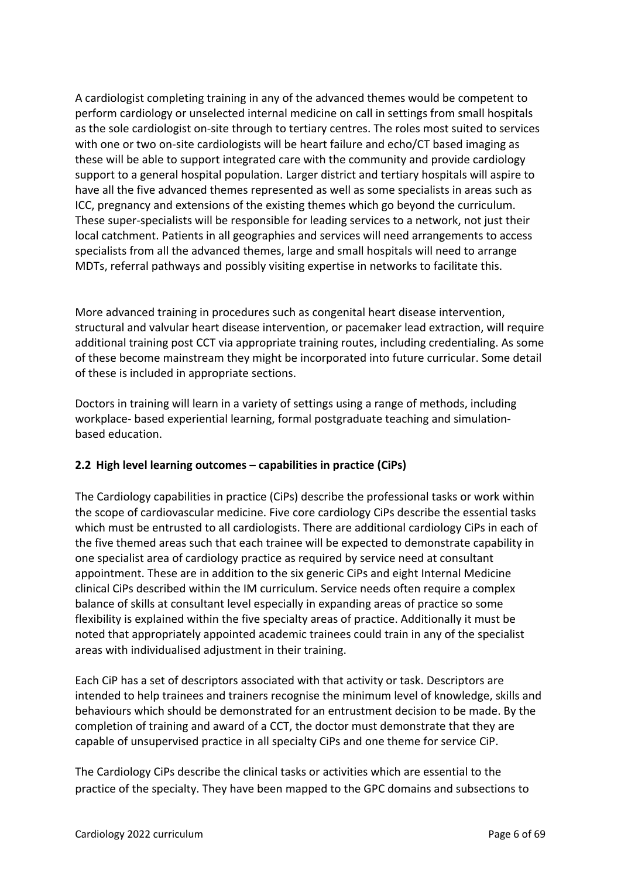A cardiologist completing training in any of the advanced themes would be competent to perform cardiology or unselected internal medicine on call in settings from small hospitals as the sole cardiologist on-site through to tertiary centres. The roles most suited to services with one or two on-site cardiologists will be heart failure and echo/CT based imaging as these will be able to support integrated care with the community and provide cardiology support to a general hospital population. Larger district and tertiary hospitals will aspire to have all the five advanced themes represented as well as some specialists in areas such as ICC, pregnancy and extensions of the existing themes which go beyond the curriculum. These super-specialists will be responsible for leading services to a network, not just their local catchment. Patients in all geographies and services will need arrangements to access specialists from all the advanced themes, large and small hospitals will need to arrange MDTs, referral pathways and possibly visiting expertise in networks to facilitate this.

More advanced training in procedures such as congenital heart disease intervention, structural and valvular heart disease intervention, or pacemaker lead extraction, will require additional training post CCT via appropriate training routes, including credentialing. As some of these become mainstream they might be incorporated into future curricular. Some detail of these is included in appropriate sections.

Doctors in training will learn in a variety of settings using a range of methods, including workplace- based experiential learning, formal postgraduate teaching and simulationbased education.

### <span id="page-5-0"></span>**2.2 High level learning outcomes – capabilities in practice (CiPs)**

The Cardiology capabilities in practice (CiPs) describe the professional tasks or work within the scope of cardiovascular medicine. Five core cardiology CiPs describe the essential tasks which must be entrusted to all cardiologists. There are additional cardiology CiPs in each of the five themed areas such that each trainee will be expected to demonstrate capability in one specialist area of cardiology practice as required by service need at consultant appointment. These are in addition to the six generic CiPs and eight Internal Medicine clinical CiPs described within the IM curriculum. Service needs often require a complex balance of skills at consultant level especially in expanding areas of practice so some flexibility is explained within the five specialty areas of practice. Additionally it must be noted that appropriately appointed academic trainees could train in any of the specialist areas with individualised adjustment in their training.

Each CiP has a set of descriptors associated with that activity or task. Descriptors are intended to help trainees and trainers recognise the minimum level of knowledge, skills and behaviours which should be demonstrated for an entrustment decision to be made. By the completion of training and award of a CCT, the doctor must demonstrate that they are capable of unsupervised practice in all specialty CiPs and one theme for service CiP.

The Cardiology CiPs describe the clinical tasks or activities which are essential to the practice of the specialty. They have been mapped to the GPC domains and subsections to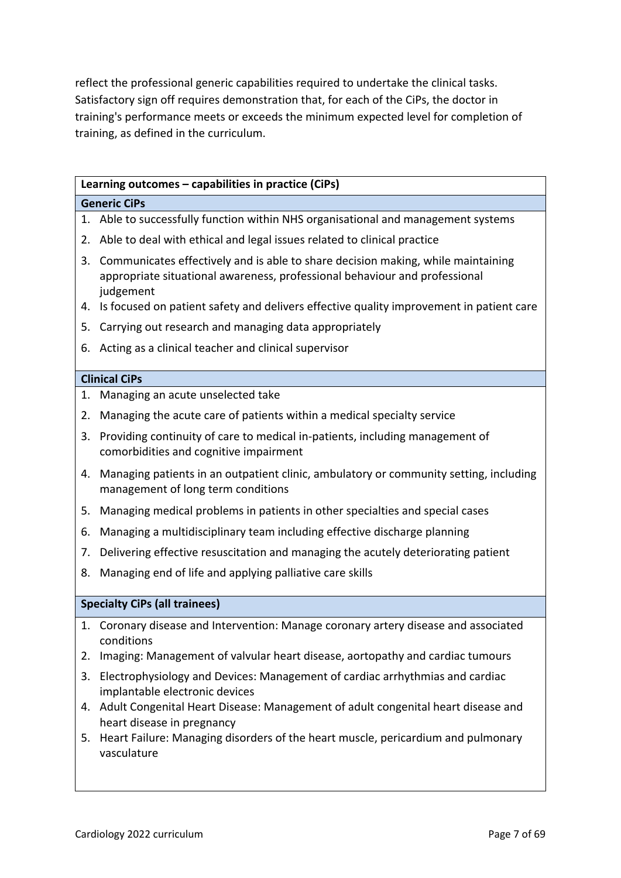reflect the professional generic capabilities required to undertake the clinical tasks. Satisfactory sign off requires demonstration that, for each of the CiPs, the doctor in training's performance meets or exceeds the minimum expected level for completion of training, as defined in the curriculum.

|                     | Learning outcomes - capabilities in practice (CiPs)                                                                                                                                                                                                                    |  |  |
|---------------------|------------------------------------------------------------------------------------------------------------------------------------------------------------------------------------------------------------------------------------------------------------------------|--|--|
| <b>Generic CiPs</b> |                                                                                                                                                                                                                                                                        |  |  |
| 1.                  | Able to successfully function within NHS organisational and management systems                                                                                                                                                                                         |  |  |
| 2.                  | Able to deal with ethical and legal issues related to clinical practice                                                                                                                                                                                                |  |  |
| 3.<br>4.            | Communicates effectively and is able to share decision making, while maintaining<br>appropriate situational awareness, professional behaviour and professional<br>judgement<br>Is focused on patient safety and delivers effective quality improvement in patient care |  |  |
| 5.                  | Carrying out research and managing data appropriately                                                                                                                                                                                                                  |  |  |
| 6.                  | Acting as a clinical teacher and clinical supervisor                                                                                                                                                                                                                   |  |  |
|                     |                                                                                                                                                                                                                                                                        |  |  |
|                     | <b>Clinical CiPs</b>                                                                                                                                                                                                                                                   |  |  |
| 1.                  | Managing an acute unselected take                                                                                                                                                                                                                                      |  |  |
| 2.                  | Managing the acute care of patients within a medical specialty service                                                                                                                                                                                                 |  |  |
| 3.                  | Providing continuity of care to medical in-patients, including management of<br>comorbidities and cognitive impairment                                                                                                                                                 |  |  |
| 4.                  | Managing patients in an outpatient clinic, ambulatory or community setting, including<br>management of long term conditions                                                                                                                                            |  |  |
| 5.                  | Managing medical problems in patients in other specialties and special cases                                                                                                                                                                                           |  |  |
| 6.                  | Managing a multidisciplinary team including effective discharge planning                                                                                                                                                                                               |  |  |
| 7.                  | Delivering effective resuscitation and managing the acutely deteriorating patient                                                                                                                                                                                      |  |  |
| 8.                  | Managing end of life and applying palliative care skills                                                                                                                                                                                                               |  |  |
|                     |                                                                                                                                                                                                                                                                        |  |  |
|                     | <b>Specialty CiPs (all trainees)</b>                                                                                                                                                                                                                                   |  |  |
| 1.                  | Coronary disease and Intervention: Manage coronary artery disease and associated<br>conditions                                                                                                                                                                         |  |  |
| 2.                  | Imaging: Management of valvular heart disease, aortopathy and cardiac tumours                                                                                                                                                                                          |  |  |
| 3.                  | Electrophysiology and Devices: Management of cardiac arrhythmias and cardiac<br>implantable electronic devices                                                                                                                                                         |  |  |
| 4.                  | Adult Congenital Heart Disease: Management of adult congenital heart disease and<br>heart disease in pregnancy                                                                                                                                                         |  |  |
| 5.                  | Heart Failure: Managing disorders of the heart muscle, pericardium and pulmonary<br>vasculature                                                                                                                                                                        |  |  |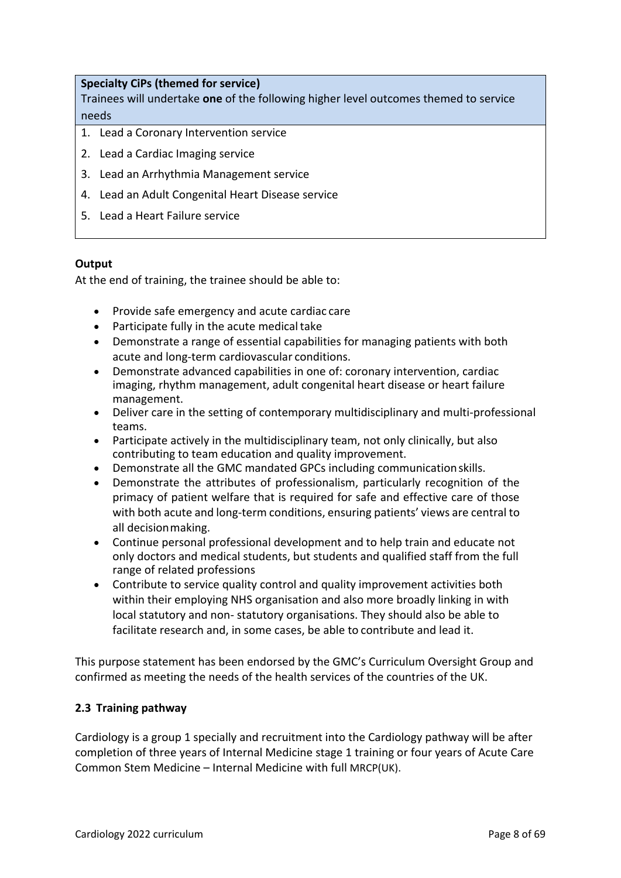### **Specialty CiPs (themed for service)**

Trainees will undertake **one** of the following higher level outcomes themed to service needs

- 1. Lead a Coronary Intervention service
- 2. Lead a Cardiac Imaging service
- 3. Lead an Arrhythmia Management service
- 4. Lead an Adult Congenital Heart Disease service
- 5. Lead a Heart Failure service

#### **Output**

At the end of training, the trainee should be able to:

- Provide safe emergency and acute cardiac care
- Participate fully in the acute medical take
- Demonstrate a range of essential capabilities for managing patients with both acute and long-term cardiovascular conditions.
- Demonstrate advanced capabilities in one of: coronary intervention, cardiac imaging, rhythm management, adult congenital heart disease or heart failure management.
- Deliver care in the setting of contemporary multidisciplinary and multi-professional teams.
- Participate actively in the multidisciplinary team, not only clinically, but also contributing to team education and quality improvement.
- Demonstrate all the GMC mandated GPCs including communication skills.
- Demonstrate the attributes of professionalism, particularly recognition of the primacy of patient welfare that is required for safe and effective care of those with both acute and long-term conditions, ensuring patients' views are central to all decisionmaking.
- Continue personal professional development and to help train and educate not only doctors and medical students, but students and qualified staff from the full range of related professions
- Contribute to service quality control and quality improvement activities both within their employing NHS organisation and also more broadly linking in with local statutory and non- statutory organisations. They should also be able to facilitate research and, in some cases, be able to contribute and lead it.

This purpose statement has been endorsed by the GMC's Curriculum Oversight Group and confirmed as meeting the needs of the health services of the countries of the UK.

#### <span id="page-7-0"></span>**2.3 Training pathway**

Cardiology is a group 1 specially and recruitment into the Cardiology pathway will be after completion of three years of Internal Medicine stage 1 training or four years of Acute Care Common Stem Medicine – Internal Medicine with full MRCP(UK).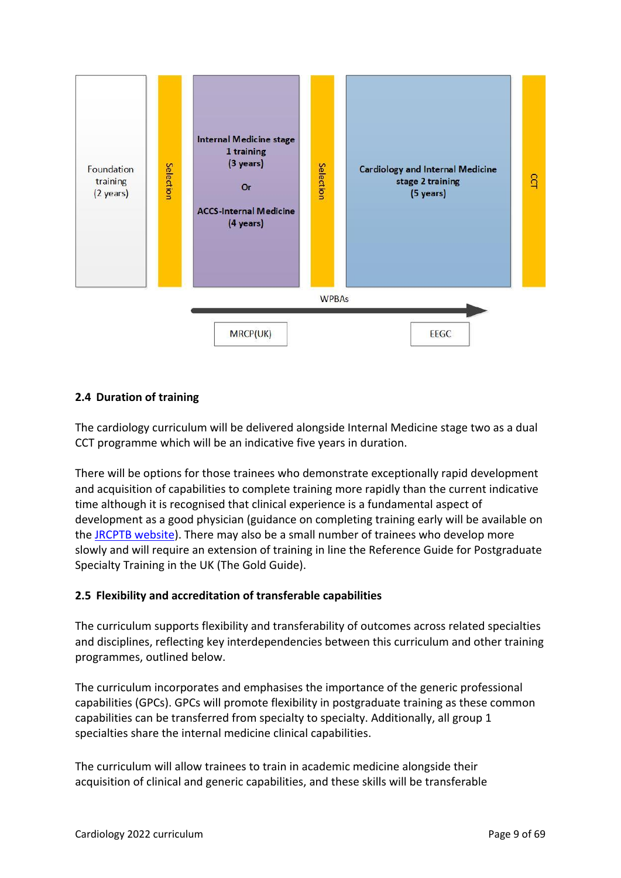

### <span id="page-8-0"></span>**2.4 Duration of training**

The cardiology curriculum will be delivered alongside Internal Medicine stage two as a dual CCT programme which will be an indicative five years in duration.

There will be options for those trainees who demonstrate exceptionally rapid development and acquisition of capabilities to complete training more rapidly than the current indicative time although it is recognised that clinical experience is a fundamental aspect of development as a good physician (guidance on completing training early will be available on the [JRCPTB website\)](http://www.jrcptb.org.uk/). There may also be a small number of trainees who develop more slowly and will require an extension of training in line the Reference Guide for Postgraduate Specialty Training in the UK (The Gold Guide).

### <span id="page-8-1"></span>**2.5 Flexibility and accreditation of transferable capabilities**

The curriculum supports flexibility and transferability of outcomes across related specialties and disciplines, reflecting key interdependencies between this curriculum and other training programmes, outlined below.

The curriculum incorporates and emphasises the importance of the generic professional capabilities (GPCs). GPCs will promote flexibility in postgraduate training as these common capabilities can be transferred from specialty to specialty. Additionally, all group 1 specialties share the internal medicine clinical capabilities.

The curriculum will allow trainees to train in academic medicine alongside their acquisition of clinical and generic capabilities, and these skills will be transferable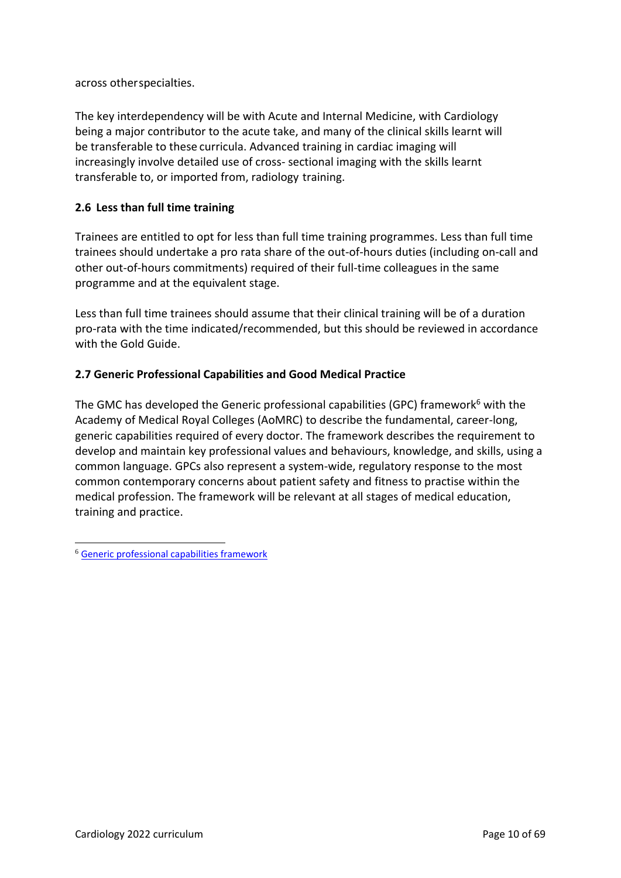across otherspecialties.

The key interdependency will be with Acute and Internal Medicine, with Cardiology being a major contributor to the acute take, and many of the clinical skills learnt will be transferable to these curricula. Advanced training in cardiac imaging will increasingly involve detailed use of cross- sectional imaging with the skills learnt transferable to, or imported from, radiology training.

## <span id="page-9-0"></span>**2.6 Less than full time training**

Trainees are entitled to opt for less than full time training programmes. Less than full time trainees should undertake a pro rata share of the out-of-hours duties (including on-call and other out-of-hours commitments) required of their full-time colleagues in the same programme and at the equivalent stage.

Less than full time trainees should assume that their clinical training will be of a duration pro-rata with the time indicated/recommended, but this should be reviewed in accordance with the Gold Guide.

### <span id="page-9-1"></span>**2.7 Generic Professional Capabilities and Good Medical Practice**

The GMC has developed the Generic professional capabilities (GPC) framework $6$  with the Academy of Medical Royal Colleges (AoMRC) to describe the fundamental, career-long, generic capabilities required of every doctor. The framework describes the requirement to develop and maintain key professional values and behaviours, knowledge, and skills, using a common language. GPCs also represent a system-wide, regulatory response to the most common contemporary concerns about patient safety and fitness to practise within the medical profession. The framework will be relevant at all stages of medical education, training and practice.

<sup>6</sup> [Generic professional capabilities framework](http://www.gmc-uk.org/education/postgraduate/GPC.asp)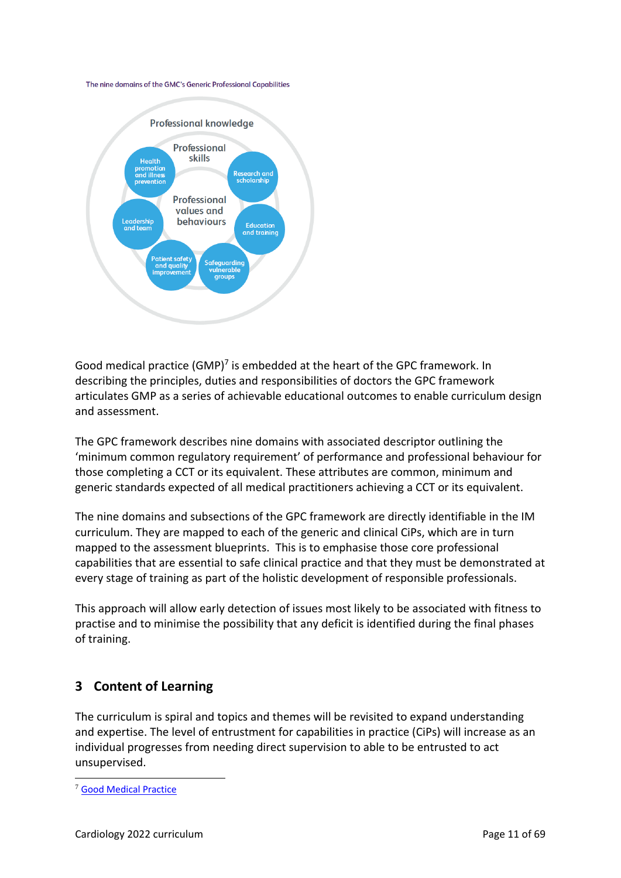



Good medical practice (GMP)<sup>7</sup> is embedded at the heart of the GPC framework. In describing the principles, duties and responsibilities of doctors the GPC framework articulates GMP as a series of achievable educational outcomes to enable curriculum design and assessment.

The GPC framework describes nine domains with associated descriptor outlining the 'minimum common regulatory requirement' of performance and professional behaviour for those completing a CCT or its equivalent. These attributes are common, minimum and generic standards expected of all medical practitioners achieving a CCT or its equivalent.

The nine domains and subsections of the GPC framework are directly identifiable in the IM curriculum. They are mapped to each of the generic and clinical CiPs, which are in turn mapped to the assessment blueprints. This is to emphasise those core professional capabilities that are essential to safe clinical practice and that they must be demonstrated at every stage of training as part of the holistic development of responsible professionals.

This approach will allow early detection of issues most likely to be associated with fitness to practise and to minimise the possibility that any deficit is identified during the final phases of training.

# <span id="page-10-0"></span>**3 Content of Learning**

The curriculum is spiral and topics and themes will be revisited to expand understanding and expertise. The level of entrustment for capabilities in practice (CiPs) will increase as an individual progresses from needing direct supervision to able to be entrusted to act unsupervised.

<sup>7</sup> [Good Medical Practice](http://www.gmc-uk.org/guidance/good_medical_practice.asp)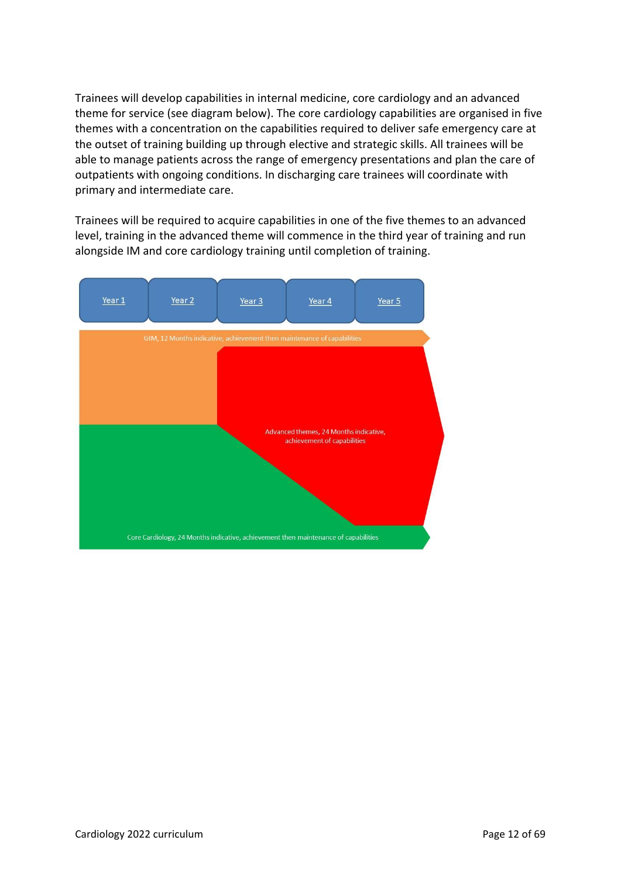Trainees will develop capabilities in internal medicine, core cardiology and an advanced theme for service (see diagram below). The core cardiology capabilities are organised in five themes with a concentration on the capabilities required to deliver safe emergency care at the outset of training building up through elective and strategic skills. All trainees will be able to manage patients across the range of emergency presentations and plan the care of outpatients with ongoing conditions. In discharging care trainees will coordinate with primary and intermediate care.

Trainees will be required to acquire capabilities in one of the five themes to an advanced level, training in the advanced theme will commence in the third year of training and run alongside IM and core cardiology training until completion of training.

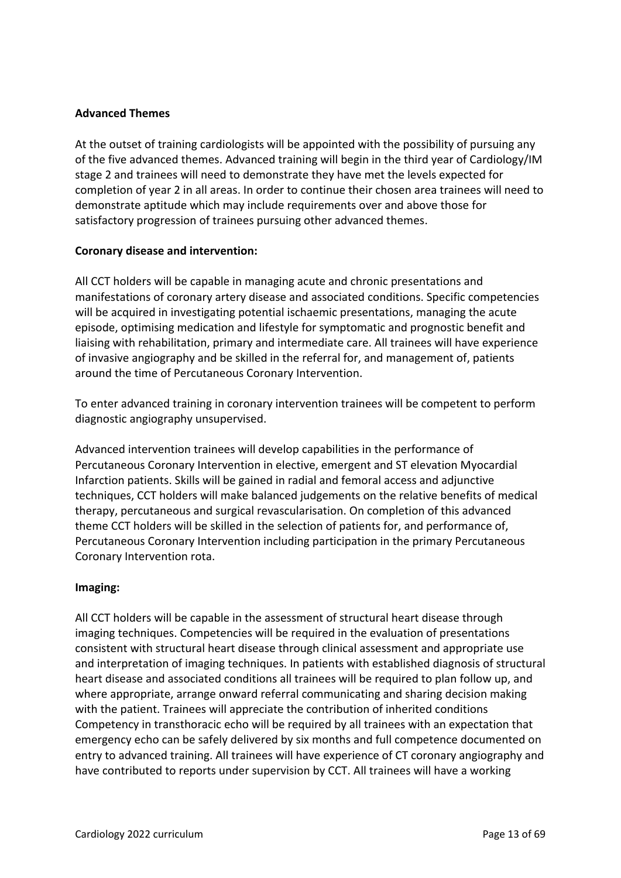### **Advanced Themes**

At the outset of training cardiologists will be appointed with the possibility of pursuing any of the five advanced themes. Advanced training will begin in the third year of Cardiology/IM stage 2 and trainees will need to demonstrate they have met the levels expected for completion of year 2 in all areas. In order to continue their chosen area trainees will need to demonstrate aptitude which may include requirements over and above those for satisfactory progression of trainees pursuing other advanced themes.

### **Coronary disease and intervention:**

All CCT holders will be capable in managing acute and chronic presentations and manifestations of coronary artery disease and associated conditions. Specific competencies will be acquired in investigating potential ischaemic presentations, managing the acute episode, optimising medication and lifestyle for symptomatic and prognostic benefit and liaising with rehabilitation, primary and intermediate care. All trainees will have experience of invasive angiography and be skilled in the referral for, and management of, patients around the time of Percutaneous Coronary Intervention.

To enter advanced training in coronary intervention trainees will be competent to perform diagnostic angiography unsupervised.

Advanced intervention trainees will develop capabilities in the performance of Percutaneous Coronary Intervention in elective, emergent and ST elevation Myocardial Infarction patients. Skills will be gained in radial and femoral access and adjunctive techniques, CCT holders will make balanced judgements on the relative benefits of medical therapy, percutaneous and surgical revascularisation. On completion of this advanced theme CCT holders will be skilled in the selection of patients for, and performance of, Percutaneous Coronary Intervention including participation in the primary Percutaneous Coronary Intervention rota.

### **Imaging:**

All CCT holders will be capable in the assessment of structural heart disease through imaging techniques. Competencies will be required in the evaluation of presentations consistent with structural heart disease through clinical assessment and appropriate use and interpretation of imaging techniques. In patients with established diagnosis of structural heart disease and associated conditions all trainees will be required to plan follow up, and where appropriate, arrange onward referral communicating and sharing decision making with the patient. Trainees will appreciate the contribution of inherited conditions Competency in transthoracic echo will be required by all trainees with an expectation that emergency echo can be safely delivered by six months and full competence documented on entry to advanced training. All trainees will have experience of CT coronary angiography and have contributed to reports under supervision by CCT. All trainees will have a working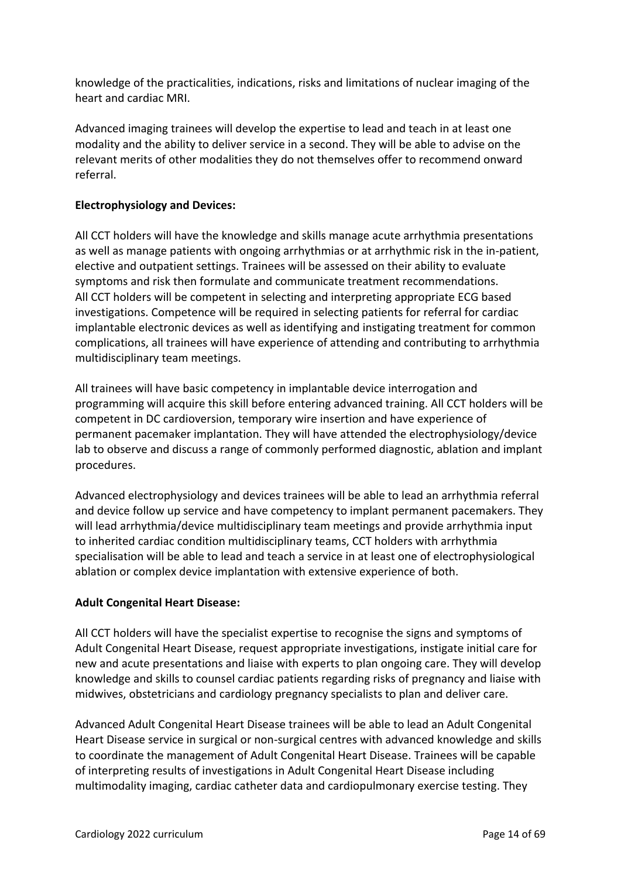knowledge of the practicalities, indications, risks and limitations of nuclear imaging of the heart and cardiac MRI.

Advanced imaging trainees will develop the expertise to lead and teach in at least one modality and the ability to deliver service in a second. They will be able to advise on the relevant merits of other modalities they do not themselves offer to recommend onward referral.

### **Electrophysiology and Devices:**

All CCT holders will have the knowledge and skills manage acute arrhythmia presentations as well as manage patients with ongoing arrhythmias or at arrhythmic risk in the in-patient, elective and outpatient settings. Trainees will be assessed on their ability to evaluate symptoms and risk then formulate and communicate treatment recommendations. All CCT holders will be competent in selecting and interpreting appropriate ECG based investigations. Competence will be required in selecting patients for referral for cardiac implantable electronic devices as well as identifying and instigating treatment for common complications, all trainees will have experience of attending and contributing to arrhythmia multidisciplinary team meetings.

All trainees will have basic competency in implantable device interrogation and programming will acquire this skill before entering advanced training. All CCT holders will be competent in DC cardioversion, temporary wire insertion and have experience of permanent pacemaker implantation. They will have attended the electrophysiology/device lab to observe and discuss a range of commonly performed diagnostic, ablation and implant procedures.

Advanced electrophysiology and devices trainees will be able to lead an arrhythmia referral and device follow up service and have competency to implant permanent pacemakers. They will lead arrhythmia/device multidisciplinary team meetings and provide arrhythmia input to inherited cardiac condition multidisciplinary teams, CCT holders with arrhythmia specialisation will be able to lead and teach a service in at least one of electrophysiological ablation or complex device implantation with extensive experience of both.

### **Adult Congenital Heart Disease:**

All CCT holders will have the specialist expertise to recognise the signs and symptoms of Adult Congenital Heart Disease, request appropriate investigations, instigate initial care for new and acute presentations and liaise with experts to plan ongoing care. They will develop knowledge and skills to counsel cardiac patients regarding risks of pregnancy and liaise with midwives, obstetricians and cardiology pregnancy specialists to plan and deliver care.

Advanced Adult Congenital Heart Disease trainees will be able to lead an Adult Congenital Heart Disease service in surgical or non-surgical centres with advanced knowledge and skills to coordinate the management of Adult Congenital Heart Disease. Trainees will be capable of interpreting results of investigations in Adult Congenital Heart Disease including multimodality imaging, cardiac catheter data and cardiopulmonary exercise testing. They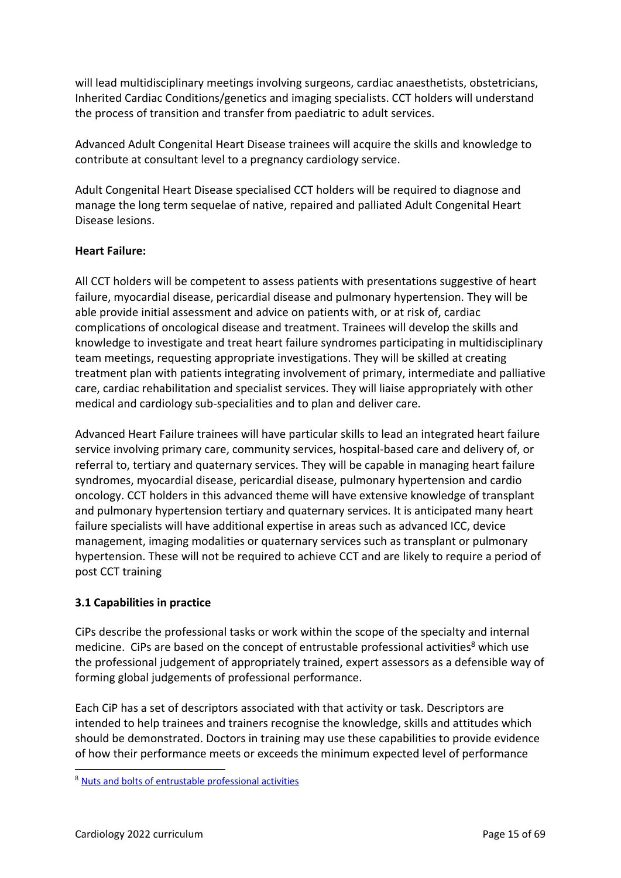will lead multidisciplinary meetings involving surgeons, cardiac anaesthetists, obstetricians, Inherited Cardiac Conditions/genetics and imaging specialists. CCT holders will understand the process of transition and transfer from paediatric to adult services.

Advanced Adult Congenital Heart Disease trainees will acquire the skills and knowledge to contribute at consultant level to a pregnancy cardiology service.

Adult Congenital Heart Disease specialised CCT holders will be required to diagnose and manage the long term sequelae of native, repaired and palliated Adult Congenital Heart Disease lesions.

### **Heart Failure:**

All CCT holders will be competent to assess patients with presentations suggestive of heart failure, myocardial disease, pericardial disease and pulmonary hypertension. They will be able provide initial assessment and advice on patients with, or at risk of, cardiac complications of oncological disease and treatment. Trainees will develop the skills and knowledge to investigate and treat heart failure syndromes participating in multidisciplinary team meetings, requesting appropriate investigations. They will be skilled at creating treatment plan with patients integrating involvement of primary, intermediate and palliative care, cardiac rehabilitation and specialist services. They will liaise appropriately with other medical and cardiology sub-specialities and to plan and deliver care.

Advanced Heart Failure trainees will have particular skills to lead an integrated heart failure service involving primary care, community services, hospital-based care and delivery of, or referral to, tertiary and quaternary services. They will be capable in managing heart failure syndromes, myocardial disease, pericardial disease, pulmonary hypertension and cardio oncology. CCT holders in this advanced theme will have extensive knowledge of transplant and pulmonary hypertension tertiary and quaternary services. It is anticipated many heart failure specialists will have additional expertise in areas such as advanced ICC, device management, imaging modalities or quaternary services such as transplant or pulmonary hypertension. These will not be required to achieve CCT and are likely to require a period of post CCT training

### <span id="page-14-0"></span>**3.1 Capabilities in practice**

CiPs describe the professional tasks or work within the scope of the specialty and internal medicine. CiPs are based on the concept of entrustable professional activities<sup>8</sup> which use the professional judgement of appropriately trained, expert assessors as a defensible way of forming global judgements of professional performance.

Each CiP has a set of descriptors associated with that activity or task. Descriptors are intended to help trainees and trainers recognise the knowledge, skills and attitudes which should be demonstrated. Doctors in training may use these capabilities to provide evidence of how their performance meets or exceeds the minimum expected level of performance

<sup>8</sup> [Nuts and bolts of entrustable professional activities](https://www.ncbi.nlm.nih.gov/pmc/articles/PMC3613304/)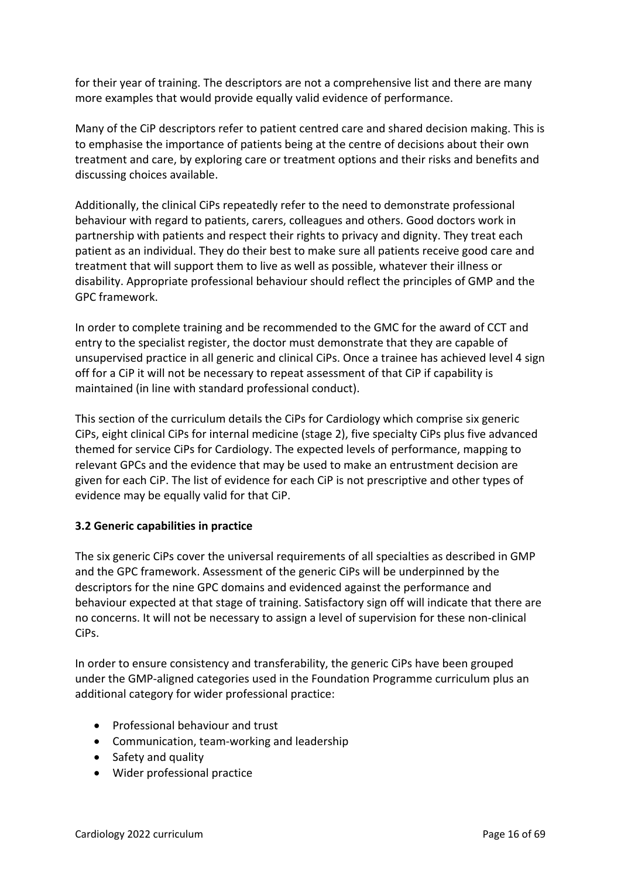for their year of training. The descriptors are not a comprehensive list and there are many more examples that would provide equally valid evidence of performance.

Many of the CiP descriptors refer to patient centred care and shared decision making. This is to emphasise the importance of patients being at the centre of decisions about their own treatment and care, by exploring care or treatment options and their risks and benefits and discussing choices available.

Additionally, the clinical CiPs repeatedly refer to the need to demonstrate professional behaviour with regard to patients, carers, colleagues and others. Good doctors work in partnership with patients and respect their rights to privacy and dignity. They treat each patient as an individual. They do their best to make sure all patients receive good care and treatment that will support them to live as well as possible, whatever their illness or disability. Appropriate professional behaviour should reflect the principles of GMP and the GPC framework.

In order to complete training and be recommended to the GMC for the award of CCT and entry to the specialist register, the doctor must demonstrate that they are capable of unsupervised practice in all generic and clinical CiPs. Once a trainee has achieved level 4 sign off for a CiP it will not be necessary to repeat assessment of that CiP if capability is maintained (in line with standard professional conduct).

This section of the curriculum details the CiPs for Cardiology which comprise six generic CiPs, eight clinical CiPs for internal medicine (stage 2), five specialty CiPs plus five advanced themed for service CiPs for Cardiology. The expected levels of performance, mapping to relevant GPCs and the evidence that may be used to make an entrustment decision are given for each CiP. The list of evidence for each CiP is not prescriptive and other types of evidence may be equally valid for that CiP.

### <span id="page-15-0"></span>**3.2 Generic capabilities in practice**

The six generic CiPs cover the universal requirements of all specialties as described in GMP and the GPC framework. Assessment of the generic CiPs will be underpinned by the descriptors for the nine GPC domains and evidenced against the performance and behaviour expected at that stage of training. Satisfactory sign off will indicate that there are no concerns. It will not be necessary to assign a level of supervision for these non-clinical CiPs.

In order to ensure consistency and transferability, the generic CiPs have been grouped under the GMP-aligned categories used in the Foundation Programme curriculum plus an additional category for wider professional practice:

- Professional behaviour and trust
- Communication, team-working and leadership
- Safety and quality
- Wider professional practice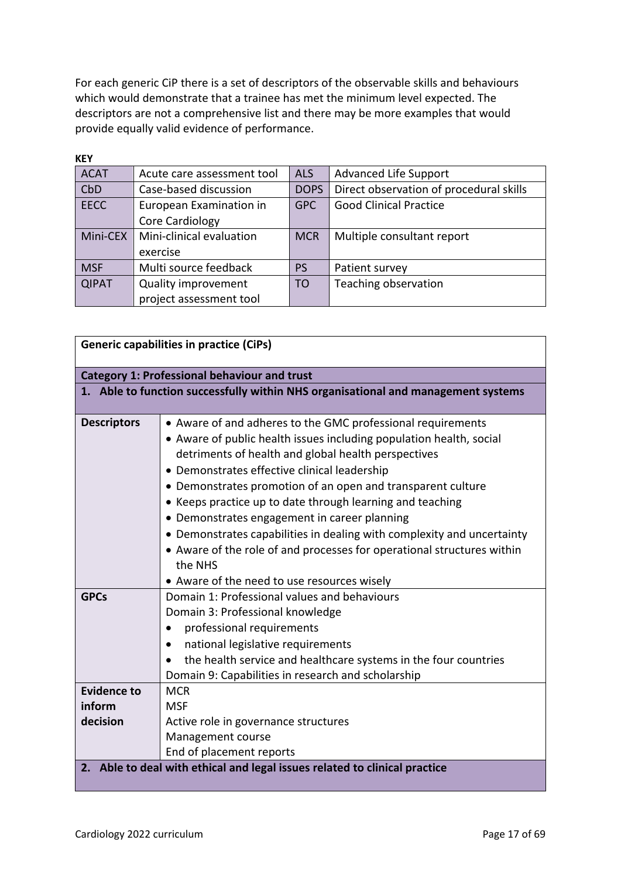For each generic CiP there is a set of descriptors of the observable skills and behaviours which would demonstrate that a trainee has met the minimum level expected. The descriptors are not a comprehensive list and there may be more examples that would provide equally valid evidence of performance.

| <b>KEY</b>   |                            |             |                                         |
|--------------|----------------------------|-------------|-----------------------------------------|
| <b>ACAT</b>  | Acute care assessment tool | <b>ALS</b>  | <b>Advanced Life Support</b>            |
| CbD          | Case-based discussion      | <b>DOPS</b> | Direct observation of procedural skills |
| <b>EECC</b>  | European Examination in    | <b>GPC</b>  | <b>Good Clinical Practice</b>           |
|              | Core Cardiology            |             |                                         |
| Mini-CEX     | Mini-clinical evaluation   | <b>MCR</b>  | Multiple consultant report              |
|              | exercise                   |             |                                         |
| <b>MSF</b>   | Multi source feedback      | <b>PS</b>   | Patient survey                          |
| <b>QIPAT</b> | <b>Quality improvement</b> | <b>TO</b>   | Teaching observation                    |
|              | project assessment tool    |             |                                         |

| <b>Generic capabilities in practice (CiPs)</b>      |                                                                                   |  |
|-----------------------------------------------------|-----------------------------------------------------------------------------------|--|
| <b>Category 1: Professional behaviour and trust</b> |                                                                                   |  |
|                                                     | 1. Able to function successfully within NHS organisational and management systems |  |
| <b>Descriptors</b>                                  | • Aware of and adheres to the GMC professional requirements                       |  |
|                                                     | • Aware of public health issues including population health, social               |  |
|                                                     | detriments of health and global health perspectives                               |  |
|                                                     | • Demonstrates effective clinical leadership                                      |  |
|                                                     | • Demonstrates promotion of an open and transparent culture                       |  |
|                                                     | • Keeps practice up to date through learning and teaching                         |  |
|                                                     | • Demonstrates engagement in career planning                                      |  |
|                                                     | • Demonstrates capabilities in dealing with complexity and uncertainty            |  |
|                                                     | • Aware of the role of and processes for operational structures within            |  |
|                                                     | the NHS                                                                           |  |
|                                                     | • Aware of the need to use resources wisely                                       |  |
| <b>GPCs</b>                                         | Domain 1: Professional values and behaviours                                      |  |
|                                                     | Domain 3: Professional knowledge                                                  |  |
|                                                     | professional requirements                                                         |  |
|                                                     | national legislative requirements                                                 |  |
|                                                     | the health service and healthcare systems in the four countries                   |  |
|                                                     | Domain 9: Capabilities in research and scholarship                                |  |
| <b>Evidence to</b>                                  | <b>MCR</b>                                                                        |  |
| inform                                              | <b>MSF</b>                                                                        |  |
| decision                                            | Active role in governance structures                                              |  |
|                                                     | Management course                                                                 |  |
|                                                     | End of placement reports                                                          |  |
|                                                     | 2. Able to deal with ethical and legal issues related to clinical practice        |  |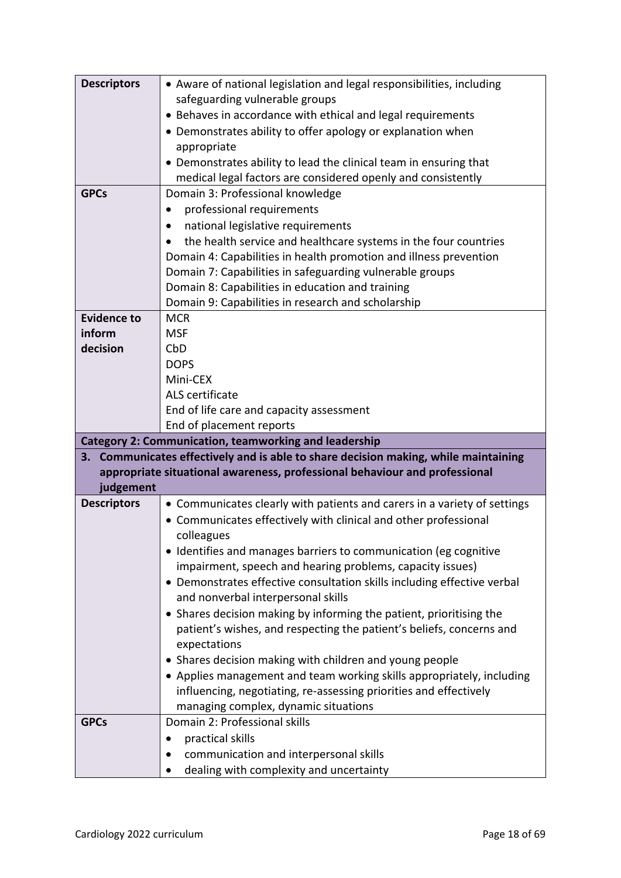| <b>Descriptors</b> | • Aware of national legislation and legal responsibilities, including               |
|--------------------|-------------------------------------------------------------------------------------|
|                    | safeguarding vulnerable groups                                                      |
|                    | • Behaves in accordance with ethical and legal requirements                         |
|                    | • Demonstrates ability to offer apology or explanation when                         |
|                    | appropriate                                                                         |
|                    | • Demonstrates ability to lead the clinical team in ensuring that                   |
|                    | medical legal factors are considered openly and consistently                        |
| <b>GPCs</b>        | Domain 3: Professional knowledge                                                    |
|                    | professional requirements<br>$\bullet$                                              |
|                    | national legislative requirements                                                   |
|                    | the health service and healthcare systems in the four countries                     |
|                    | Domain 4: Capabilities in health promotion and illness prevention                   |
|                    | Domain 7: Capabilities in safeguarding vulnerable groups                            |
|                    | Domain 8: Capabilities in education and training                                    |
|                    | Domain 9: Capabilities in research and scholarship                                  |
| <b>Evidence to</b> | <b>MCR</b>                                                                          |
| inform             | <b>MSF</b>                                                                          |
| decision           | CbD                                                                                 |
|                    | <b>DOPS</b>                                                                         |
|                    | Mini-CEX                                                                            |
|                    | ALS certificate                                                                     |
|                    | End of life care and capacity assessment                                            |
|                    |                                                                                     |
|                    | End of placement reports                                                            |
|                    | <b>Category 2: Communication, teamworking and leadership</b>                        |
|                    | 3. Communicates effectively and is able to share decision making, while maintaining |
|                    | appropriate situational awareness, professional behaviour and professional          |
| judgement          |                                                                                     |
| <b>Descriptors</b> | • Communicates clearly with patients and carers in a variety of settings            |
|                    | • Communicates effectively with clinical and other professional                     |
|                    | colleagues                                                                          |
|                    | • Identifies and manages barriers to communication (eg cognitive                    |
|                    | impairment, speech and hearing problems, capacity issues)                           |
|                    | • Demonstrates effective consultation skills including effective verbal             |
|                    | and nonverbal interpersonal skills                                                  |
|                    | • Shares decision making by informing the patient, prioritising the                 |
|                    | patient's wishes, and respecting the patient's beliefs, concerns and                |
|                    | expectations                                                                        |
|                    | • Shares decision making with children and young people                             |
|                    | • Applies management and team working skills appropriately, including               |
|                    | influencing, negotiating, re-assessing priorities and effectively                   |
|                    | managing complex, dynamic situations                                                |
| <b>GPCs</b>        | Domain 2: Professional skills                                                       |
|                    | practical skills                                                                    |
|                    | communication and interpersonal skills<br>dealing with complexity and uncertainty   |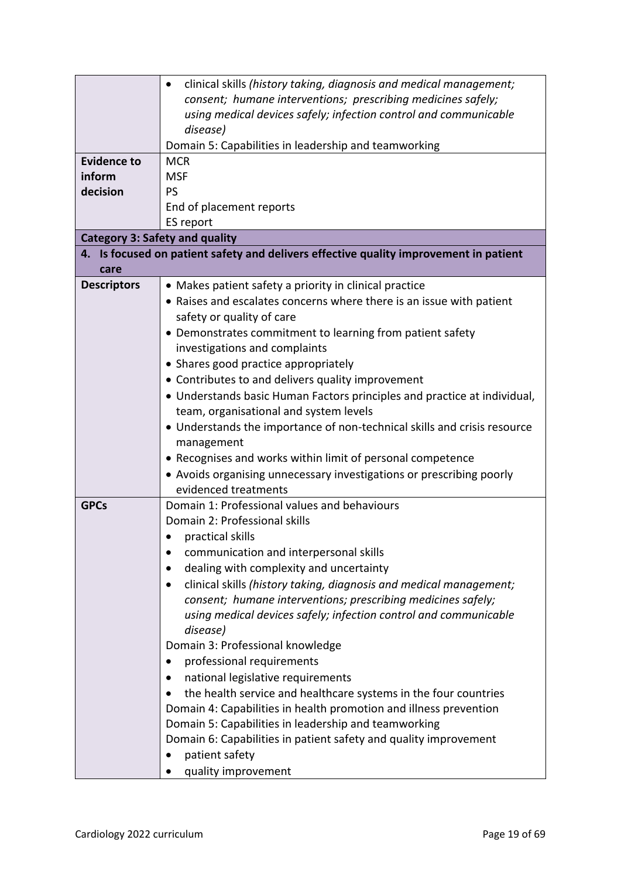|                    | clinical skills (history taking, diagnosis and medical management;<br>٠               |  |  |
|--------------------|---------------------------------------------------------------------------------------|--|--|
|                    | consent; humane interventions; prescribing medicines safely;                          |  |  |
|                    | using medical devices safely; infection control and communicable                      |  |  |
|                    | disease)                                                                              |  |  |
|                    | Domain 5: Capabilities in leadership and teamworking                                  |  |  |
| <b>Evidence to</b> | <b>MCR</b>                                                                            |  |  |
| inform             | <b>MSF</b>                                                                            |  |  |
| decision           | <b>PS</b>                                                                             |  |  |
|                    | End of placement reports                                                              |  |  |
|                    | ES report                                                                             |  |  |
|                    | <b>Category 3: Safety and quality</b>                                                 |  |  |
|                    | 4. Is focused on patient safety and delivers effective quality improvement in patient |  |  |
| care               |                                                                                       |  |  |
| <b>Descriptors</b> | • Makes patient safety a priority in clinical practice                                |  |  |
|                    | • Raises and escalates concerns where there is an issue with patient                  |  |  |
|                    | safety or quality of care                                                             |  |  |
|                    | • Demonstrates commitment to learning from patient safety                             |  |  |
|                    | investigations and complaints                                                         |  |  |
|                    | • Shares good practice appropriately                                                  |  |  |
|                    | • Contributes to and delivers quality improvement                                     |  |  |
|                    | • Understands basic Human Factors principles and practice at individual,              |  |  |
|                    | team, organisational and system levels                                                |  |  |
|                    | • Understands the importance of non-technical skills and crisis resource              |  |  |
|                    | management                                                                            |  |  |
|                    | • Recognises and works within limit of personal competence                            |  |  |
|                    | • Avoids organising unnecessary investigations or prescribing poorly                  |  |  |
|                    | evidenced treatments                                                                  |  |  |
| <b>GPCs</b>        | Domain 1: Professional values and behaviours                                          |  |  |
|                    | Domain 2: Professional skills                                                         |  |  |
|                    | practical skills                                                                      |  |  |
|                    | communication and interpersonal skills                                                |  |  |
|                    | dealing with complexity and uncertainty                                               |  |  |
|                    | clinical skills (history taking, diagnosis and medical management;                    |  |  |
|                    | consent; humane interventions; prescribing medicines safely;                          |  |  |
|                    | using medical devices safely; infection control and communicable                      |  |  |
|                    | disease)                                                                              |  |  |
|                    | Domain 3: Professional knowledge                                                      |  |  |
|                    | professional requirements                                                             |  |  |
|                    | national legislative requirements                                                     |  |  |
|                    | the health service and healthcare systems in the four countries                       |  |  |
|                    | Domain 4: Capabilities in health promotion and illness prevention                     |  |  |
|                    | Domain 5: Capabilities in leadership and teamworking                                  |  |  |
|                    | Domain 6: Capabilities in patient safety and quality improvement                      |  |  |
|                    | patient safety                                                                        |  |  |
|                    | quality improvement                                                                   |  |  |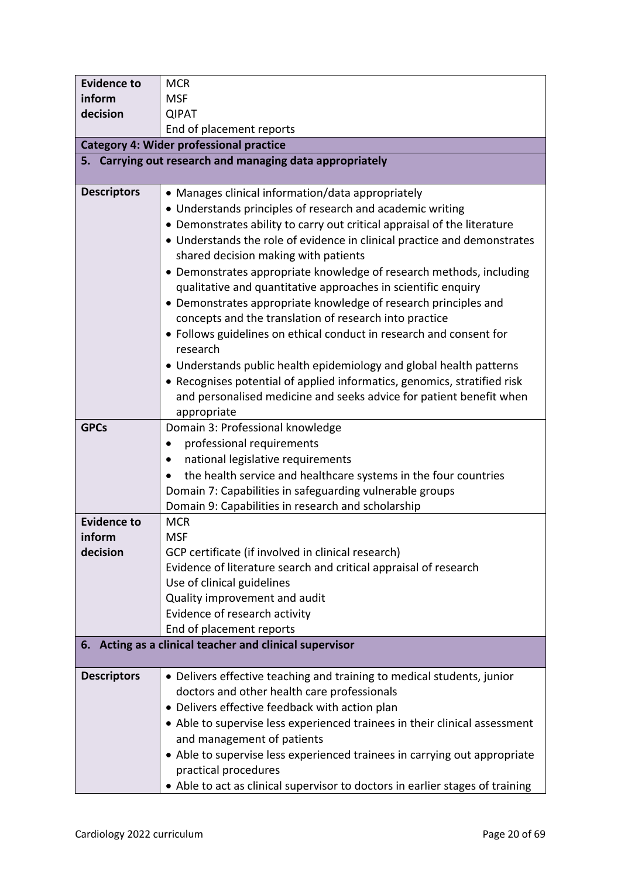| <b>Evidence to</b>                                      | <b>MCR</b>                                                                                                                                           |  |
|---------------------------------------------------------|------------------------------------------------------------------------------------------------------------------------------------------------------|--|
| inform                                                  | <b>MSF</b>                                                                                                                                           |  |
| decision                                                | <b>QIPAT</b>                                                                                                                                         |  |
|                                                         | End of placement reports                                                                                                                             |  |
|                                                         | <b>Category 4: Wider professional practice</b>                                                                                                       |  |
|                                                         | 5. Carrying out research and managing data appropriately                                                                                             |  |
|                                                         |                                                                                                                                                      |  |
| <b>Descriptors</b>                                      | • Manages clinical information/data appropriately                                                                                                    |  |
|                                                         | • Understands principles of research and academic writing                                                                                            |  |
|                                                         | • Demonstrates ability to carry out critical appraisal of the literature<br>• Understands the role of evidence in clinical practice and demonstrates |  |
|                                                         | shared decision making with patients                                                                                                                 |  |
|                                                         | • Demonstrates appropriate knowledge of research methods, including                                                                                  |  |
|                                                         | qualitative and quantitative approaches in scientific enquiry                                                                                        |  |
|                                                         | • Demonstrates appropriate knowledge of research principles and                                                                                      |  |
|                                                         | concepts and the translation of research into practice                                                                                               |  |
|                                                         | • Follows guidelines on ethical conduct in research and consent for                                                                                  |  |
|                                                         | research                                                                                                                                             |  |
|                                                         | • Understands public health epidemiology and global health patterns                                                                                  |  |
|                                                         | • Recognises potential of applied informatics, genomics, stratified risk                                                                             |  |
|                                                         | and personalised medicine and seeks advice for patient benefit when                                                                                  |  |
|                                                         | appropriate                                                                                                                                          |  |
| <b>GPCs</b>                                             | Domain 3: Professional knowledge                                                                                                                     |  |
|                                                         | professional requirements                                                                                                                            |  |
|                                                         | national legislative requirements                                                                                                                    |  |
|                                                         | the health service and healthcare systems in the four countries                                                                                      |  |
|                                                         | Domain 7: Capabilities in safeguarding vulnerable groups<br>Domain 9: Capabilities in research and scholarship                                       |  |
| <b>Evidence to</b>                                      | <b>MCR</b>                                                                                                                                           |  |
| inform                                                  | <b>MSF</b>                                                                                                                                           |  |
| decision                                                | GCP certificate (if involved in clinical research)                                                                                                   |  |
|                                                         | Evidence of literature search and critical appraisal of research                                                                                     |  |
|                                                         | Use of clinical guidelines                                                                                                                           |  |
|                                                         | Quality improvement and audit                                                                                                                        |  |
|                                                         | Evidence of research activity                                                                                                                        |  |
|                                                         | End of placement reports                                                                                                                             |  |
| 6. Acting as a clinical teacher and clinical supervisor |                                                                                                                                                      |  |
| <b>Descriptors</b>                                      | • Delivers effective teaching and training to medical students, junior                                                                               |  |
|                                                         | doctors and other health care professionals                                                                                                          |  |
|                                                         | • Delivers effective feedback with action plan                                                                                                       |  |
|                                                         | • Able to supervise less experienced trainees in their clinical assessment                                                                           |  |
|                                                         | and management of patients                                                                                                                           |  |
|                                                         | • Able to supervise less experienced trainees in carrying out appropriate                                                                            |  |
|                                                         | practical procedures                                                                                                                                 |  |
|                                                         | • Able to act as clinical supervisor to doctors in earlier stages of training                                                                        |  |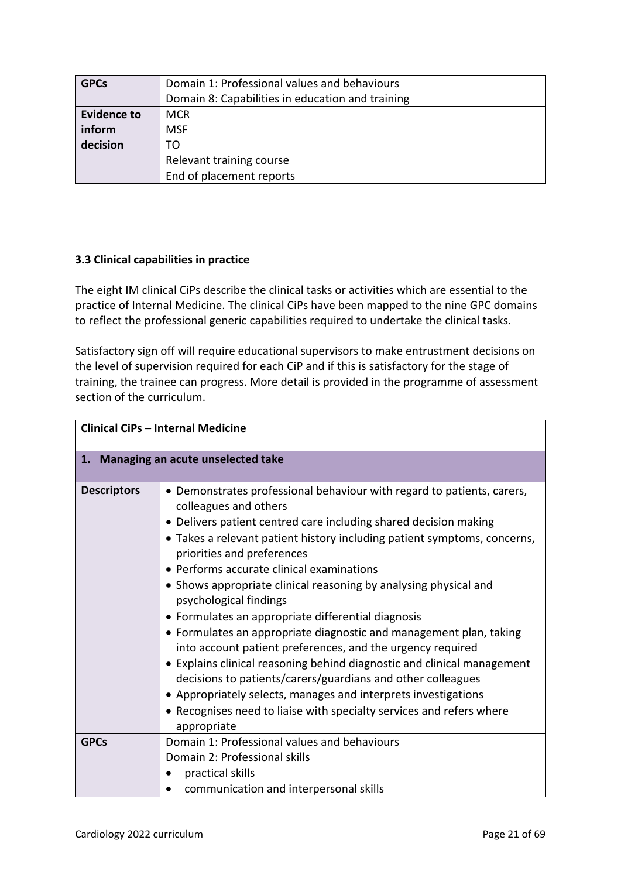| <b>GPCs</b>        | Domain 1: Professional values and behaviours     |  |
|--------------------|--------------------------------------------------|--|
|                    | Domain 8: Capabilities in education and training |  |
| <b>Evidence to</b> | <b>MCR</b>                                       |  |
| inform             | <b>MSF</b>                                       |  |
| decision           | TO                                               |  |
|                    | Relevant training course                         |  |
|                    | End of placement reports                         |  |

### <span id="page-20-0"></span>**3.3 Clinical capabilities in practice**

The eight IM clinical CiPs describe the clinical tasks or activities which are essential to the practice of Internal Medicine. The clinical CiPs have been mapped to the nine GPC domains to reflect the professional generic capabilities required to undertake the clinical tasks.

Satisfactory sign off will require educational supervisors to make entrustment decisions on the level of supervision required for each CiP and if this is satisfactory for the stage of training, the trainee can progress. More detail is provided in the programme of assessment section of the curriculum.

| <b>Clinical CiPs - Internal Medicine</b> |                                                                                                                                                                                                                                                                                                                                                                                                                                                                                                                                                                                                                                                                                                                                                                                                                                                                                                                       |  |
|------------------------------------------|-----------------------------------------------------------------------------------------------------------------------------------------------------------------------------------------------------------------------------------------------------------------------------------------------------------------------------------------------------------------------------------------------------------------------------------------------------------------------------------------------------------------------------------------------------------------------------------------------------------------------------------------------------------------------------------------------------------------------------------------------------------------------------------------------------------------------------------------------------------------------------------------------------------------------|--|
| 1. Managing an acute unselected take     |                                                                                                                                                                                                                                                                                                                                                                                                                                                                                                                                                                                                                                                                                                                                                                                                                                                                                                                       |  |
| <b>Descriptors</b>                       | • Demonstrates professional behaviour with regard to patients, carers,<br>colleagues and others<br>• Delivers patient centred care including shared decision making<br>• Takes a relevant patient history including patient symptoms, concerns,<br>priorities and preferences<br>• Performs accurate clinical examinations<br>• Shows appropriate clinical reasoning by analysing physical and<br>psychological findings<br>• Formulates an appropriate differential diagnosis<br>• Formulates an appropriate diagnostic and management plan, taking<br>into account patient preferences, and the urgency required<br>• Explains clinical reasoning behind diagnostic and clinical management<br>decisions to patients/carers/guardians and other colleagues<br>• Appropriately selects, manages and interprets investigations<br>• Recognises need to liaise with specialty services and refers where<br>appropriate |  |
| <b>GPCs</b>                              | Domain 1: Professional values and behaviours<br>Domain 2: Professional skills<br>practical skills<br>communication and interpersonal skills                                                                                                                                                                                                                                                                                                                                                                                                                                                                                                                                                                                                                                                                                                                                                                           |  |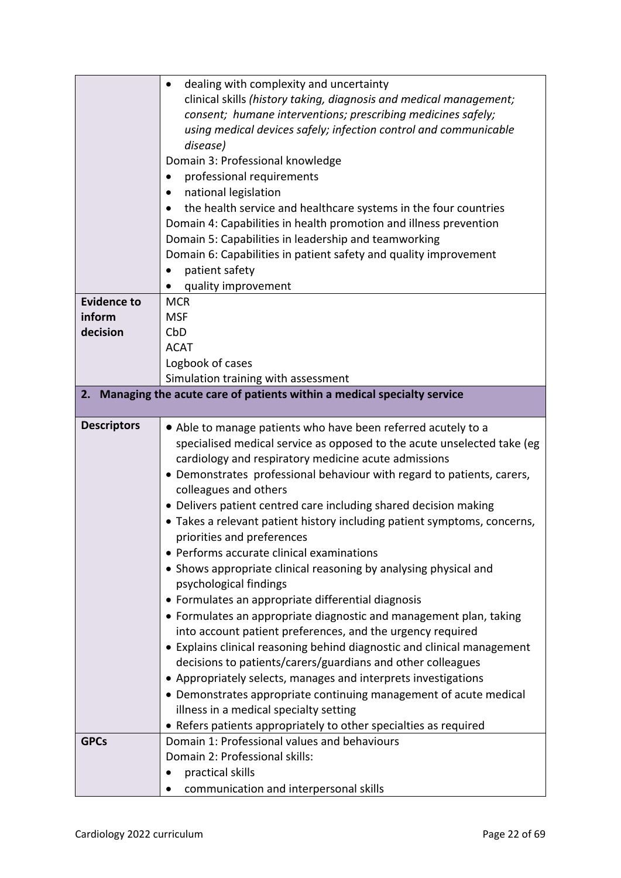|                    | dealing with complexity and uncertainty                                  |
|--------------------|--------------------------------------------------------------------------|
|                    | clinical skills (history taking, diagnosis and medical management;       |
|                    | consent; humane interventions; prescribing medicines safely;             |
|                    | using medical devices safely; infection control and communicable         |
|                    | disease)                                                                 |
|                    | Domain 3: Professional knowledge                                         |
|                    | professional requirements                                                |
|                    | national legislation                                                     |
|                    | the health service and healthcare systems in the four countries          |
|                    | Domain 4: Capabilities in health promotion and illness prevention        |
|                    | Domain 5: Capabilities in leadership and teamworking                     |
|                    | Domain 6: Capabilities in patient safety and quality improvement         |
|                    | patient safety                                                           |
|                    | quality improvement                                                      |
| <b>Evidence to</b> | <b>MCR</b>                                                               |
| inform             | <b>MSF</b>                                                               |
| decision           | CbD                                                                      |
|                    | <b>ACAT</b>                                                              |
|                    | Logbook of cases                                                         |
|                    | Simulation training with assessment                                      |
| 2.                 | Managing the acute care of patients within a medical specialty service   |
|                    |                                                                          |
| <b>Descriptors</b> | • Able to manage patients who have been referred acutely to a            |
|                    | specialised medical service as opposed to the acute unselected take (eg  |
|                    | cardiology and respiratory medicine acute admissions                     |
|                    | • Demonstrates professional behaviour with regard to patients, carers,   |
|                    | colleagues and others                                                    |
|                    | • Delivers patient centred care including shared decision making         |
|                    | • Takes a relevant patient history including patient symptoms, concerns, |
|                    | priorities and preferences                                               |
|                    | • Performs accurate clinical examinations                                |
|                    | • Shows appropriate clinical reasoning by analysing physical and         |
|                    | psychological findings                                                   |
|                    | • Formulates an appropriate differential diagnosis                       |
|                    | • Formulates an appropriate diagnostic and management plan, taking       |
|                    | into account patient preferences, and the urgency required               |
|                    | • Explains clinical reasoning behind diagnostic and clinical management  |
|                    | decisions to patients/carers/guardians and other colleagues              |
|                    | • Appropriately selects, manages and interprets investigations           |
|                    | • Demonstrates appropriate continuing management of acute medical        |
|                    | illness in a medical specialty setting                                   |
|                    | • Refers patients appropriately to other specialties as required         |
| <b>GPCs</b>        | Domain 1: Professional values and behaviours                             |
|                    | Domain 2: Professional skills:                                           |
|                    | practical skills<br>communication and interpersonal skills               |
|                    |                                                                          |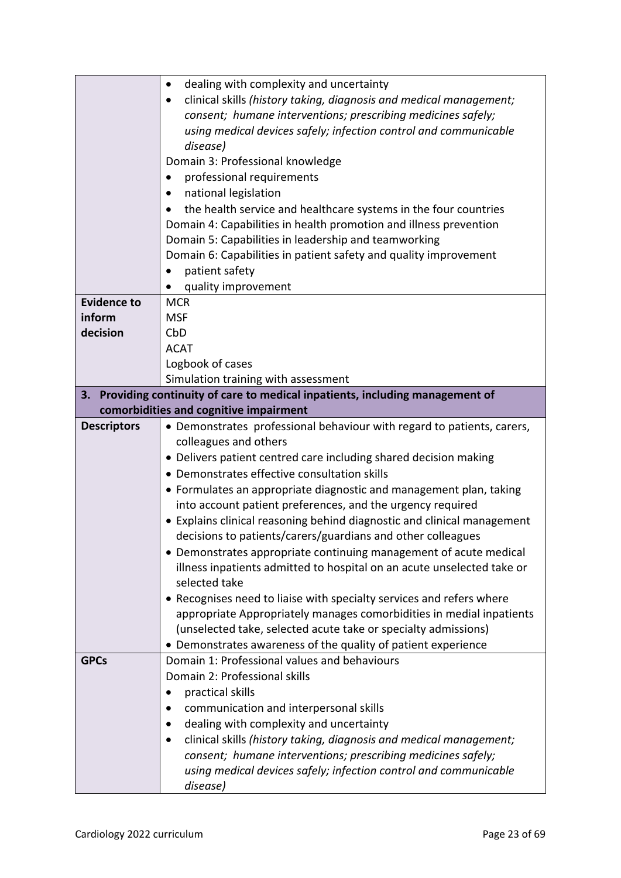|                    | dealing with complexity and uncertainty<br>$\bullet$                                                             |
|--------------------|------------------------------------------------------------------------------------------------------------------|
|                    | clinical skills (history taking, diagnosis and medical management;                                               |
|                    | consent; humane interventions; prescribing medicines safely;                                                     |
|                    | using medical devices safely; infection control and communicable                                                 |
|                    | disease)                                                                                                         |
|                    | Domain 3: Professional knowledge                                                                                 |
|                    | professional requirements<br>$\bullet$                                                                           |
|                    | national legislation                                                                                             |
|                    | the health service and healthcare systems in the four countries                                                  |
|                    | Domain 4: Capabilities in health promotion and illness prevention                                                |
|                    | Domain 5: Capabilities in leadership and teamworking                                                             |
|                    | Domain 6: Capabilities in patient safety and quality improvement                                                 |
|                    | patient safety                                                                                                   |
|                    | quality improvement                                                                                              |
| <b>Evidence to</b> | <b>MCR</b>                                                                                                       |
| inform             | <b>MSF</b>                                                                                                       |
| decision           | CbD                                                                                                              |
|                    | <b>ACAT</b>                                                                                                      |
|                    | Logbook of cases                                                                                                 |
|                    | Simulation training with assessment                                                                              |
|                    | 3. Providing continuity of care to medical inpatients, including management of                                   |
|                    | comorbidities and cognitive impairment                                                                           |
| <b>Descriptors</b> | • Demonstrates professional behaviour with regard to patients, carers,                                           |
|                    | colleagues and others                                                                                            |
|                    | • Delivers patient centred care including shared decision making<br>• Demonstrates effective consultation skills |
|                    | • Formulates an appropriate diagnostic and management plan, taking                                               |
|                    | into account patient preferences, and the urgency required                                                       |
|                    | • Explains clinical reasoning behind diagnostic and clinical management                                          |
|                    | decisions to patients/carers/guardians and other colleagues                                                      |
|                    | • Demonstrates appropriate continuing management of acute medical                                                |
|                    | illness inpatients admitted to hospital on an acute unselected take or                                           |
|                    | selected take                                                                                                    |
|                    | • Recognises need to liaise with specialty services and refers where                                             |
|                    | appropriate Appropriately manages comorbidities in medial inpatients                                             |
|                    | (unselected take, selected acute take or specialty admissions)                                                   |
|                    | • Demonstrates awareness of the quality of patient experience                                                    |
| <b>GPCs</b>        | Domain 1: Professional values and behaviours                                                                     |
|                    | Domain 2: Professional skills                                                                                    |
|                    | practical skills                                                                                                 |
|                    | communication and interpersonal skills                                                                           |
|                    | dealing with complexity and uncertainty                                                                          |
|                    | clinical skills (history taking, diagnosis and medical management;<br>٠                                          |
|                    | consent; humane interventions; prescribing medicines safely;                                                     |
|                    | using medical devices safely; infection control and communicable                                                 |
|                    | disease)                                                                                                         |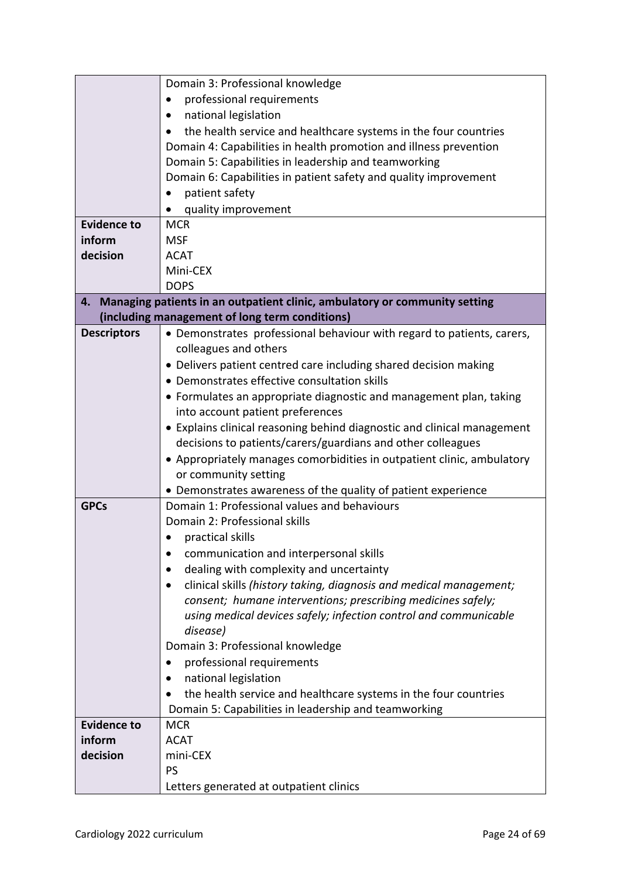|                    | Domain 3: Professional knowledge                                              |
|--------------------|-------------------------------------------------------------------------------|
|                    | professional requirements                                                     |
|                    | national legislation<br>$\bullet$                                             |
|                    | the health service and healthcare systems in the four countries               |
|                    | Domain 4: Capabilities in health promotion and illness prevention             |
|                    | Domain 5: Capabilities in leadership and teamworking                          |
|                    | Domain 6: Capabilities in patient safety and quality improvement              |
|                    | patient safety                                                                |
|                    | quality improvement                                                           |
| <b>Evidence to</b> | <b>MCR</b>                                                                    |
| inform             | <b>MSF</b>                                                                    |
| decision           | <b>ACAT</b>                                                                   |
|                    | Mini-CEX                                                                      |
|                    | <b>DOPS</b>                                                                   |
|                    | 4. Managing patients in an outpatient clinic, ambulatory or community setting |
|                    | (including management of long term conditions)                                |
| <b>Descriptors</b> | • Demonstrates professional behaviour with regard to patients, carers,        |
|                    | colleagues and others                                                         |
|                    | • Delivers patient centred care including shared decision making              |
|                    | • Demonstrates effective consultation skills                                  |
|                    |                                                                               |
|                    | • Formulates an appropriate diagnostic and management plan, taking            |
|                    | into account patient preferences                                              |
|                    | • Explains clinical reasoning behind diagnostic and clinical management       |
|                    | decisions to patients/carers/guardians and other colleagues                   |
|                    | • Appropriately manages comorbidities in outpatient clinic, ambulatory        |
|                    | or community setting                                                          |
|                    | • Demonstrates awareness of the quality of patient experience                 |
| <b>GPCs</b>        | Domain 1: Professional values and behaviours                                  |
|                    | Domain 2: Professional skills                                                 |
|                    | practical skills                                                              |
|                    | communication and interpersonal skills                                        |
|                    | dealing with complexity and uncertainty                                       |
|                    | clinical skills (history taking, diagnosis and medical management;            |
|                    | consent; humane interventions; prescribing medicines safely;                  |
|                    | using medical devices safely; infection control and communicable              |
|                    | disease)                                                                      |
|                    | Domain 3: Professional knowledge                                              |
|                    | professional requirements                                                     |
|                    | national legislation                                                          |
|                    | the health service and healthcare systems in the four countries               |
|                    | Domain 5: Capabilities in leadership and teamworking                          |
| <b>Evidence to</b> | <b>MCR</b>                                                                    |
| inform             | <b>ACAT</b>                                                                   |
| decision           | mini-CEX                                                                      |
|                    | PS                                                                            |
|                    | Letters generated at outpatient clinics                                       |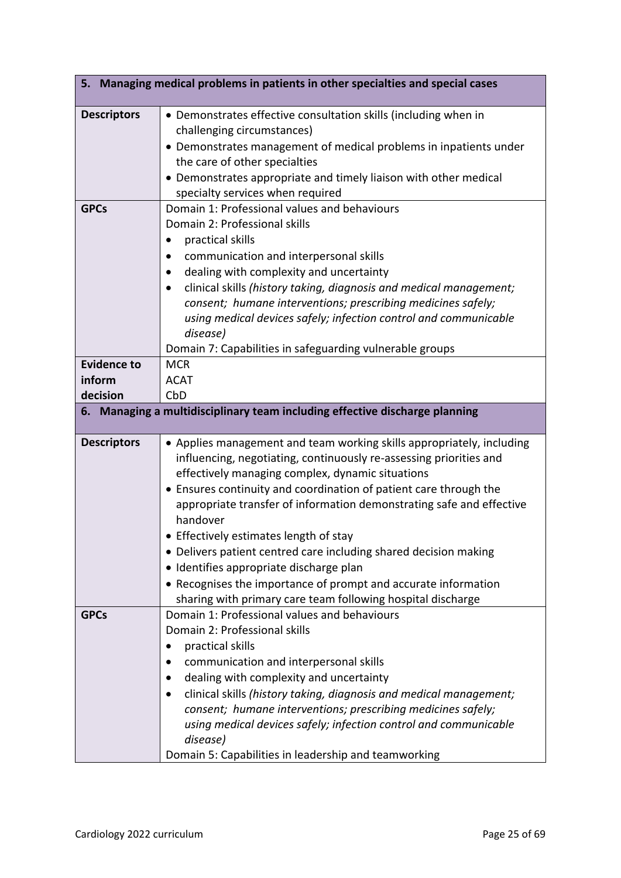|                    | 5. Managing medical problems in patients in other specialties and special cases |
|--------------------|---------------------------------------------------------------------------------|
| <b>Descriptors</b> | • Demonstrates effective consultation skills (including when in                 |
|                    | challenging circumstances)                                                      |
|                    | • Demonstrates management of medical problems in inpatients under               |
|                    | the care of other specialties                                                   |
|                    | • Demonstrates appropriate and timely liaison with other medical                |
|                    | specialty services when required                                                |
| <b>GPCs</b>        | Domain 1: Professional values and behaviours                                    |
|                    | Domain 2: Professional skills                                                   |
|                    | practical skills                                                                |
|                    | communication and interpersonal skills                                          |
|                    | dealing with complexity and uncertainty<br>٠                                    |
|                    | clinical skills (history taking, diagnosis and medical management;<br>$\bullet$ |
|                    | consent; humane interventions; prescribing medicines safely;                    |
|                    | using medical devices safely; infection control and communicable                |
|                    | disease)                                                                        |
|                    | Domain 7: Capabilities in safeguarding vulnerable groups                        |
| <b>Evidence to</b> | <b>MCR</b>                                                                      |
| inform             | <b>ACAT</b>                                                                     |
| decision           | CbD                                                                             |
|                    | 6. Managing a multidisciplinary team including effective discharge planning     |
| <b>Descriptors</b> | • Applies management and team working skills appropriately, including           |
|                    | influencing, negotiating, continuously re-assessing priorities and              |
|                    | effectively managing complex, dynamic situations                                |
|                    | • Ensures continuity and coordination of patient care through the               |
|                    | appropriate transfer of information demonstrating safe and effective            |
|                    | handover                                                                        |
|                    | • Effectively estimates length of stay                                          |
|                    | • Delivers patient centred care including shared decision making                |
|                    | · Identifies appropriate discharge plan                                         |
|                    | • Recognises the importance of prompt and accurate information                  |
|                    | sharing with primary care team following hospital discharge                     |
| <b>GPCs</b>        | Domain 1: Professional values and behaviours                                    |
|                    | Domain 2: Professional skills                                                   |
|                    | practical skills<br>٠                                                           |
|                    | communication and interpersonal skills                                          |
|                    | dealing with complexity and uncertainty                                         |
|                    | clinical skills (history taking, diagnosis and medical management;              |
|                    | consent; humane interventions; prescribing medicines safely;                    |
|                    | using medical devices safely; infection control and communicable                |
|                    | disease)                                                                        |
|                    | Domain 5: Capabilities in leadership and teamworking                            |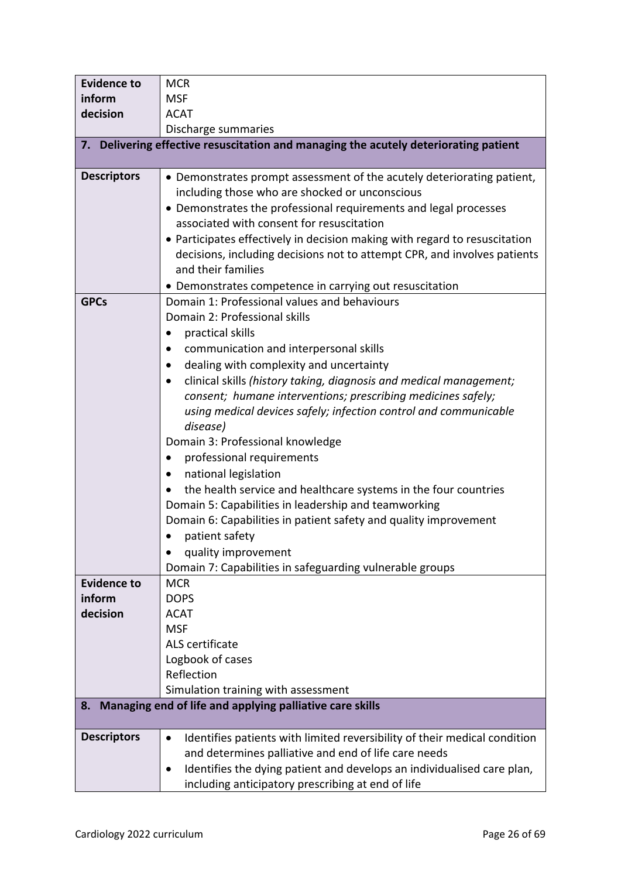| <b>Evidence to</b> | <b>MCR</b>                                                                           |  |
|--------------------|--------------------------------------------------------------------------------------|--|
| inform             | <b>MSF</b>                                                                           |  |
| decision           | <b>ACAT</b>                                                                          |  |
|                    | Discharge summaries                                                                  |  |
|                    | 7. Delivering effective resuscitation and managing the acutely deteriorating patient |  |
|                    |                                                                                      |  |
| <b>Descriptors</b> | • Demonstrates prompt assessment of the acutely deteriorating patient,               |  |
|                    | including those who are shocked or unconscious                                       |  |
|                    | • Demonstrates the professional requirements and legal processes                     |  |
|                    | associated with consent for resuscitation                                            |  |
|                    | • Participates effectively in decision making with regard to resuscitation           |  |
|                    | decisions, including decisions not to attempt CPR, and involves patients             |  |
|                    | and their families                                                                   |  |
|                    | • Demonstrates competence in carrying out resuscitation                              |  |
| <b>GPCs</b>        | Domain 1: Professional values and behaviours                                         |  |
|                    | Domain 2: Professional skills                                                        |  |
|                    | practical skills                                                                     |  |
|                    | communication and interpersonal skills                                               |  |
|                    | dealing with complexity and uncertainty                                              |  |
|                    | clinical skills (history taking, diagnosis and medical management;                   |  |
|                    | consent; humane interventions; prescribing medicines safely;                         |  |
|                    | using medical devices safely; infection control and communicable                     |  |
|                    | disease)                                                                             |  |
|                    | Domain 3: Professional knowledge                                                     |  |
|                    | professional requirements                                                            |  |
|                    | national legislation<br>$\bullet$                                                    |  |
|                    | the health service and healthcare systems in the four countries                      |  |
|                    | Domain 5: Capabilities in leadership and teamworking                                 |  |
|                    | Domain 6: Capabilities in patient safety and quality improvement                     |  |
|                    | patient safety                                                                       |  |
|                    | quality improvement                                                                  |  |
|                    | Domain 7: Capabilities in safeguarding vulnerable groups                             |  |
| <b>Evidence to</b> | <b>MCR</b>                                                                           |  |
| inform             | <b>DOPS</b>                                                                          |  |
| decision           | <b>ACAT</b>                                                                          |  |
|                    | <b>MSF</b>                                                                           |  |
|                    | ALS certificate                                                                      |  |
|                    | Logbook of cases<br>Reflection                                                       |  |
|                    | Simulation training with assessment                                                  |  |
| 8.                 | Managing end of life and applying palliative care skills                             |  |
|                    |                                                                                      |  |
| <b>Descriptors</b> | Identifies patients with limited reversibility of their medical condition<br>٠       |  |
|                    | and determines palliative and end of life care needs                                 |  |
|                    | Identifies the dying patient and develops an individualised care plan,<br>$\bullet$  |  |
|                    | including anticipatory prescribing at end of life                                    |  |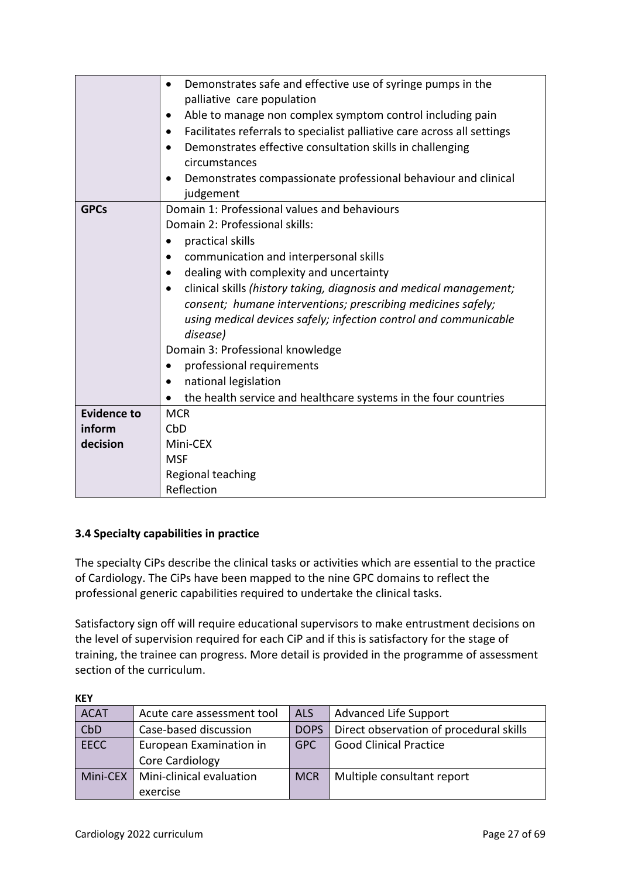|                    | Demonstrates safe and effective use of syringe pumps in the<br>$\bullet$        |
|--------------------|---------------------------------------------------------------------------------|
|                    | palliative care population                                                      |
|                    | Able to manage non complex symptom control including pain                       |
|                    | Facilitates referrals to specialist palliative care across all settings         |
|                    | Demonstrates effective consultation skills in challenging<br>$\bullet$          |
|                    | circumstances                                                                   |
|                    | Demonstrates compassionate professional behaviour and clinical                  |
|                    | judgement                                                                       |
| <b>GPCs</b>        | Domain 1: Professional values and behaviours                                    |
|                    | Domain 2: Professional skills:                                                  |
|                    | practical skills                                                                |
|                    | communication and interpersonal skills                                          |
|                    | dealing with complexity and uncertainty                                         |
|                    | clinical skills (history taking, diagnosis and medical management;<br>$\bullet$ |
|                    | consent; humane interventions; prescribing medicines safely;                    |
|                    | using medical devices safely; infection control and communicable                |
|                    | disease)                                                                        |
|                    | Domain 3: Professional knowledge                                                |
|                    | professional requirements                                                       |
|                    | national legislation                                                            |
|                    | the health service and healthcare systems in the four countries                 |
| <b>Evidence to</b> | <b>MCR</b>                                                                      |
| inform             | CbD                                                                             |
| decision           | Mini-CEX                                                                        |
|                    | <b>MSF</b>                                                                      |
|                    | Regional teaching                                                               |
|                    | Reflection                                                                      |

### <span id="page-26-0"></span>**3.4 Specialty capabilities in practice**

The specialty CiPs describe the clinical tasks or activities which are essential to the practice of Cardiology. The CiPs have been mapped to the nine GPC domains to reflect the professional generic capabilities required to undertake the clinical tasks.

Satisfactory sign off will require educational supervisors to make entrustment decisions on the level of supervision required for each CiP and if this is satisfactory for the stage of training, the trainee can progress. More detail is provided in the programme of assessment section of the curriculum.

| <b>ACAT</b> | Acute care assessment tool | <b>ALS</b>  | <b>Advanced Life Support</b>            |
|-------------|----------------------------|-------------|-----------------------------------------|
| CbD         | Case-based discussion      | <b>DOPS</b> | Direct observation of procedural skills |
| <b>EECC</b> | European Examination in    | GPC.        | <b>Good Clinical Practice</b>           |
|             | Core Cardiology            |             |                                         |
| Mini-CEX I  | Mini-clinical evaluation   | <b>MCR</b>  | Multiple consultant report              |
|             | exercise                   |             |                                         |

**KEY**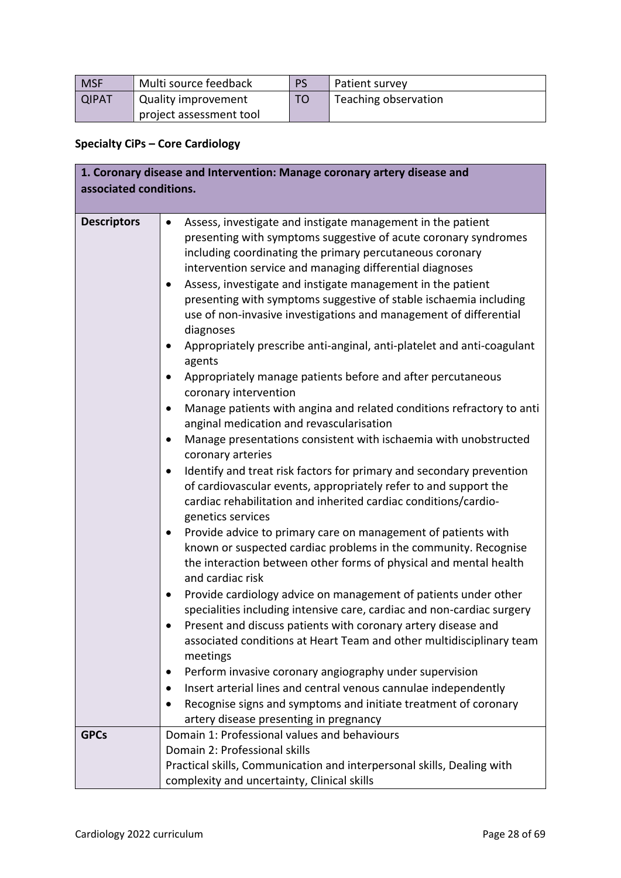| <b>MSF</b>   | Multi source feedback   | <b>PS</b> | Patient survey       |
|--------------|-------------------------|-----------|----------------------|
| <b>QIPAT</b> | Quality improvement     | TO        | Teaching observation |
|              | project assessment tool |           |                      |

# **Specialty CiPs – Core Cardiology**

| 1. Coronary disease and Intervention: Manage coronary artery disease and |                                                                                                                                                                                                                                                                                                                                                                                                                                                                                                                                                                                                                                                                                                                                                                                                                                                                                                                                                                                                                                                                                                                                                                                                                                                                                                                                                                                                                                    |  |
|--------------------------------------------------------------------------|------------------------------------------------------------------------------------------------------------------------------------------------------------------------------------------------------------------------------------------------------------------------------------------------------------------------------------------------------------------------------------------------------------------------------------------------------------------------------------------------------------------------------------------------------------------------------------------------------------------------------------------------------------------------------------------------------------------------------------------------------------------------------------------------------------------------------------------------------------------------------------------------------------------------------------------------------------------------------------------------------------------------------------------------------------------------------------------------------------------------------------------------------------------------------------------------------------------------------------------------------------------------------------------------------------------------------------------------------------------------------------------------------------------------------------|--|
| associated conditions.                                                   |                                                                                                                                                                                                                                                                                                                                                                                                                                                                                                                                                                                                                                                                                                                                                                                                                                                                                                                                                                                                                                                                                                                                                                                                                                                                                                                                                                                                                                    |  |
|                                                                          |                                                                                                                                                                                                                                                                                                                                                                                                                                                                                                                                                                                                                                                                                                                                                                                                                                                                                                                                                                                                                                                                                                                                                                                                                                                                                                                                                                                                                                    |  |
| <b>Descriptors</b>                                                       | Assess, investigate and instigate management in the patient<br>$\bullet$<br>presenting with symptoms suggestive of acute coronary syndromes<br>including coordinating the primary percutaneous coronary<br>intervention service and managing differential diagnoses<br>Assess, investigate and instigate management in the patient<br>presenting with symptoms suggestive of stable ischaemia including<br>use of non-invasive investigations and management of differential<br>diagnoses<br>Appropriately prescribe anti-anginal, anti-platelet and anti-coagulant<br>$\bullet$<br>agents<br>Appropriately manage patients before and after percutaneous<br>$\bullet$<br>coronary intervention<br>Manage patients with angina and related conditions refractory to anti<br>$\bullet$<br>anginal medication and revascularisation<br>Manage presentations consistent with ischaemia with unobstructed<br>$\bullet$<br>coronary arteries<br>Identify and treat risk factors for primary and secondary prevention<br>$\bullet$<br>of cardiovascular events, appropriately refer to and support the<br>cardiac rehabilitation and inherited cardiac conditions/cardio-<br>genetics services<br>Provide advice to primary care on management of patients with<br>$\bullet$<br>known or suspected cardiac problems in the community. Recognise<br>the interaction between other forms of physical and mental health<br>and cardiac risk |  |
|                                                                          | Provide cardiology advice on management of patients under other<br>$\bullet$<br>specialities including intensive care, cardiac and non-cardiac surgery<br>Present and discuss patients with coronary artery disease and<br>٠<br>associated conditions at Heart Team and other multidisciplinary team<br>meetings                                                                                                                                                                                                                                                                                                                                                                                                                                                                                                                                                                                                                                                                                                                                                                                                                                                                                                                                                                                                                                                                                                                   |  |
|                                                                          | Perform invasive coronary angiography under supervision                                                                                                                                                                                                                                                                                                                                                                                                                                                                                                                                                                                                                                                                                                                                                                                                                                                                                                                                                                                                                                                                                                                                                                                                                                                                                                                                                                            |  |
|                                                                          | Insert arterial lines and central venous cannulae independently<br>$\bullet$                                                                                                                                                                                                                                                                                                                                                                                                                                                                                                                                                                                                                                                                                                                                                                                                                                                                                                                                                                                                                                                                                                                                                                                                                                                                                                                                                       |  |
|                                                                          | Recognise signs and symptoms and initiate treatment of coronary                                                                                                                                                                                                                                                                                                                                                                                                                                                                                                                                                                                                                                                                                                                                                                                                                                                                                                                                                                                                                                                                                                                                                                                                                                                                                                                                                                    |  |
|                                                                          | artery disease presenting in pregnancy                                                                                                                                                                                                                                                                                                                                                                                                                                                                                                                                                                                                                                                                                                                                                                                                                                                                                                                                                                                                                                                                                                                                                                                                                                                                                                                                                                                             |  |
| <b>GPCs</b>                                                              | Domain 1: Professional values and behaviours                                                                                                                                                                                                                                                                                                                                                                                                                                                                                                                                                                                                                                                                                                                                                                                                                                                                                                                                                                                                                                                                                                                                                                                                                                                                                                                                                                                       |  |
|                                                                          | Domain 2: Professional skills                                                                                                                                                                                                                                                                                                                                                                                                                                                                                                                                                                                                                                                                                                                                                                                                                                                                                                                                                                                                                                                                                                                                                                                                                                                                                                                                                                                                      |  |
|                                                                          | Practical skills, Communication and interpersonal skills, Dealing with                                                                                                                                                                                                                                                                                                                                                                                                                                                                                                                                                                                                                                                                                                                                                                                                                                                                                                                                                                                                                                                                                                                                                                                                                                                                                                                                                             |  |
|                                                                          | complexity and uncertainty, Clinical skills                                                                                                                                                                                                                                                                                                                                                                                                                                                                                                                                                                                                                                                                                                                                                                                                                                                                                                                                                                                                                                                                                                                                                                                                                                                                                                                                                                                        |  |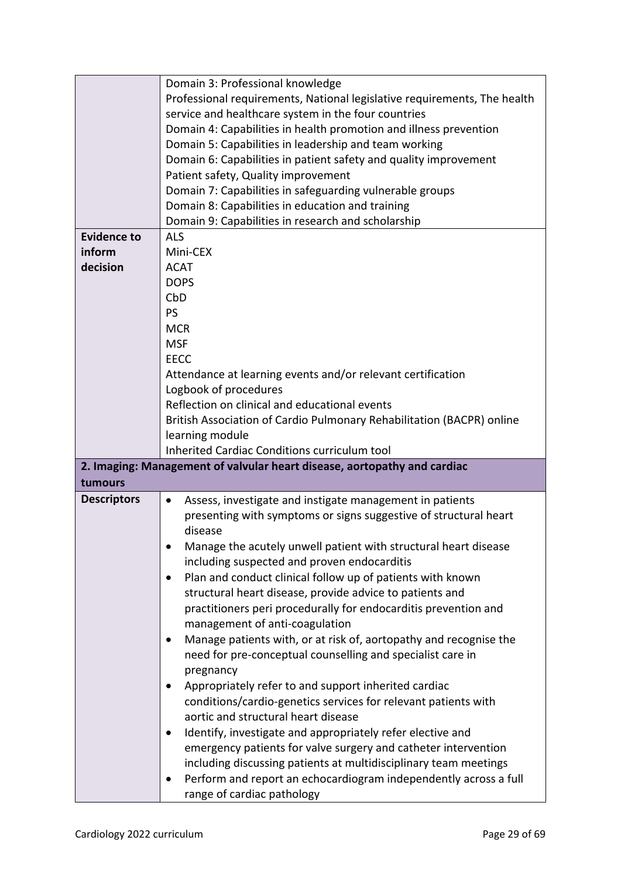|                    | Domain 3: Professional knowledge                                         |
|--------------------|--------------------------------------------------------------------------|
|                    | Professional requirements, National legislative requirements, The health |
|                    | service and healthcare system in the four countries                      |
|                    | Domain 4: Capabilities in health promotion and illness prevention        |
|                    | Domain 5: Capabilities in leadership and team working                    |
|                    | Domain 6: Capabilities in patient safety and quality improvement         |
|                    | Patient safety, Quality improvement                                      |
|                    | Domain 7: Capabilities in safeguarding vulnerable groups                 |
|                    |                                                                          |
|                    | Domain 8: Capabilities in education and training                         |
|                    | Domain 9: Capabilities in research and scholarship                       |
| <b>Evidence to</b> | <b>ALS</b>                                                               |
| inform             | Mini-CEX                                                                 |
| decision           | <b>ACAT</b>                                                              |
|                    | <b>DOPS</b>                                                              |
|                    | CbD                                                                      |
|                    | PS                                                                       |
|                    | <b>MCR</b>                                                               |
|                    | <b>MSF</b>                                                               |
|                    | <b>EECC</b>                                                              |
|                    | Attendance at learning events and/or relevant certification              |
|                    | Logbook of procedures                                                    |
|                    | Reflection on clinical and educational events                            |
|                    | British Association of Cardio Pulmonary Rehabilitation (BACPR) online    |
|                    | learning module                                                          |
|                    | Inherited Cardiac Conditions curriculum tool                             |
|                    | 2. Imaging: Management of valvular heart disease, aortopathy and cardiac |
| tumours            |                                                                          |
|                    |                                                                          |
| <b>Descriptors</b> | Assess, investigate and instigate management in patients<br>$\bullet$    |
|                    | presenting with symptoms or signs suggestive of structural heart         |
|                    | disease                                                                  |
|                    | Manage the acutely unwell patient with structural heart disease          |
|                    | including suspected and proven endocarditis                              |
|                    | Plan and conduct clinical follow up of patients with known               |
|                    | structural heart disease, provide advice to patients and                 |
|                    | practitioners peri procedurally for endocarditis prevention and          |
|                    | management of anti-coagulation                                           |
|                    | Manage patients with, or at risk of, aortopathy and recognise the        |
|                    | need for pre-conceptual counselling and specialist care in               |
|                    | pregnancy                                                                |
|                    | Appropriately refer to and support inherited cardiac<br>$\bullet$        |
|                    | conditions/cardio-genetics services for relevant patients with           |
|                    | aortic and structural heart disease                                      |
|                    | Identify, investigate and appropriately refer elective and               |
|                    | emergency patients for valve surgery and catheter intervention           |
|                    |                                                                          |
|                    | including discussing patients at multidisciplinary team meetings         |
|                    | Perform and report an echocardiogram independently across a full         |
|                    | range of cardiac pathology                                               |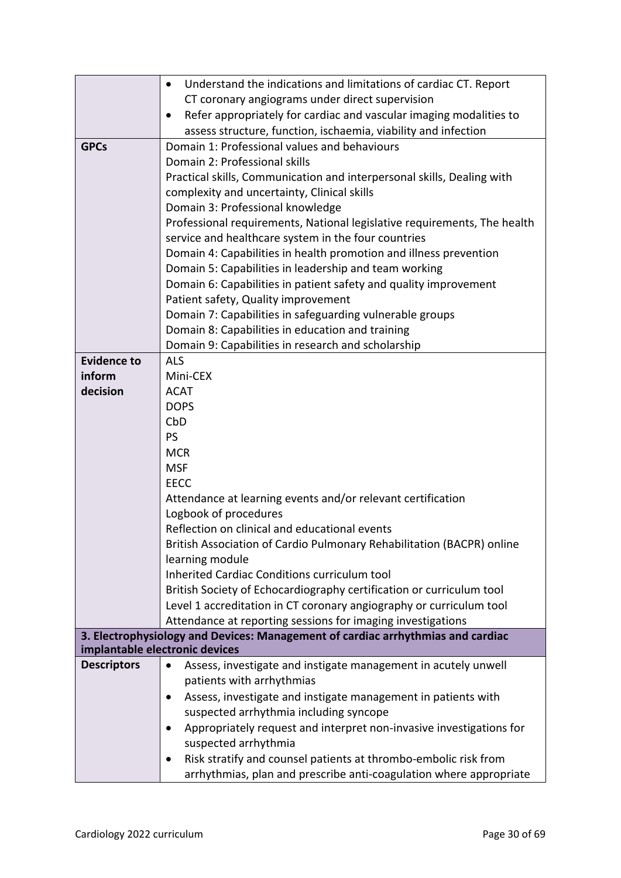|                    | Understand the indications and limitations of cardiac CT. Report<br>$\bullet$                                     |
|--------------------|-------------------------------------------------------------------------------------------------------------------|
|                    | CT coronary angiograms under direct supervision                                                                   |
|                    | Refer appropriately for cardiac and vascular imaging modalities to<br>$\bullet$                                   |
|                    | assess structure, function, ischaemia, viability and infection                                                    |
| <b>GPCs</b>        | Domain 1: Professional values and behaviours                                                                      |
|                    | Domain 2: Professional skills                                                                                     |
|                    | Practical skills, Communication and interpersonal skills, Dealing with                                            |
|                    | complexity and uncertainty, Clinical skills                                                                       |
|                    | Domain 3: Professional knowledge                                                                                  |
|                    | Professional requirements, National legislative requirements, The health                                          |
|                    | service and healthcare system in the four countries                                                               |
|                    | Domain 4: Capabilities in health promotion and illness prevention                                                 |
|                    | Domain 5: Capabilities in leadership and team working                                                             |
|                    | Domain 6: Capabilities in patient safety and quality improvement                                                  |
|                    | Patient safety, Quality improvement                                                                               |
|                    | Domain 7: Capabilities in safeguarding vulnerable groups                                                          |
|                    | Domain 8: Capabilities in education and training                                                                  |
|                    | Domain 9: Capabilities in research and scholarship                                                                |
| <b>Evidence to</b> | <b>ALS</b>                                                                                                        |
| inform             | Mini-CEX                                                                                                          |
| decision           | <b>ACAT</b>                                                                                                       |
|                    | <b>DOPS</b>                                                                                                       |
|                    | CbD                                                                                                               |
|                    | PS                                                                                                                |
|                    | <b>MCR</b>                                                                                                        |
|                    | <b>MSF</b>                                                                                                        |
|                    | <b>EECC</b>                                                                                                       |
|                    | Attendance at learning events and/or relevant certification                                                       |
|                    | Logbook of procedures                                                                                             |
|                    | Reflection on clinical and educational events                                                                     |
|                    | British Association of Cardio Pulmonary Rehabilitation (BACPR) online                                             |
|                    | learning module                                                                                                   |
|                    | <b>Inherited Cardiac Conditions curriculum tool</b>                                                               |
|                    | British Society of Echocardiography certification or curriculum tool                                              |
|                    | Level 1 accreditation in CT coronary angiography or curriculum tool                                               |
|                    | Attendance at reporting sessions for imaging investigations                                                       |
|                    | 3. Electrophysiology and Devices: Management of cardiac arrhythmias and cardiac<br>implantable electronic devices |
| <b>Descriptors</b> | Assess, investigate and instigate management in acutely unwell<br>$\bullet$                                       |
|                    | patients with arrhythmias                                                                                         |
|                    |                                                                                                                   |
|                    | Assess, investigate and instigate management in patients with<br>$\bullet$                                        |
|                    | suspected arrhythmia including syncope                                                                            |
|                    | Appropriately request and interpret non-invasive investigations for<br>$\bullet$                                  |
|                    | suspected arrhythmia                                                                                              |
|                    | Risk stratify and counsel patients at thrombo-embolic risk from<br>$\bullet$                                      |
|                    | arrhythmias, plan and prescribe anti-coagulation where appropriate                                                |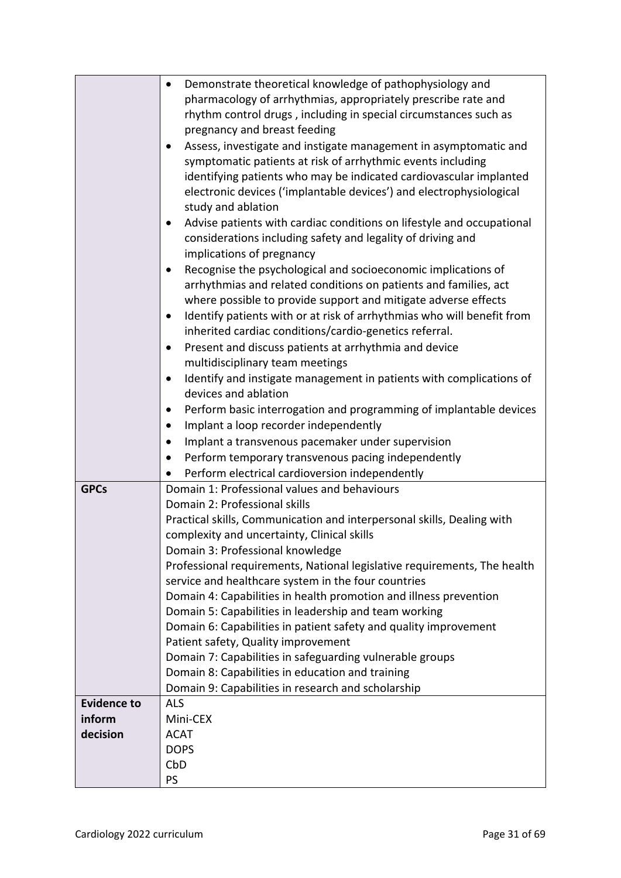|                    | Demonstrate theoretical knowledge of pathophysiology and<br>$\bullet$               |
|--------------------|-------------------------------------------------------------------------------------|
|                    | pharmacology of arrhythmias, appropriately prescribe rate and                       |
|                    | rhythm control drugs, including in special circumstances such as                    |
|                    | pregnancy and breast feeding                                                        |
|                    | Assess, investigate and instigate management in asymptomatic and<br>$\bullet$       |
|                    | symptomatic patients at risk of arrhythmic events including                         |
|                    | identifying patients who may be indicated cardiovascular implanted                  |
|                    | electronic devices ('implantable devices') and electrophysiological                 |
|                    | study and ablation                                                                  |
|                    | Advise patients with cardiac conditions on lifestyle and occupational<br>$\bullet$  |
|                    | considerations including safety and legality of driving and                         |
|                    | implications of pregnancy                                                           |
|                    | Recognise the psychological and socioeconomic implications of                       |
|                    | arrhythmias and related conditions on patients and families, act                    |
|                    | where possible to provide support and mitigate adverse effects                      |
|                    | Identify patients with or at risk of arrhythmias who will benefit from<br>$\bullet$ |
|                    | inherited cardiac conditions/cardio-genetics referral.                              |
|                    | Present and discuss patients at arrhythmia and device<br>$\bullet$                  |
|                    | multidisciplinary team meetings                                                     |
|                    | Identify and instigate management in patients with complications of<br>$\bullet$    |
|                    | devices and ablation                                                                |
|                    | Perform basic interrogation and programming of implantable devices<br>$\bullet$     |
|                    | Implant a loop recorder independently                                               |
|                    | Implant a transvenous pacemaker under supervision                                   |
|                    | Perform temporary transvenous pacing independently                                  |
|                    | Perform electrical cardioversion independently                                      |
| <b>GPCs</b>        | Domain 1: Professional values and behaviours                                        |
|                    | Domain 2: Professional skills                                                       |
|                    | Practical skills, Communication and interpersonal skills, Dealing with              |
|                    | complexity and uncertainty, Clinical skills                                         |
|                    | Domain 3: Professional knowledge                                                    |
|                    | Professional requirements, National legislative requirements, The health            |
|                    | service and healthcare system in the four countries                                 |
|                    | Domain 4: Capabilities in health promotion and illness prevention                   |
|                    | Domain 5: Capabilities in leadership and team working                               |
|                    | Domain 6: Capabilities in patient safety and quality improvement                    |
|                    | Patient safety, Quality improvement                                                 |
|                    | Domain 7: Capabilities in safeguarding vulnerable groups                            |
|                    | Domain 8: Capabilities in education and training                                    |
| <b>Evidence to</b> | Domain 9: Capabilities in research and scholarship<br><b>ALS</b>                    |
| inform             | Mini-CEX                                                                            |
| decision           | <b>ACAT</b>                                                                         |
|                    | <b>DOPS</b>                                                                         |
|                    | CbD                                                                                 |
|                    | PS                                                                                  |
|                    |                                                                                     |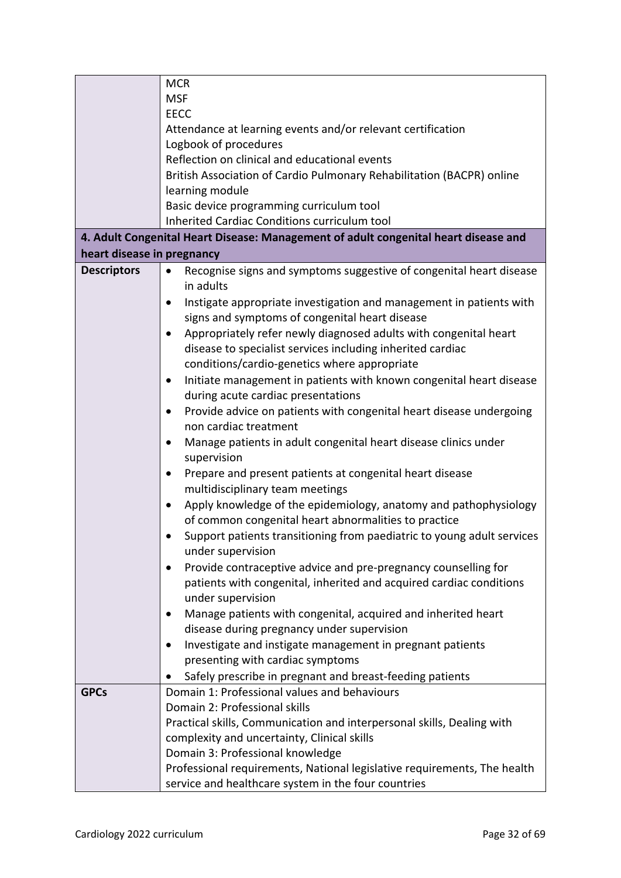|                            | <b>MCR</b>                                                                          |  |
|----------------------------|-------------------------------------------------------------------------------------|--|
|                            | <b>MSF</b>                                                                          |  |
|                            | <b>EECC</b>                                                                         |  |
|                            | Attendance at learning events and/or relevant certification                         |  |
|                            | Logbook of procedures                                                               |  |
|                            | Reflection on clinical and educational events                                       |  |
|                            | British Association of Cardio Pulmonary Rehabilitation (BACPR) online               |  |
|                            | learning module                                                                     |  |
|                            | Basic device programming curriculum tool                                            |  |
|                            | Inherited Cardiac Conditions curriculum tool                                        |  |
|                            | 4. Adult Congenital Heart Disease: Management of adult congenital heart disease and |  |
| heart disease in pregnancy |                                                                                     |  |
| <b>Descriptors</b>         | Recognise signs and symptoms suggestive of congenital heart disease<br>$\bullet$    |  |
|                            | in adults                                                                           |  |
|                            | Instigate appropriate investigation and management in patients with                 |  |
|                            | signs and symptoms of congenital heart disease                                      |  |
|                            | Appropriately refer newly diagnosed adults with congenital heart                    |  |
|                            | disease to specialist services including inherited cardiac                          |  |
|                            | conditions/cardio-genetics where appropriate                                        |  |
|                            | Initiate management in patients with known congenital heart disease<br>$\bullet$    |  |
|                            | during acute cardiac presentations                                                  |  |
|                            | Provide advice on patients with congenital heart disease undergoing<br>$\bullet$    |  |
|                            | non cardiac treatment                                                               |  |
|                            | Manage patients in adult congenital heart disease clinics under<br>$\bullet$        |  |
|                            | supervision                                                                         |  |
|                            | Prepare and present patients at congenital heart disease<br>٠                       |  |
|                            | multidisciplinary team meetings                                                     |  |
|                            | Apply knowledge of the epidemiology, anatomy and pathophysiology<br>$\bullet$       |  |
|                            | of common congenital heart abnormalities to practice                                |  |
|                            | Support patients transitioning from paediatric to young adult services              |  |
|                            | under supervision                                                                   |  |
|                            | Provide contraceptive advice and pre-pregnancy counselling for<br>$\bullet$         |  |
|                            | patients with congenital, inherited and acquired cardiac conditions                 |  |
|                            | under supervision                                                                   |  |
|                            | Manage patients with congenital, acquired and inherited heart                       |  |
|                            | disease during pregnancy under supervision                                          |  |
|                            | Investigate and instigate management in pregnant patients                           |  |
|                            | presenting with cardiac symptoms                                                    |  |
|                            | Safely prescribe in pregnant and breast-feeding patients                            |  |
| <b>GPCs</b>                | Domain 1: Professional values and behaviours                                        |  |
|                            | Domain 2: Professional skills                                                       |  |
|                            | Practical skills, Communication and interpersonal skills, Dealing with              |  |
|                            | complexity and uncertainty, Clinical skills                                         |  |
|                            | Domain 3: Professional knowledge                                                    |  |
|                            | Professional requirements, National legislative requirements, The health            |  |
|                            | service and healthcare system in the four countries                                 |  |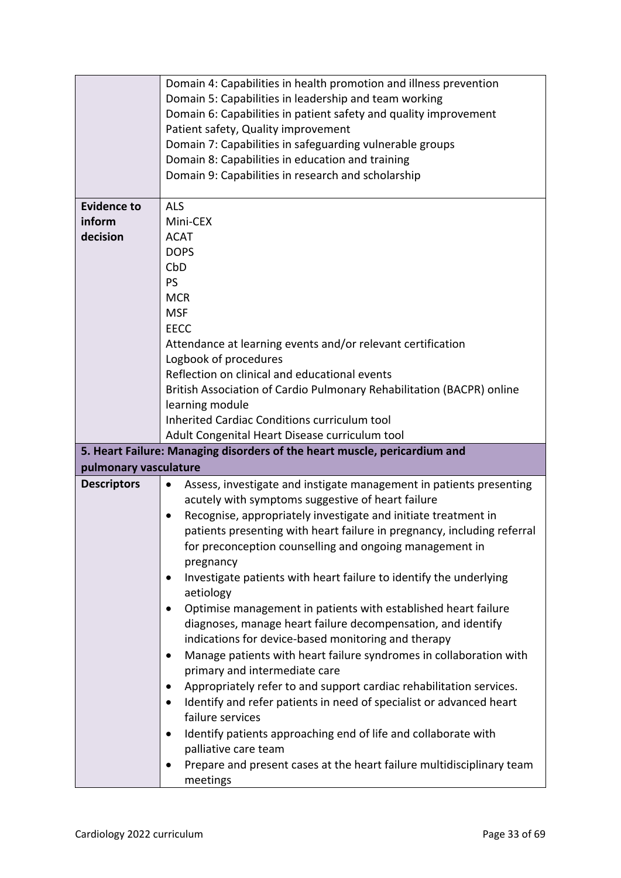|                       | Domain 4: Capabilities in health promotion and illness prevention                |
|-----------------------|----------------------------------------------------------------------------------|
|                       | Domain 5: Capabilities in leadership and team working                            |
|                       | Domain 6: Capabilities in patient safety and quality improvement                 |
|                       | Patient safety, Quality improvement                                              |
|                       | Domain 7: Capabilities in safeguarding vulnerable groups                         |
|                       | Domain 8: Capabilities in education and training                                 |
|                       | Domain 9: Capabilities in research and scholarship                               |
|                       |                                                                                  |
| <b>Evidence to</b>    | <b>ALS</b>                                                                       |
| inform                | Mini-CEX                                                                         |
| decision              | <b>ACAT</b>                                                                      |
|                       | <b>DOPS</b>                                                                      |
|                       | CbD                                                                              |
|                       | PS                                                                               |
|                       | <b>MCR</b>                                                                       |
|                       | <b>MSF</b>                                                                       |
|                       | <b>EECC</b>                                                                      |
|                       | Attendance at learning events and/or relevant certification                      |
|                       | Logbook of procedures                                                            |
|                       | Reflection on clinical and educational events                                    |
|                       | British Association of Cardio Pulmonary Rehabilitation (BACPR) online            |
|                       | learning module                                                                  |
|                       | Inherited Cardiac Conditions curriculum tool                                     |
|                       | Adult Congenital Heart Disease curriculum tool                                   |
|                       | 5. Heart Failure: Managing disorders of the heart muscle, pericardium and        |
| pulmonary vasculature |                                                                                  |
| <b>Descriptors</b>    | Assess, investigate and instigate management in patients presenting<br>$\bullet$ |
|                       | acutely with symptoms suggestive of heart failure                                |
|                       | Recognise, appropriately investigate and initiate treatment in<br>$\bullet$      |
|                       | patients presenting with heart failure in pregnancy, including referral          |
|                       | for preconception counselling and ongoing management in                          |
|                       |                                                                                  |
|                       | pregnancy                                                                        |
|                       | Investigate patients with heart failure to identify the underlying               |
|                       | aetiology                                                                        |
|                       | Optimise management in patients with established heart failure                   |
|                       | diagnoses, manage heart failure decompensation, and identify                     |
|                       | indications for device-based monitoring and therapy                              |
|                       | Manage patients with heart failure syndromes in collaboration with               |
|                       | primary and intermediate care                                                    |
|                       | Appropriately refer to and support cardiac rehabilitation services.              |
|                       | Identify and refer patients in need of specialist or advanced heart              |
|                       | failure services                                                                 |
|                       | Identify patients approaching end of life and collaborate with                   |
|                       | palliative care team                                                             |
|                       | Prepare and present cases at the heart failure multidisciplinary team            |
|                       | meetings                                                                         |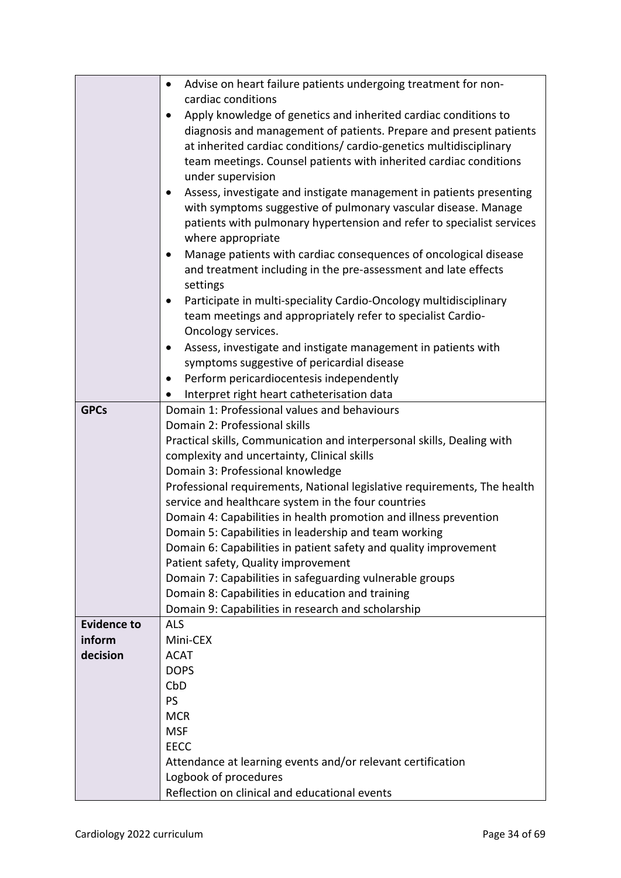|                    | Advise on heart failure patients undergoing treatment for non-           |
|--------------------|--------------------------------------------------------------------------|
|                    | cardiac conditions                                                       |
|                    |                                                                          |
|                    | Apply knowledge of genetics and inherited cardiac conditions to          |
|                    | diagnosis and management of patients. Prepare and present patients       |
|                    | at inherited cardiac conditions/ cardio-genetics multidisciplinary       |
|                    | team meetings. Counsel patients with inherited cardiac conditions        |
|                    | under supervision                                                        |
|                    | Assess, investigate and instigate management in patients presenting      |
|                    | with symptoms suggestive of pulmonary vascular disease. Manage           |
|                    | patients with pulmonary hypertension and refer to specialist services    |
|                    | where appropriate                                                        |
|                    | Manage patients with cardiac consequences of oncological disease         |
|                    | and treatment including in the pre-assessment and late effects           |
|                    | settings                                                                 |
|                    | Participate in multi-speciality Cardio-Oncology multidisciplinary        |
|                    | team meetings and appropriately refer to specialist Cardio-              |
|                    | Oncology services.                                                       |
|                    |                                                                          |
|                    | Assess, investigate and instigate management in patients with            |
|                    | symptoms suggestive of pericardial disease                               |
|                    | Perform pericardiocentesis independently                                 |
|                    | Interpret right heart catheterisation data                               |
| <b>GPCs</b>        | Domain 1: Professional values and behaviours                             |
|                    | Domain 2: Professional skills                                            |
|                    | Practical skills, Communication and interpersonal skills, Dealing with   |
|                    | complexity and uncertainty, Clinical skills                              |
|                    | Domain 3: Professional knowledge                                         |
|                    | Professional requirements, National legislative requirements, The health |
|                    | service and healthcare system in the four countries                      |
|                    | Domain 4: Capabilities in health promotion and illness prevention        |
|                    | Domain 5: Capabilities in leadership and team working                    |
|                    | Domain 6: Capabilities in patient safety and quality improvement         |
|                    | Patient safety, Quality improvement                                      |
|                    | Domain 7: Capabilities in safeguarding vulnerable groups                 |
|                    | Domain 8: Capabilities in education and training                         |
|                    | Domain 9: Capabilities in research and scholarship                       |
| <b>Evidence to</b> | <b>ALS</b>                                                               |
| inform             | Mini-CEX                                                                 |
| decision           | <b>ACAT</b>                                                              |
|                    | <b>DOPS</b>                                                              |
|                    | CbD                                                                      |
|                    | <b>PS</b>                                                                |
|                    |                                                                          |
|                    | <b>MCR</b>                                                               |
|                    | <b>MSF</b>                                                               |
|                    | EECC                                                                     |
|                    | Attendance at learning events and/or relevant certification              |
|                    | Logbook of procedures                                                    |
|                    | Reflection on clinical and educational events                            |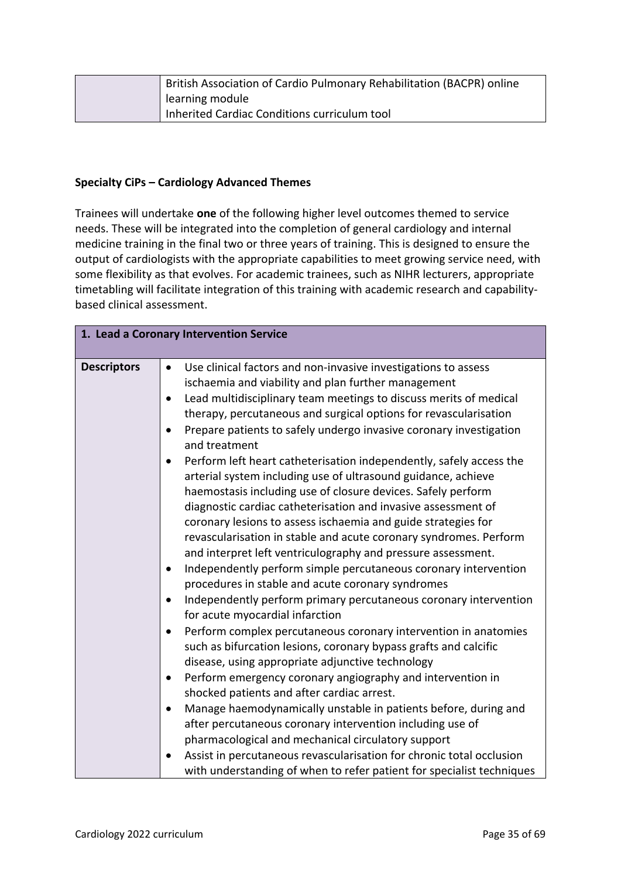|  | British Association of Cardio Pulmonary Rehabilitation (BACPR) online |
|--|-----------------------------------------------------------------------|
|  | learning module                                                       |
|  | Inherited Cardiac Conditions curriculum tool                          |

### **Specialty CiPs – Cardiology Advanced Themes**

Trainees will undertake **one** of the following higher level outcomes themed to service needs. These will be integrated into the completion of general cardiology and internal medicine training in the final two or three years of training. This is designed to ensure the output of cardiologists with the appropriate capabilities to meet growing service need, with some flexibility as that evolves. For academic trainees, such as NIHR lecturers, appropriate timetabling will facilitate integration of this training with academic research and capabilitybased clinical assessment.

| 1. Lead a Coronary Intervention Service |                                                                                                                                                                                                                                                                                                                                                                                                                                                                                                                                                                                                                                                                                                                                                                                                                                                                                                                                                                                                                                                                                                                                                                                                                                                                                                                                                                                         |  |
|-----------------------------------------|-----------------------------------------------------------------------------------------------------------------------------------------------------------------------------------------------------------------------------------------------------------------------------------------------------------------------------------------------------------------------------------------------------------------------------------------------------------------------------------------------------------------------------------------------------------------------------------------------------------------------------------------------------------------------------------------------------------------------------------------------------------------------------------------------------------------------------------------------------------------------------------------------------------------------------------------------------------------------------------------------------------------------------------------------------------------------------------------------------------------------------------------------------------------------------------------------------------------------------------------------------------------------------------------------------------------------------------------------------------------------------------------|--|
|                                         |                                                                                                                                                                                                                                                                                                                                                                                                                                                                                                                                                                                                                                                                                                                                                                                                                                                                                                                                                                                                                                                                                                                                                                                                                                                                                                                                                                                         |  |
| <b>Descriptors</b>                      | Use clinical factors and non-invasive investigations to assess<br>$\bullet$<br>ischaemia and viability and plan further management<br>Lead multidisciplinary team meetings to discuss merits of medical<br>therapy, percutaneous and surgical options for revascularisation<br>Prepare patients to safely undergo invasive coronary investigation<br>and treatment<br>Perform left heart catheterisation independently, safely access the<br>arterial system including use of ultrasound guidance, achieve<br>haemostasis including use of closure devices. Safely perform<br>diagnostic cardiac catheterisation and invasive assessment of<br>coronary lesions to assess ischaemia and guide strategies for<br>revascularisation in stable and acute coronary syndromes. Perform<br>and interpret left ventriculography and pressure assessment.<br>Independently perform simple percutaneous coronary intervention<br>procedures in stable and acute coronary syndromes<br>Independently perform primary percutaneous coronary intervention<br>for acute myocardial infarction<br>Perform complex percutaneous coronary intervention in anatomies<br>such as bifurcation lesions, coronary bypass grafts and calcific<br>disease, using appropriate adjunctive technology<br>Perform emergency coronary angiography and intervention in<br>shocked patients and after cardiac arrest. |  |
|                                         | Manage haemodynamically unstable in patients before, during and<br>after percutaneous coronary intervention including use of<br>pharmacological and mechanical circulatory support                                                                                                                                                                                                                                                                                                                                                                                                                                                                                                                                                                                                                                                                                                                                                                                                                                                                                                                                                                                                                                                                                                                                                                                                      |  |
|                                         | Assist in percutaneous revascularisation for chronic total occlusion<br>with understanding of when to refer patient for specialist techniques                                                                                                                                                                                                                                                                                                                                                                                                                                                                                                                                                                                                                                                                                                                                                                                                                                                                                                                                                                                                                                                                                                                                                                                                                                           |  |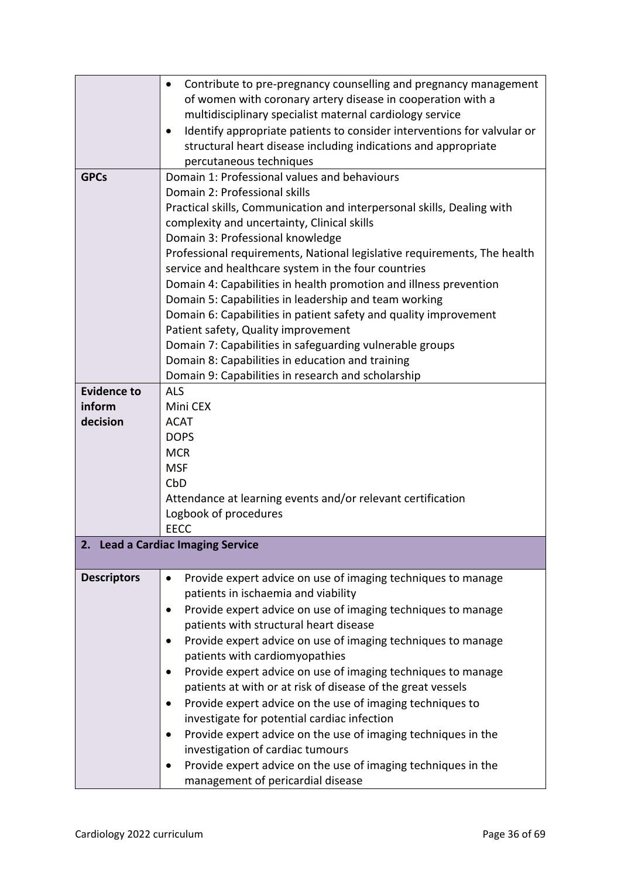|                                                                                                        | Contribute to pre-pregnancy counselling and pregnancy management             |  |  |
|--------------------------------------------------------------------------------------------------------|------------------------------------------------------------------------------|--|--|
|                                                                                                        | of women with coronary artery disease in cooperation with a                  |  |  |
|                                                                                                        | multidisciplinary specialist maternal cardiology service                     |  |  |
|                                                                                                        | Identify appropriate patients to consider interventions for valvular or<br>٠ |  |  |
|                                                                                                        | structural heart disease including indications and appropriate               |  |  |
|                                                                                                        | percutaneous techniques                                                      |  |  |
| <b>GPCs</b>                                                                                            | Domain 1: Professional values and behaviours                                 |  |  |
|                                                                                                        | Domain 2: Professional skills                                                |  |  |
|                                                                                                        | Practical skills, Communication and interpersonal skills, Dealing with       |  |  |
|                                                                                                        | complexity and uncertainty, Clinical skills                                  |  |  |
|                                                                                                        | Domain 3: Professional knowledge                                             |  |  |
|                                                                                                        | Professional requirements, National legislative requirements, The health     |  |  |
|                                                                                                        | service and healthcare system in the four countries                          |  |  |
|                                                                                                        | Domain 4: Capabilities in health promotion and illness prevention            |  |  |
|                                                                                                        | Domain 5: Capabilities in leadership and team working                        |  |  |
|                                                                                                        | Domain 6: Capabilities in patient safety and quality improvement             |  |  |
|                                                                                                        | Patient safety, Quality improvement                                          |  |  |
|                                                                                                        | Domain 7: Capabilities in safeguarding vulnerable groups                     |  |  |
|                                                                                                        |                                                                              |  |  |
| Domain 8: Capabilities in education and training<br>Domain 9: Capabilities in research and scholarship |                                                                              |  |  |
| <b>Evidence to</b>                                                                                     | <b>ALS</b>                                                                   |  |  |
| inform                                                                                                 | Mini CEX                                                                     |  |  |
| decision                                                                                               | <b>ACAT</b>                                                                  |  |  |
|                                                                                                        | <b>DOPS</b>                                                                  |  |  |
|                                                                                                        | <b>MCR</b>                                                                   |  |  |
|                                                                                                        | <b>MSF</b>                                                                   |  |  |
|                                                                                                        | CbD                                                                          |  |  |
|                                                                                                        | Attendance at learning events and/or relevant certification                  |  |  |
|                                                                                                        | Logbook of procedures                                                        |  |  |
|                                                                                                        | <b>EECC</b>                                                                  |  |  |
|                                                                                                        | 2. Lead a Cardiac Imaging Service                                            |  |  |
|                                                                                                        |                                                                              |  |  |
| <b>Descriptors</b>                                                                                     | Provide expert advice on use of imaging techniques to manage<br>$\bullet$    |  |  |
|                                                                                                        | patients in ischaemia and viability                                          |  |  |
|                                                                                                        | Provide expert advice on use of imaging techniques to manage<br>$\bullet$    |  |  |
|                                                                                                        | patients with structural heart disease                                       |  |  |
|                                                                                                        | Provide expert advice on use of imaging techniques to manage                 |  |  |
|                                                                                                        | patients with cardiomyopathies                                               |  |  |
|                                                                                                        | Provide expert advice on use of imaging techniques to manage                 |  |  |
|                                                                                                        | patients at with or at risk of disease of the great vessels                  |  |  |
|                                                                                                        | Provide expert advice on the use of imaging techniques to<br>$\bullet$       |  |  |
|                                                                                                        | investigate for potential cardiac infection                                  |  |  |
|                                                                                                        | Provide expert advice on the use of imaging techniques in the<br>$\bullet$   |  |  |
|                                                                                                        | investigation of cardiac tumours                                             |  |  |
|                                                                                                        | Provide expert advice on the use of imaging techniques in the<br>$\bullet$   |  |  |
|                                                                                                        | management of pericardial disease                                            |  |  |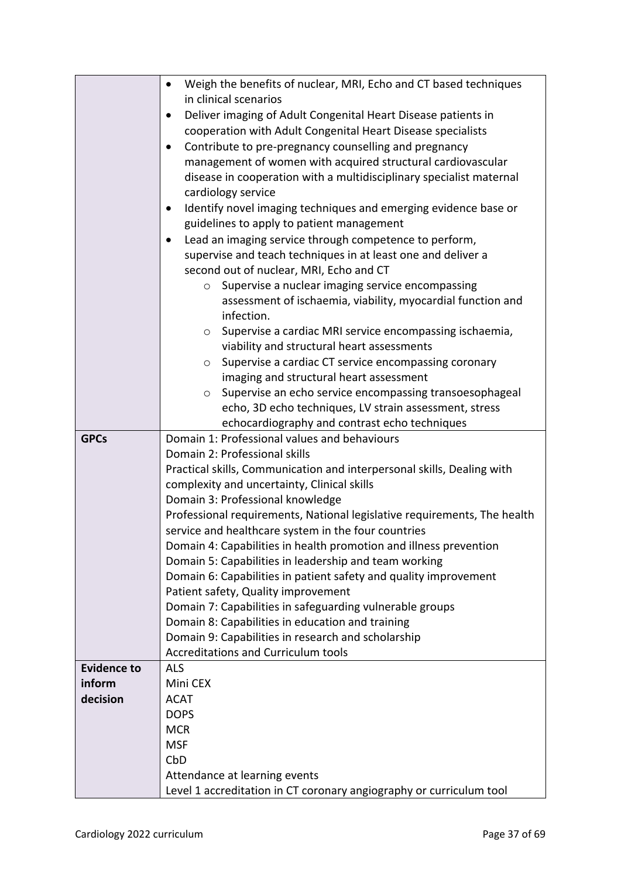|                    | Weigh the benefits of nuclear, MRI, Echo and CT based techniques<br>$\bullet$                        |  |  |
|--------------------|------------------------------------------------------------------------------------------------------|--|--|
|                    | in clinical scenarios                                                                                |  |  |
|                    | Deliver imaging of Adult Congenital Heart Disease patients in<br>$\bullet$                           |  |  |
|                    | cooperation with Adult Congenital Heart Disease specialists                                          |  |  |
|                    | Contribute to pre-pregnancy counselling and pregnancy                                                |  |  |
|                    | management of women with acquired structural cardiovascular                                          |  |  |
|                    | disease in cooperation with a multidisciplinary specialist maternal                                  |  |  |
|                    | cardiology service                                                                                   |  |  |
|                    | Identify novel imaging techniques and emerging evidence base or<br>$\bullet$                         |  |  |
|                    | guidelines to apply to patient management                                                            |  |  |
|                    | Lead an imaging service through competence to perform,<br>$\bullet$                                  |  |  |
|                    | supervise and teach techniques in at least one and deliver a                                         |  |  |
|                    | second out of nuclear, MRI, Echo and CT                                                              |  |  |
|                    | Supervise a nuclear imaging service encompassing<br>$\circ$                                          |  |  |
|                    | assessment of ischaemia, viability, myocardial function and                                          |  |  |
|                    | infection.                                                                                           |  |  |
|                    | Supervise a cardiac MRI service encompassing ischaemia,<br>$\circ$                                   |  |  |
|                    | viability and structural heart assessments                                                           |  |  |
|                    | Supervise a cardiac CT service encompassing coronary<br>$\circ$                                      |  |  |
|                    | imaging and structural heart assessment                                                              |  |  |
|                    | Supervise an echo service encompassing transoesophageal<br>$\circ$                                   |  |  |
|                    | echo, 3D echo techniques, LV strain assessment, stress                                               |  |  |
|                    | echocardiography and contrast echo techniques                                                        |  |  |
| <b>GPCs</b>        | Domain 1: Professional values and behaviours                                                         |  |  |
|                    |                                                                                                      |  |  |
|                    | Domain 2: Professional skills                                                                        |  |  |
|                    | Practical skills, Communication and interpersonal skills, Dealing with                               |  |  |
|                    | complexity and uncertainty, Clinical skills                                                          |  |  |
|                    | Domain 3: Professional knowledge                                                                     |  |  |
|                    | Professional requirements, National legislative requirements, The health                             |  |  |
|                    | service and healthcare system in the four countries                                                  |  |  |
|                    | Domain 4: Capabilities in health promotion and illness prevention                                    |  |  |
|                    | Domain 5: Capabilities in leadership and team working                                                |  |  |
|                    | Domain 6: Capabilities in patient safety and quality improvement                                     |  |  |
|                    | Patient safety, Quality improvement                                                                  |  |  |
|                    | Domain 7: Capabilities in safeguarding vulnerable groups                                             |  |  |
|                    | Domain 8: Capabilities in education and training                                                     |  |  |
|                    | Domain 9: Capabilities in research and scholarship                                                   |  |  |
|                    | <b>Accreditations and Curriculum tools</b>                                                           |  |  |
| <b>Evidence to</b> | <b>ALS</b>                                                                                           |  |  |
| inform             | Mini CEX                                                                                             |  |  |
| decision           | <b>ACAT</b>                                                                                          |  |  |
|                    | <b>DOPS</b>                                                                                          |  |  |
|                    | <b>MCR</b>                                                                                           |  |  |
|                    | <b>MSF</b>                                                                                           |  |  |
|                    | CbD                                                                                                  |  |  |
|                    | Attendance at learning events<br>Level 1 accreditation in CT coronary angiography or curriculum tool |  |  |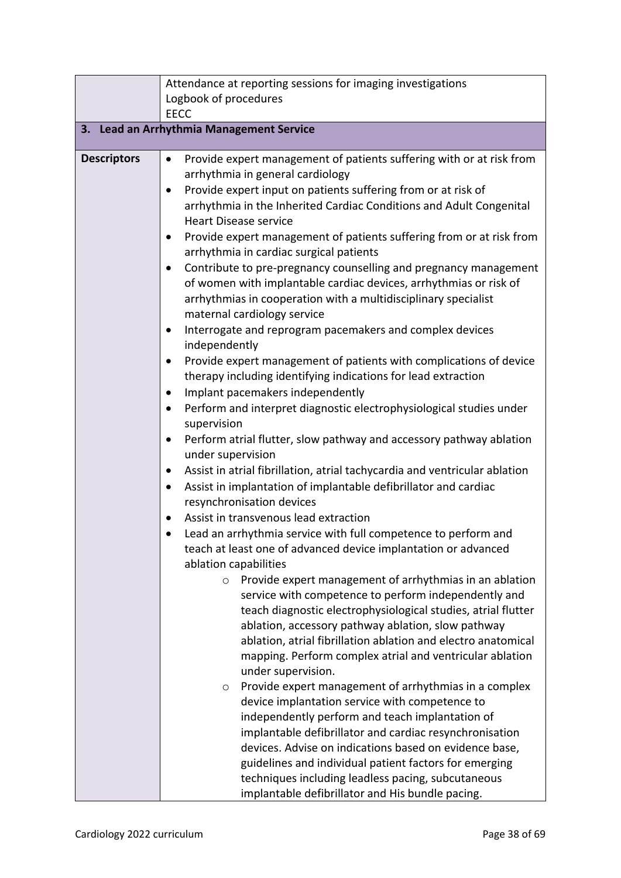|                                          | Attendance at reporting sessions for imaging investigations                                                                                                                                                                                                                                                                                                                                                                                                                                                                                                                                                                                                                                                                                                                                                                                                                                                                                                                                                                                                                                                                                                                                                                                                                                                                                                                                                                                                                                                                                                                                                                                                                                                                                                                                                                                                                                                                                                                                                                                                                                                                                                                                                                                                                                                                      |  |  |
|------------------------------------------|----------------------------------------------------------------------------------------------------------------------------------------------------------------------------------------------------------------------------------------------------------------------------------------------------------------------------------------------------------------------------------------------------------------------------------------------------------------------------------------------------------------------------------------------------------------------------------------------------------------------------------------------------------------------------------------------------------------------------------------------------------------------------------------------------------------------------------------------------------------------------------------------------------------------------------------------------------------------------------------------------------------------------------------------------------------------------------------------------------------------------------------------------------------------------------------------------------------------------------------------------------------------------------------------------------------------------------------------------------------------------------------------------------------------------------------------------------------------------------------------------------------------------------------------------------------------------------------------------------------------------------------------------------------------------------------------------------------------------------------------------------------------------------------------------------------------------------------------------------------------------------------------------------------------------------------------------------------------------------------------------------------------------------------------------------------------------------------------------------------------------------------------------------------------------------------------------------------------------------------------------------------------------------------------------------------------------------|--|--|
|                                          | Logbook of procedures                                                                                                                                                                                                                                                                                                                                                                                                                                                                                                                                                                                                                                                                                                                                                                                                                                                                                                                                                                                                                                                                                                                                                                                                                                                                                                                                                                                                                                                                                                                                                                                                                                                                                                                                                                                                                                                                                                                                                                                                                                                                                                                                                                                                                                                                                                            |  |  |
|                                          | <b>EECC</b>                                                                                                                                                                                                                                                                                                                                                                                                                                                                                                                                                                                                                                                                                                                                                                                                                                                                                                                                                                                                                                                                                                                                                                                                                                                                                                                                                                                                                                                                                                                                                                                                                                                                                                                                                                                                                                                                                                                                                                                                                                                                                                                                                                                                                                                                                                                      |  |  |
| 3. Lead an Arrhythmia Management Service |                                                                                                                                                                                                                                                                                                                                                                                                                                                                                                                                                                                                                                                                                                                                                                                                                                                                                                                                                                                                                                                                                                                                                                                                                                                                                                                                                                                                                                                                                                                                                                                                                                                                                                                                                                                                                                                                                                                                                                                                                                                                                                                                                                                                                                                                                                                                  |  |  |
| <b>Descriptors</b>                       | Provide expert management of patients suffering with or at risk from<br>$\bullet$<br>arrhythmia in general cardiology<br>Provide expert input on patients suffering from or at risk of<br>$\bullet$<br>arrhythmia in the Inherited Cardiac Conditions and Adult Congenital<br><b>Heart Disease service</b><br>Provide expert management of patients suffering from or at risk from<br>arrhythmia in cardiac surgical patients<br>Contribute to pre-pregnancy counselling and pregnancy management<br>of women with implantable cardiac devices, arrhythmias or risk of<br>arrhythmias in cooperation with a multidisciplinary specialist<br>maternal cardiology service<br>Interrogate and reprogram pacemakers and complex devices<br>independently<br>Provide expert management of patients with complications of device<br>therapy including identifying indications for lead extraction<br>Implant pacemakers independently<br>$\bullet$<br>Perform and interpret diagnostic electrophysiological studies under<br>$\bullet$<br>supervision<br>Perform atrial flutter, slow pathway and accessory pathway ablation<br>$\bullet$<br>under supervision<br>Assist in atrial fibrillation, atrial tachycardia and ventricular ablation<br>$\bullet$<br>Assist in implantation of implantable defibrillator and cardiac<br>$\bullet$<br>resynchronisation devices<br>Assist in transvenous lead extraction<br>Lead an arrhythmia service with full competence to perform and<br>teach at least one of advanced device implantation or advanced<br>ablation capabilities<br>Provide expert management of arrhythmias in an ablation<br>$\circ$<br>service with competence to perform independently and<br>teach diagnostic electrophysiological studies, atrial flutter<br>ablation, accessory pathway ablation, slow pathway<br>ablation, atrial fibrillation ablation and electro anatomical<br>mapping. Perform complex atrial and ventricular ablation<br>under supervision.<br>Provide expert management of arrhythmias in a complex<br>O<br>device implantation service with competence to<br>independently perform and teach implantation of<br>implantable defibrillator and cardiac resynchronisation<br>devices. Advise on indications based on evidence base,<br>guidelines and individual patient factors for emerging |  |  |
|                                          | techniques including leadless pacing, subcutaneous<br>implantable defibrillator and His bundle pacing.                                                                                                                                                                                                                                                                                                                                                                                                                                                                                                                                                                                                                                                                                                                                                                                                                                                                                                                                                                                                                                                                                                                                                                                                                                                                                                                                                                                                                                                                                                                                                                                                                                                                                                                                                                                                                                                                                                                                                                                                                                                                                                                                                                                                                           |  |  |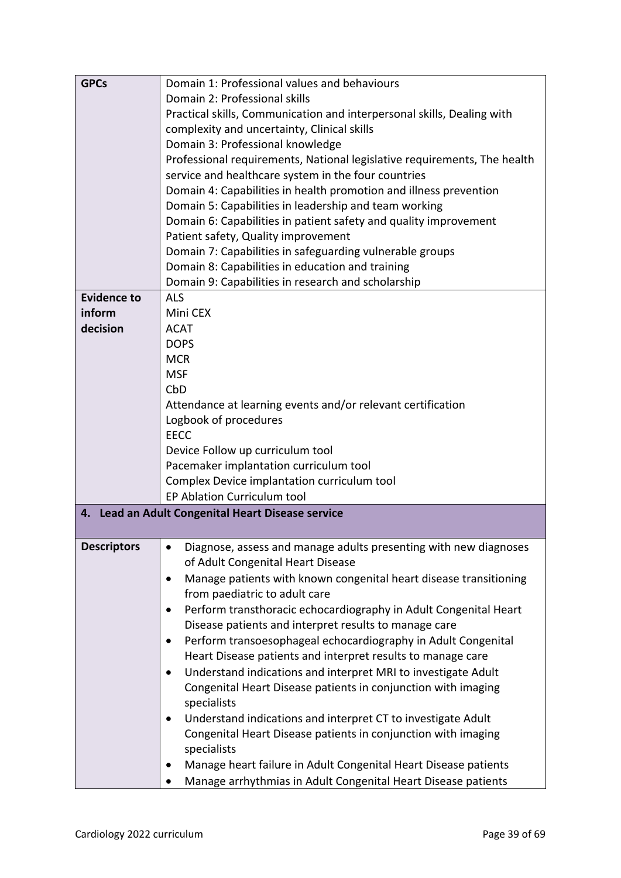| <b>GPCs</b>                                                 | Domain 1: Professional values and behaviours                                  |  |  |
|-------------------------------------------------------------|-------------------------------------------------------------------------------|--|--|
|                                                             | Domain 2: Professional skills                                                 |  |  |
|                                                             | Practical skills, Communication and interpersonal skills, Dealing with        |  |  |
|                                                             | complexity and uncertainty, Clinical skills                                   |  |  |
|                                                             | Domain 3: Professional knowledge                                              |  |  |
|                                                             | Professional requirements, National legislative requirements, The health      |  |  |
|                                                             | service and healthcare system in the four countries                           |  |  |
|                                                             | Domain 4: Capabilities in health promotion and illness prevention             |  |  |
|                                                             | Domain 5: Capabilities in leadership and team working                         |  |  |
|                                                             | Domain 6: Capabilities in patient safety and quality improvement              |  |  |
|                                                             | Patient safety, Quality improvement                                           |  |  |
|                                                             | Domain 7: Capabilities in safeguarding vulnerable groups                      |  |  |
|                                                             | Domain 8: Capabilities in education and training                              |  |  |
|                                                             | Domain 9: Capabilities in research and scholarship                            |  |  |
| <b>Evidence to</b>                                          | <b>ALS</b>                                                                    |  |  |
| inform                                                      | Mini CEX                                                                      |  |  |
| decision                                                    | <b>ACAT</b>                                                                   |  |  |
|                                                             | <b>DOPS</b>                                                                   |  |  |
|                                                             | <b>MCR</b>                                                                    |  |  |
|                                                             | <b>MSF</b>                                                                    |  |  |
|                                                             | CbD                                                                           |  |  |
|                                                             | Attendance at learning events and/or relevant certification                   |  |  |
|                                                             | Logbook of procedures                                                         |  |  |
|                                                             | <b>EECC</b>                                                                   |  |  |
|                                                             | Device Follow up curriculum tool                                              |  |  |
|                                                             | Pacemaker implantation curriculum tool                                        |  |  |
|                                                             | Complex Device implantation curriculum tool                                   |  |  |
|                                                             | <b>EP Ablation Curriculum tool</b>                                            |  |  |
|                                                             | 4. Lead an Adult Congenital Heart Disease service                             |  |  |
|                                                             |                                                                               |  |  |
| <b>Descriptors</b>                                          | Diagnose, assess and manage adults presenting with new diagnoses<br>$\bullet$ |  |  |
|                                                             | of Adult Congenital Heart Disease                                             |  |  |
|                                                             | Manage patients with known congenital heart disease transitioning<br>٠        |  |  |
|                                                             | from paediatric to adult care                                                 |  |  |
|                                                             | Perform transthoracic echocardiography in Adult Congenital Heart<br>$\bullet$ |  |  |
|                                                             | Disease patients and interpret results to manage care                         |  |  |
|                                                             | Perform transoesophageal echocardiography in Adult Congenital<br>٠            |  |  |
| Heart Disease patients and interpret results to manage care |                                                                               |  |  |
|                                                             | Understand indications and interpret MRI to investigate Adult<br>$\bullet$    |  |  |
|                                                             | Congenital Heart Disease patients in conjunction with imaging                 |  |  |
|                                                             | specialists                                                                   |  |  |
|                                                             | Understand indications and interpret CT to investigate Adult                  |  |  |
|                                                             | Congenital Heart Disease patients in conjunction with imaging                 |  |  |
|                                                             | specialists                                                                   |  |  |
|                                                             | Manage heart failure in Adult Congenital Heart Disease patients               |  |  |
|                                                             | Manage arrhythmias in Adult Congenital Heart Disease patients                 |  |  |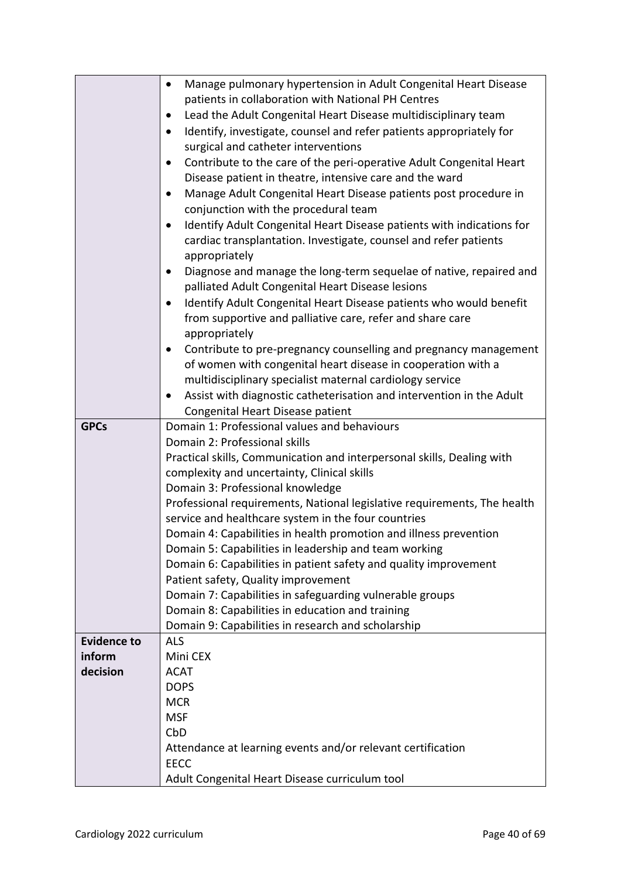|                    | Manage pulmonary hypertension in Adult Congenital Heart Disease<br>$\bullet$       |  |  |
|--------------------|------------------------------------------------------------------------------------|--|--|
|                    | patients in collaboration with National PH Centres                                 |  |  |
|                    | Lead the Adult Congenital Heart Disease multidisciplinary team<br>$\bullet$        |  |  |
|                    | Identify, investigate, counsel and refer patients appropriately for<br>$\bullet$   |  |  |
|                    | surgical and catheter interventions                                                |  |  |
|                    | Contribute to the care of the peri-operative Adult Congenital Heart<br>$\bullet$   |  |  |
|                    |                                                                                    |  |  |
|                    | Disease patient in theatre, intensive care and the ward                            |  |  |
|                    | Manage Adult Congenital Heart Disease patients post procedure in                   |  |  |
|                    | conjunction with the procedural team                                               |  |  |
|                    | Identify Adult Congenital Heart Disease patients with indications for<br>$\bullet$ |  |  |
|                    | cardiac transplantation. Investigate, counsel and refer patients                   |  |  |
|                    | appropriately                                                                      |  |  |
|                    | Diagnose and manage the long-term sequelae of native, repaired and<br>$\bullet$    |  |  |
|                    | palliated Adult Congenital Heart Disease lesions                                   |  |  |
|                    | Identify Adult Congenital Heart Disease patients who would benefit                 |  |  |
|                    | from supportive and palliative care, refer and share care                          |  |  |
|                    | appropriately                                                                      |  |  |
|                    | Contribute to pre-pregnancy counselling and pregnancy management                   |  |  |
|                    | of women with congenital heart disease in cooperation with a                       |  |  |
|                    | multidisciplinary specialist maternal cardiology service                           |  |  |
|                    | Assist with diagnostic catheterisation and intervention in the Adult<br>$\bullet$  |  |  |
|                    | Congenital Heart Disease patient                                                   |  |  |
| <b>GPCs</b>        | Domain 1: Professional values and behaviours                                       |  |  |
|                    | Domain 2: Professional skills                                                      |  |  |
|                    | Practical skills, Communication and interpersonal skills, Dealing with             |  |  |
|                    | complexity and uncertainty, Clinical skills                                        |  |  |
|                    | Domain 3: Professional knowledge                                                   |  |  |
|                    | Professional requirements, National legislative requirements, The health           |  |  |
|                    | service and healthcare system in the four countries                                |  |  |
|                    | Domain 4: Capabilities in health promotion and illness prevention                  |  |  |
|                    | Domain 5: Capabilities in leadership and team working                              |  |  |
|                    | Domain 6: Capabilities in patient safety and quality improvement                   |  |  |
|                    | Patient safety, Quality improvement                                                |  |  |
|                    | Domain 7: Capabilities in safeguarding vulnerable groups                           |  |  |
|                    | Domain 8: Capabilities in education and training                                   |  |  |
|                    | Domain 9: Capabilities in research and scholarship                                 |  |  |
| <b>Evidence to</b> | <b>ALS</b>                                                                         |  |  |
| inform             | Mini CEX                                                                           |  |  |
| decision           | <b>ACAT</b>                                                                        |  |  |
|                    | <b>DOPS</b>                                                                        |  |  |
|                    | <b>MCR</b>                                                                         |  |  |
|                    | <b>MSF</b>                                                                         |  |  |
|                    | CbD                                                                                |  |  |
|                    | Attendance at learning events and/or relevant certification                        |  |  |
|                    | <b>EECC</b>                                                                        |  |  |
|                    | Adult Congenital Heart Disease curriculum tool                                     |  |  |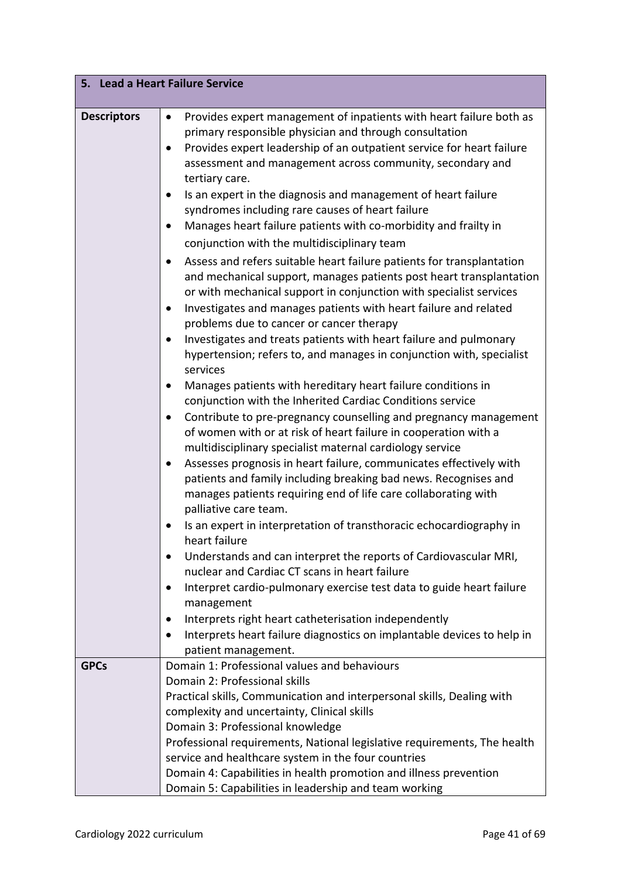| 5. Lead a Heart Failure Service |                                                                                     |  |
|---------------------------------|-------------------------------------------------------------------------------------|--|
| <b>Descriptors</b>              | Provides expert management of inpatients with heart failure both as<br>$\bullet$    |  |
|                                 | primary responsible physician and through consultation                              |  |
|                                 | Provides expert leadership of an outpatient service for heart failure<br>$\bullet$  |  |
|                                 | assessment and management across community, secondary and                           |  |
|                                 | tertiary care.                                                                      |  |
|                                 | Is an expert in the diagnosis and management of heart failure                       |  |
|                                 | syndromes including rare causes of heart failure                                    |  |
|                                 | Manages heart failure patients with co-morbidity and frailty in                     |  |
|                                 | conjunction with the multidisciplinary team                                         |  |
|                                 | Assess and refers suitable heart failure patients for transplantation               |  |
|                                 | and mechanical support, manages patients post heart transplantation                 |  |
|                                 | or with mechanical support in conjunction with specialist services                  |  |
|                                 | Investigates and manages patients with heart failure and related                    |  |
|                                 | problems due to cancer or cancer therapy                                            |  |
|                                 | Investigates and treats patients with heart failure and pulmonary                   |  |
|                                 | hypertension; refers to, and manages in conjunction with, specialist                |  |
|                                 | services                                                                            |  |
|                                 | Manages patients with hereditary heart failure conditions in                        |  |
|                                 | conjunction with the Inherited Cardiac Conditions service                           |  |
|                                 | Contribute to pre-pregnancy counselling and pregnancy management                    |  |
|                                 | of women with or at risk of heart failure in cooperation with a                     |  |
|                                 | multidisciplinary specialist maternal cardiology service                            |  |
|                                 | Assesses prognosis in heart failure, communicates effectively with                  |  |
|                                 | patients and family including breaking bad news. Recognises and                     |  |
|                                 | manages patients requiring end of life care collaborating with                      |  |
|                                 | palliative care team.                                                               |  |
|                                 | Is an expert in interpretation of transthoracic echocardiography in                 |  |
|                                 | heart failure                                                                       |  |
|                                 | Understands and can interpret the reports of Cardiovascular MRI,<br>٠               |  |
|                                 | nuclear and Cardiac CT scans in heart failure                                       |  |
|                                 | Interpret cardio-pulmonary exercise test data to guide heart failure                |  |
|                                 | management                                                                          |  |
|                                 | Interprets right heart catheterisation independently                                |  |
|                                 | Interprets heart failure diagnostics on implantable devices to help in<br>$\bullet$ |  |
| <b>GPCs</b>                     | patient management.<br>Domain 1: Professional values and behaviours                 |  |
|                                 | Domain 2: Professional skills                                                       |  |
|                                 | Practical skills, Communication and interpersonal skills, Dealing with              |  |
|                                 | complexity and uncertainty, Clinical skills                                         |  |
|                                 | Domain 3: Professional knowledge                                                    |  |
|                                 | Professional requirements, National legislative requirements, The health            |  |
|                                 | service and healthcare system in the four countries                                 |  |
|                                 | Domain 4: Capabilities in health promotion and illness prevention                   |  |
|                                 | Domain 5: Capabilities in leadership and team working                               |  |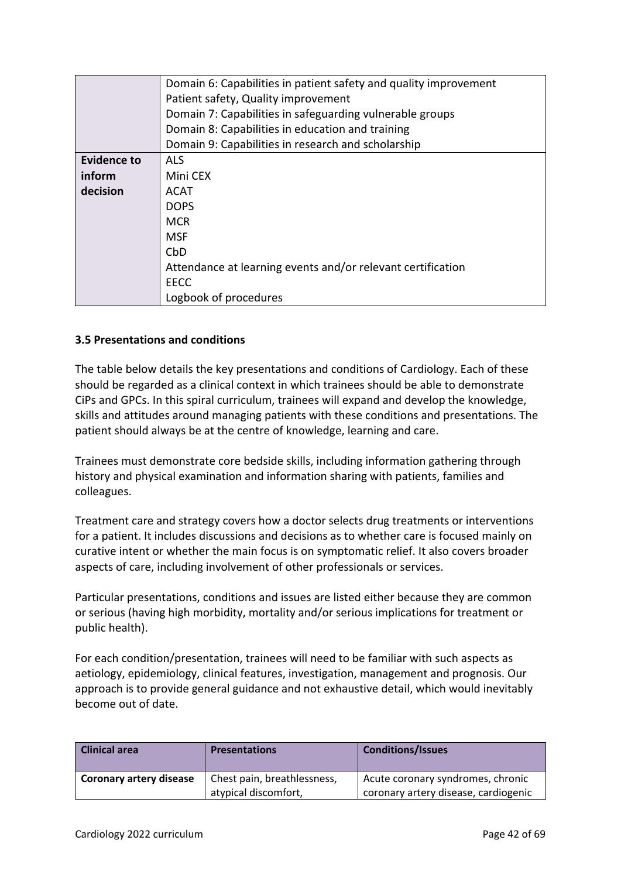|                         | Domain 6: Capabilities in patient safety and quality improvement |  |
|-------------------------|------------------------------------------------------------------|--|
|                         | Patient safety, Quality improvement                              |  |
|                         | Domain 7: Capabilities in safeguarding vulnerable groups         |  |
|                         | Domain 8: Capabilities in education and training                 |  |
|                         | Domain 9: Capabilities in research and scholarship               |  |
| <b>Evidence to</b>      | <b>ALS</b>                                                       |  |
| inform                  | Mini CEX                                                         |  |
| decision<br><b>ACAT</b> |                                                                  |  |
|                         | <b>DOPS</b>                                                      |  |
| <b>MCR</b>              |                                                                  |  |
|                         | MSF                                                              |  |
|                         | CbD                                                              |  |
|                         | Attendance at learning events and/or relevant certification      |  |
|                         | <b>EECC</b>                                                      |  |
|                         | Logbook of procedures                                            |  |

### <span id="page-41-0"></span>**3.5 Presentations and conditions**

The table below details the key presentations and conditions of Cardiology. Each of these should be regarded as a clinical context in which trainees should be able to demonstrate CiPs and GPCs. In this spiral curriculum, trainees will expand and develop the knowledge, skills and attitudes around managing patients with these conditions and presentations. The patient should always be at the centre of knowledge, learning and care.

Trainees must demonstrate core bedside skills, including information gathering through history and physical examination and information sharing with patients, families and colleagues.

Treatment care and strategy covers how a doctor selects drug treatments or interventions for a patient. It includes discussions and decisions as to whether care is focused mainly on curative intent or whether the main focus is on symptomatic relief. It also covers broader aspects of care, including involvement of other professionals or services.

Particular presentations, conditions and issues are listed either because they are common or serious (having high morbidity, mortality and/or serious implications for treatment or public health).

For each condition/presentation, trainees will need to be familiar with such aspects as aetiology, epidemiology, clinical features, investigation, management and prognosis. Our approach is to provide general guidance and not exhaustive detail, which would inevitably become out of date.

| <b>Clinical area</b>    | <b>Presentations</b>        | <b>Conditions/Issues</b>             |
|-------------------------|-----------------------------|--------------------------------------|
| Coronary artery disease | Chest pain, breathlessness, | Acute coronary syndromes, chronic    |
|                         | atypical discomfort,        | coronary artery disease, cardiogenic |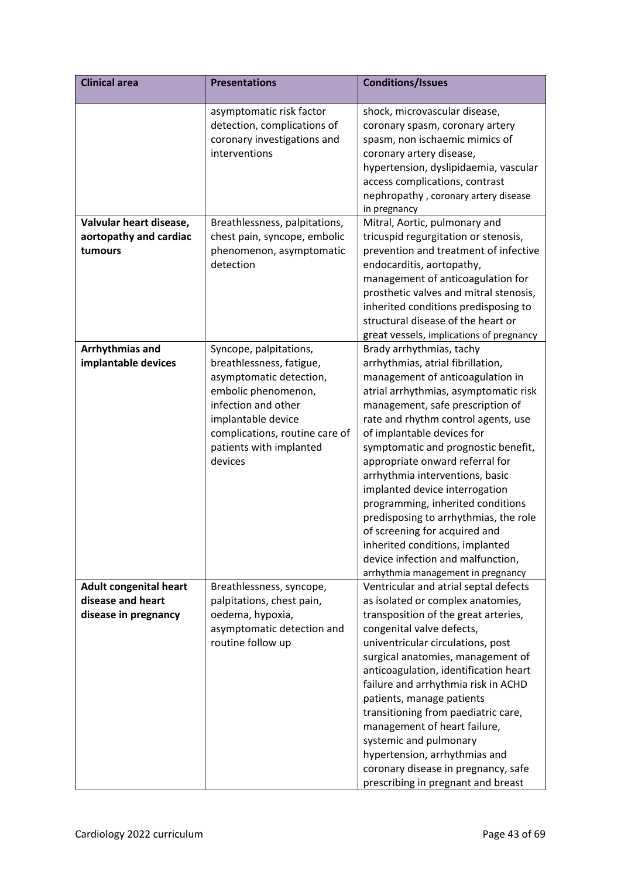| <b>Clinical area</b>                                                       | <b>Presentations</b>                                                                                                                                                                                                      | <b>Conditions/Issues</b>                                                                                                                                                                                                                                                                                                                                                                                                                                                                                                                                                                                                        |
|----------------------------------------------------------------------------|---------------------------------------------------------------------------------------------------------------------------------------------------------------------------------------------------------------------------|---------------------------------------------------------------------------------------------------------------------------------------------------------------------------------------------------------------------------------------------------------------------------------------------------------------------------------------------------------------------------------------------------------------------------------------------------------------------------------------------------------------------------------------------------------------------------------------------------------------------------------|
|                                                                            | asymptomatic risk factor<br>detection, complications of<br>coronary investigations and<br>interventions                                                                                                                   | shock, microvascular disease,<br>coronary spasm, coronary artery<br>spasm, non ischaemic mimics of<br>coronary artery disease,<br>hypertension, dyslipidaemia, vascular<br>access complications, contrast<br>nephropathy, coronary artery disease<br>in pregnancy                                                                                                                                                                                                                                                                                                                                                               |
| Valvular heart disease,<br>aortopathy and cardiac<br>tumours               | Breathlessness, palpitations,<br>chest pain, syncope, embolic<br>phenomenon, asymptomatic<br>detection                                                                                                                    | Mitral, Aortic, pulmonary and<br>tricuspid regurgitation or stenosis,<br>prevention and treatment of infective<br>endocarditis, aortopathy,<br>management of anticoagulation for<br>prosthetic valves and mitral stenosis,<br>inherited conditions predisposing to<br>structural disease of the heart or<br>great vessels, implications of pregnancy                                                                                                                                                                                                                                                                            |
| Arrhythmias and<br>implantable devices                                     | Syncope, palpitations,<br>breathlessness, fatigue,<br>asymptomatic detection,<br>embolic phenomenon,<br>infection and other<br>implantable device<br>complications, routine care of<br>patients with implanted<br>devices | Brady arrhythmias, tachy<br>arrhythmias, atrial fibrillation,<br>management of anticoagulation in<br>atrial arrhythmias, asymptomatic risk<br>management, safe prescription of<br>rate and rhythm control agents, use<br>of implantable devices for<br>symptomatic and prognostic benefit,<br>appropriate onward referral for<br>arrhythmia interventions, basic<br>implanted device interrogation<br>programming, inherited conditions<br>predisposing to arrhythmias, the role<br>of screening for acquired and<br>inherited conditions, implanted<br>device infection and malfunction,<br>arrhythmia management in pregnancy |
| <b>Adult congenital heart</b><br>disease and heart<br>disease in pregnancy | Breathlessness, syncope,<br>palpitations, chest pain,<br>oedema, hypoxia,<br>asymptomatic detection and<br>routine follow up                                                                                              | Ventricular and atrial septal defects<br>as isolated or complex anatomies,<br>transposition of the great arteries,<br>congenital valve defects,<br>univentricular circulations, post<br>surgical anatomies, management of<br>anticoagulation, identification heart<br>failure and arrhythmia risk in ACHD<br>patients, manage patients<br>transitioning from paediatric care,<br>management of heart failure,<br>systemic and pulmonary<br>hypertension, arrhythmias and<br>coronary disease in pregnancy, safe<br>prescribing in pregnant and breast                                                                           |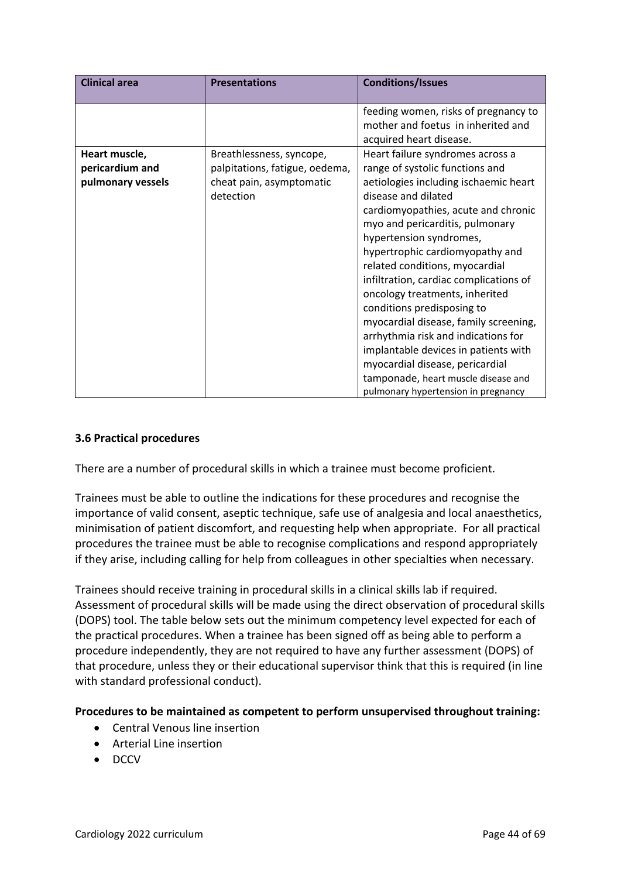| <b>Clinical area</b>                                  | <b>Presentations</b>                                                                                | <b>Conditions/Issues</b>                                                                                                                                                                                                                                                                                                                                                                                                                                                                                                                                                                                                                                         |
|-------------------------------------------------------|-----------------------------------------------------------------------------------------------------|------------------------------------------------------------------------------------------------------------------------------------------------------------------------------------------------------------------------------------------------------------------------------------------------------------------------------------------------------------------------------------------------------------------------------------------------------------------------------------------------------------------------------------------------------------------------------------------------------------------------------------------------------------------|
|                                                       |                                                                                                     | feeding women, risks of pregnancy to<br>mother and foetus in inherited and<br>acquired heart disease.                                                                                                                                                                                                                                                                                                                                                                                                                                                                                                                                                            |
| Heart muscle,<br>pericardium and<br>pulmonary vessels | Breathlessness, syncope,<br>palpitations, fatigue, oedema,<br>cheat pain, asymptomatic<br>detection | Heart failure syndromes across a<br>range of systolic functions and<br>aetiologies including ischaemic heart<br>disease and dilated<br>cardiomyopathies, acute and chronic<br>myo and pericarditis, pulmonary<br>hypertension syndromes,<br>hypertrophic cardiomyopathy and<br>related conditions, myocardial<br>infiltration, cardiac complications of<br>oncology treatments, inherited<br>conditions predisposing to<br>myocardial disease, family screening,<br>arrhythmia risk and indications for<br>implantable devices in patients with<br>myocardial disease, pericardial<br>tamponade, heart muscle disease and<br>pulmonary hypertension in pregnancy |

### <span id="page-43-0"></span>**3.6 Practical procedures**

There are a number of procedural skills in which a trainee must become proficient.

Trainees must be able to outline the indications for these procedures and recognise the importance of valid consent, aseptic technique, safe use of analgesia and local anaesthetics, minimisation of patient discomfort, and requesting help when appropriate. For all practical procedures the trainee must be able to recognise complications and respond appropriately if they arise, including calling for help from colleagues in other specialties when necessary.

Trainees should receive training in procedural skills in a clinical skills lab if required. Assessment of procedural skills will be made using the direct observation of procedural skills (DOPS) tool. The table below sets out the minimum competency level expected for each of the practical procedures. When a trainee has been signed off as being able to perform a procedure independently, they are not required to have any further assessment (DOPS) of that procedure, unless they or their educational supervisor think that this is required (in line with standard professional conduct).

**Procedures to be maintained as competent to perform unsupervised throughout training:**

- Central Venous line insertion
- Arterial Line insertion
- DCCV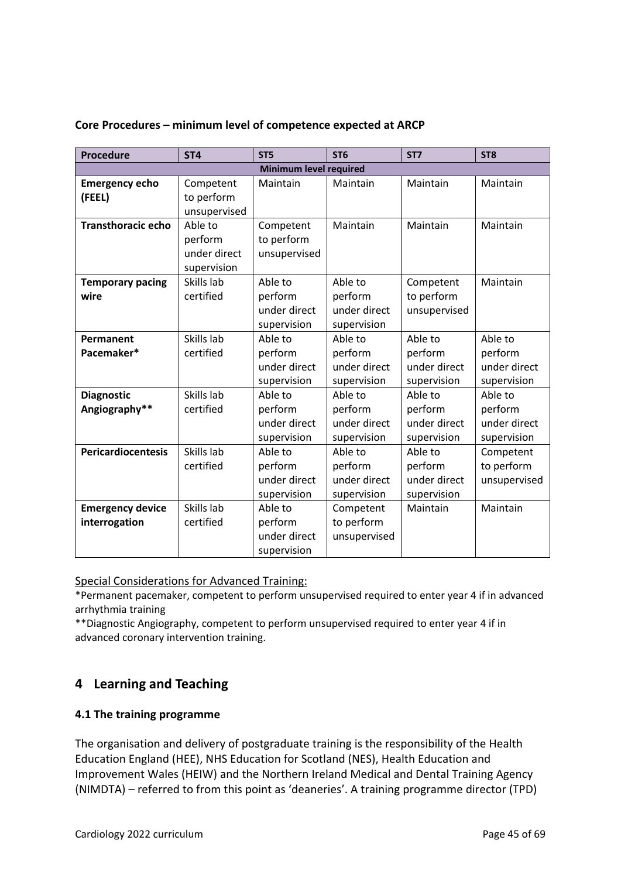| Procedure                                            | ST <sub>4</sub>                                   | ST <sub>5</sub>                                              | ST <sub>6</sub>                                                | ST <sub>7</sub>                                               | ST <sub>8</sub>                                     |  |
|------------------------------------------------------|---------------------------------------------------|--------------------------------------------------------------|----------------------------------------------------------------|---------------------------------------------------------------|-----------------------------------------------------|--|
|                                                      |                                                   | Minimum level required                                       |                                                                |                                                               |                                                     |  |
| <b>Emergency echo</b><br>(FEEL)                      | Competent<br>to perform<br>unsupervised           | Maintain                                                     | Maintain                                                       | Maintain                                                      | Maintain                                            |  |
| <b>Transthoracic echo</b>                            | Able to<br>perform<br>under direct<br>supervision | Competent<br>to perform<br>unsupervised                      | Maintain                                                       | Maintain                                                      | Maintain                                            |  |
| <b>Temporary pacing</b><br>wire                      | Skills lab<br>certified                           | Able to<br>perform<br>under direct<br>supervision            | Able to<br>perform<br>under direct<br>supervision              | Competent<br>to perform<br>unsupervised                       | Maintain                                            |  |
| Permanent<br>Pacemaker*                              | Skills lab<br>certified                           | Able to<br>perform<br>under direct<br>supervision            | Able to<br>perform<br>under direct<br>supervision              | Able to<br>perform<br>under direct<br>supervision             | Able to<br>perform<br>under direct<br>supervision   |  |
| <b>Diagnostic</b><br>Angiography**                   | Skills lab<br>certified                           | Able to<br>perform<br>under direct<br>supervision            | Able to<br>perform<br>under direct<br>supervision              | Able to<br>perform<br>under direct<br>supervision             | Able to<br>perform<br>under direct<br>supervision   |  |
| <b>Pericardiocentesis</b><br><b>Emergency device</b> | Skills lab<br>certified<br>Skills lab             | Able to<br>perform<br>under direct<br>supervision<br>Able to | Able to<br>perform<br>under direct<br>supervision<br>Competent | Able to<br>perform<br>under direct<br>supervision<br>Maintain | Competent<br>to perform<br>unsupervised<br>Maintain |  |
| interrogation                                        | certified                                         | perform<br>under direct<br>supervision                       | to perform<br>unsupervised                                     |                                                               |                                                     |  |

### **Core Procedures – minimum level of competence expected at ARCP**

Special Considerations for Advanced Training:

\*Permanent pacemaker, competent to perform unsupervised required to enter year 4 if in advanced arrhythmia training

\*\*Diagnostic Angiography, competent to perform unsupervised required to enter year 4 if in advanced coronary intervention training.

# <span id="page-44-0"></span>**4 Learning and Teaching**

### <span id="page-44-1"></span>**4.1 The training programme**

The organisation and delivery of postgraduate training is the responsibility of the Health Education England (HEE), NHS Education for Scotland (NES), Health Education and Improvement Wales (HEIW) and the Northern Ireland Medical and Dental Training Agency (NIMDTA) – referred to from this point as 'deaneries'. A training programme director (TPD)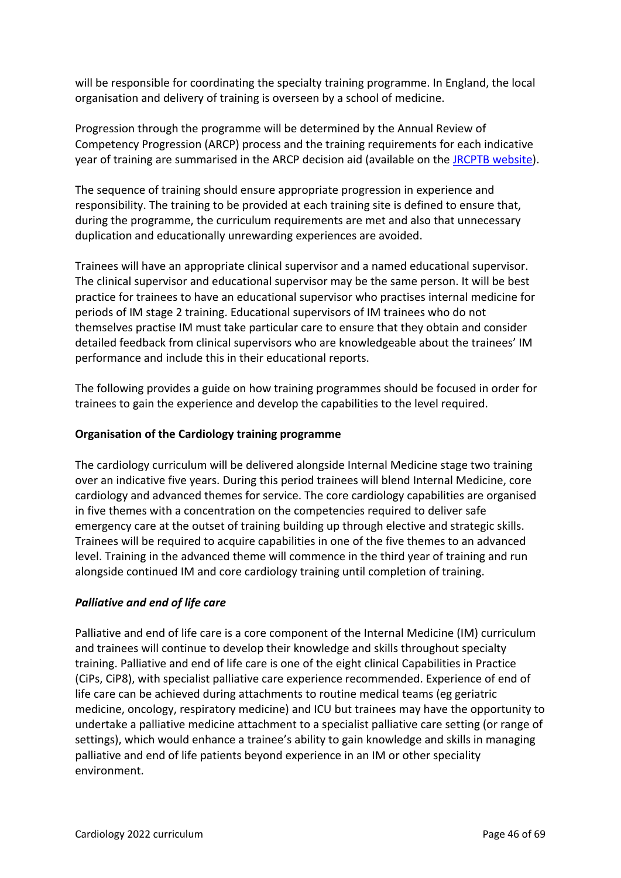will be responsible for coordinating the specialty training programme. In England, the local organisation and delivery of training is overseen by a school of medicine.

Progression through the programme will be determined by the Annual Review of Competency Progression (ARCP) process and the training requirements for each indicative year of training are summarised in the ARCP decision aid (available on the [JRCPTB website\)](http://www.jrcptb.org.uk/).

The sequence of training should ensure appropriate progression in experience and responsibility. The training to be provided at each training site is defined to ensure that, during the programme, the curriculum requirements are met and also that unnecessary duplication and educationally unrewarding experiences are avoided.

Trainees will have an appropriate clinical supervisor and a named educational supervisor. The clinical supervisor and educational supervisor may be the same person. It will be best practice for trainees to have an educational supervisor who practises internal medicine for periods of IM stage 2 training. Educational supervisors of IM trainees who do not themselves practise IM must take particular care to ensure that they obtain and consider detailed feedback from clinical supervisors who are knowledgeable about the trainees' IM performance and include this in their educational reports.

The following provides a guide on how training programmes should be focused in order for trainees to gain the experience and develop the capabilities to the level required.

### **Organisation of the Cardiology training programme**

The cardiology curriculum will be delivered alongside Internal Medicine stage two training over an indicative five years. During this period trainees will blend Internal Medicine, core cardiology and advanced themes for service. The core cardiology capabilities are organised in five themes with a concentration on the competencies required to deliver safe emergency care at the outset of training building up through elective and strategic skills. Trainees will be required to acquire capabilities in one of the five themes to an advanced level. Training in the advanced theme will commence in the third year of training and run alongside continued IM and core cardiology training until completion of training.

### *Palliative and end of life care*

Palliative and end of life care is a core component of the Internal Medicine (IM) curriculum and trainees will continue to develop their knowledge and skills throughout specialty training. Palliative and end of life care is one of the eight clinical Capabilities in Practice (CiPs, CiP8), with specialist palliative care experience recommended. Experience of end of life care can be achieved during attachments to routine medical teams (eg geriatric medicine, oncology, respiratory medicine) and ICU but trainees may have the opportunity to undertake a palliative medicine attachment to a specialist palliative care setting (or range of settings), which would enhance a trainee's ability to gain knowledge and skills in managing palliative and end of life patients beyond experience in an IM or other speciality environment.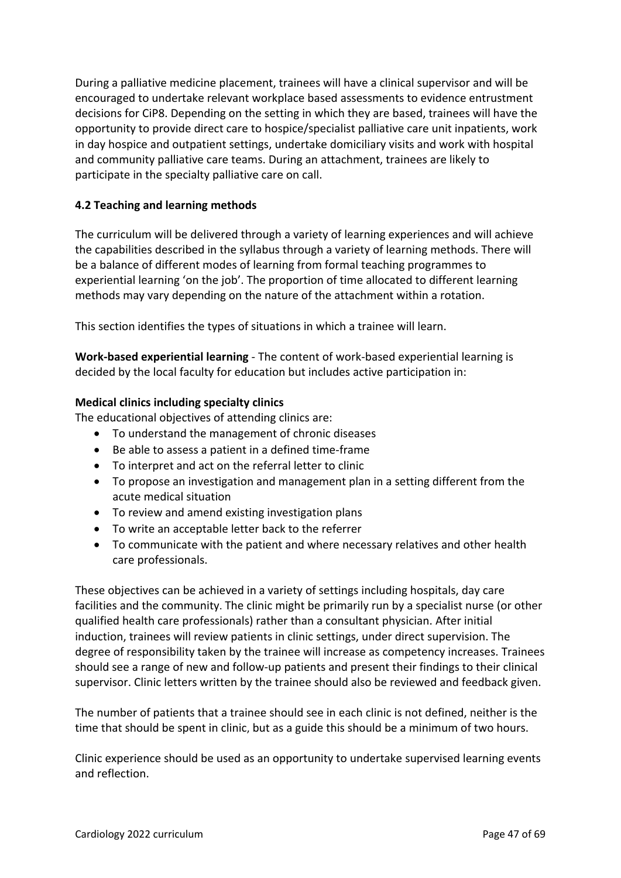During a palliative medicine placement, trainees will have a clinical supervisor and will be encouraged to undertake relevant workplace based assessments to evidence entrustment decisions for CiP8. Depending on the setting in which they are based, trainees will have the opportunity to provide direct care to hospice/specialist palliative care unit inpatients, work in day hospice and outpatient settings, undertake domiciliary visits and work with hospital and community palliative care teams. During an attachment, trainees are likely to participate in the specialty palliative care on call.

### <span id="page-46-0"></span>**4.2 Teaching and learning methods**

The curriculum will be delivered through a variety of learning experiences and will achieve the capabilities described in the syllabus through a variety of learning methods. There will be a balance of different modes of learning from formal teaching programmes to experiential learning 'on the job'. The proportion of time allocated to different learning methods may vary depending on the nature of the attachment within a rotation.

This section identifies the types of situations in which a trainee will learn.

**Work-based experiential learning** - The content of work-based experiential learning is decided by the local faculty for education but includes active participation in:

### **Medical clinics including specialty clinics**

The educational objectives of attending clinics are:

- To understand the management of chronic diseases
- Be able to assess a patient in a defined time-frame
- To interpret and act on the referral letter to clinic
- To propose an investigation and management plan in a setting different from the acute medical situation
- To review and amend existing investigation plans
- To write an acceptable letter back to the referrer
- To communicate with the patient and where necessary relatives and other health care professionals.

These objectives can be achieved in a variety of settings including hospitals, day care facilities and the community. The clinic might be primarily run by a specialist nurse (or other qualified health care professionals) rather than a consultant physician. After initial induction, trainees will review patients in clinic settings, under direct supervision. The degree of responsibility taken by the trainee will increase as competency increases. Trainees should see a range of new and follow-up patients and present their findings to their clinical supervisor. Clinic letters written by the trainee should also be reviewed and feedback given.

The number of patients that a trainee should see in each clinic is not defined, neither is the time that should be spent in clinic, but as a guide this should be a minimum of two hours.

Clinic experience should be used as an opportunity to undertake supervised learning events and reflection.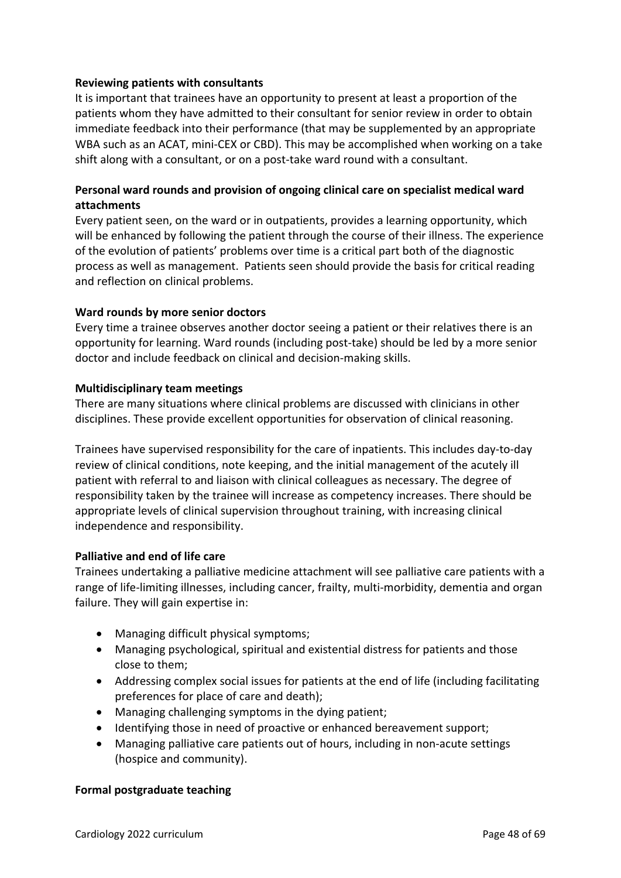### **Reviewing patients with consultants**

It is important that trainees have an opportunity to present at least a proportion of the patients whom they have admitted to their consultant for senior review in order to obtain immediate feedback into their performance (that may be supplemented by an appropriate WBA such as an ACAT, mini-CEX or CBD). This may be accomplished when working on a take shift along with a consultant, or on a post-take ward round with a consultant.

## **Personal ward rounds and provision of ongoing clinical care on specialist medical ward attachments**

Every patient seen, on the ward or in outpatients, provides a learning opportunity, which will be enhanced by following the patient through the course of their illness. The experience of the evolution of patients' problems over time is a critical part both of the diagnostic process as well as management. Patients seen should provide the basis for critical reading and reflection on clinical problems.

### **Ward rounds by more senior doctors**

Every time a trainee observes another doctor seeing a patient or their relatives there is an opportunity for learning. Ward rounds (including post-take) should be led by a more senior doctor and include feedback on clinical and decision-making skills.

### **Multidisciplinary team meetings**

There are many situations where clinical problems are discussed with clinicians in other disciplines. These provide excellent opportunities for observation of clinical reasoning.

Trainees have supervised responsibility for the care of inpatients. This includes day-to-day review of clinical conditions, note keeping, and the initial management of the acutely ill patient with referral to and liaison with clinical colleagues as necessary. The degree of responsibility taken by the trainee will increase as competency increases. There should be appropriate levels of clinical supervision throughout training, with increasing clinical independence and responsibility.

### **Palliative and end of life care**

Trainees undertaking a palliative medicine attachment will see palliative care patients with a range of life-limiting illnesses, including cancer, frailty, multi-morbidity, dementia and organ failure. They will gain expertise in:

- Managing difficult physical symptoms;
- Managing psychological, spiritual and existential distress for patients and those close to them;
- Addressing complex social issues for patients at the end of life (including facilitating preferences for place of care and death);
- Managing challenging symptoms in the dying patient;
- Identifying those in need of proactive or enhanced bereavement support;
- Managing palliative care patients out of hours, including in non-acute settings (hospice and community).

### **Formal postgraduate teaching**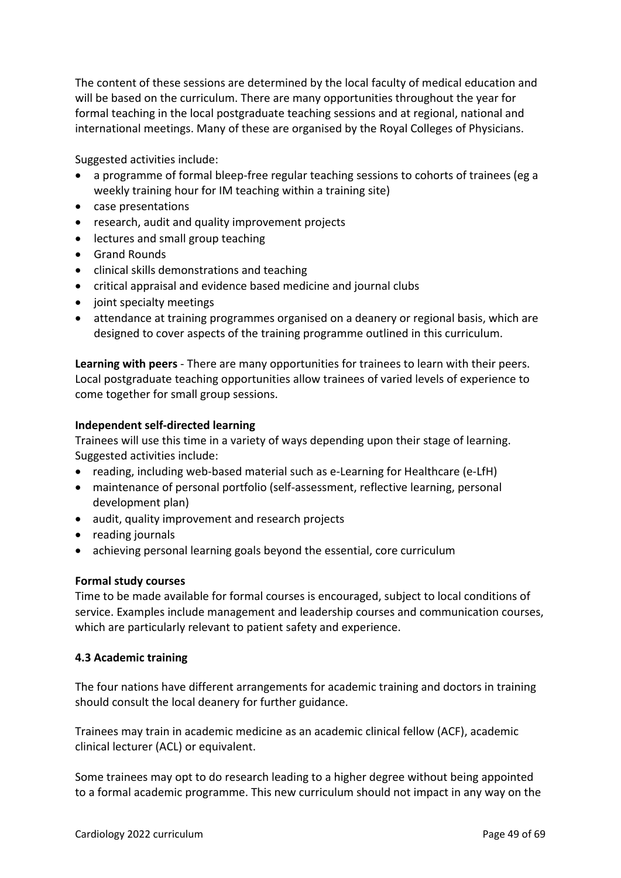The content of these sessions are determined by the local faculty of medical education and will be based on the curriculum. There are many opportunities throughout the year for formal teaching in the local postgraduate teaching sessions and at regional, national and international meetings. Many of these are organised by the Royal Colleges of Physicians.

Suggested activities include:

- a programme of formal bleep-free regular teaching sessions to cohorts of trainees (eg a weekly training hour for IM teaching within a training site)
- case presentations
- research, audit and quality improvement projects
- lectures and small group teaching
- Grand Rounds
- clinical skills demonstrations and teaching
- critical appraisal and evidence based medicine and journal clubs
- joint specialty meetings
- attendance at training programmes organised on a deanery or regional basis, which are designed to cover aspects of the training programme outlined in this curriculum.

**Learning with peers** - There are many opportunities for trainees to learn with their peers. Local postgraduate teaching opportunities allow trainees of varied levels of experience to come together for small group sessions.

### **Independent self-directed learning**

Trainees will use this time in a variety of ways depending upon their stage of learning. Suggested activities include:

- reading, including web-based material such as e-Learning for Healthcare (e-LfH)
- maintenance of personal portfolio (self-assessment, reflective learning, personal development plan)
- audit, quality improvement and research projects
- reading journals
- achieving personal learning goals beyond the essential, core curriculum

### **Formal study courses**

Time to be made available for formal courses is encouraged, subject to local conditions of service. Examples include management and leadership courses and communication courses, which are particularly relevant to patient safety and experience.

### <span id="page-48-0"></span>**4.3 Academic training**

The four nations have different arrangements for academic training and doctors in training should consult the local deanery for further guidance.

Trainees may train in academic medicine as an academic clinical fellow (ACF), academic clinical lecturer (ACL) or equivalent.

Some trainees may opt to do research leading to a higher degree without being appointed to a formal academic programme. This new curriculum should not impact in any way on the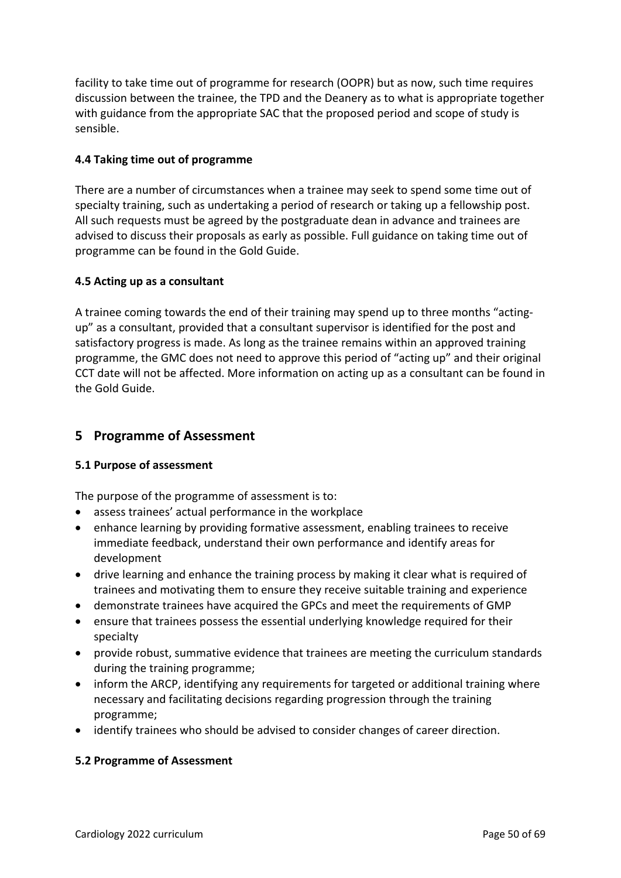facility to take time out of programme for research (OOPR) but as now, such time requires discussion between the trainee, the TPD and the Deanery as to what is appropriate together with guidance from the appropriate SAC that the proposed period and scope of study is sensible.

### <span id="page-49-0"></span>**4.4 Taking time out of programme**

There are a number of circumstances when a trainee may seek to spend some time out of specialty training, such as undertaking a period of research or taking up a fellowship post. All such requests must be agreed by the postgraduate dean in advance and trainees are advised to discuss their proposals as early as possible. Full guidance on taking time out of programme can be found in the Gold Guide.

### <span id="page-49-1"></span>**4.5 Acting up as a consultant**

A trainee coming towards the end of their training may spend up to three months "actingup" as a consultant, provided that a consultant supervisor is identified for the post and satisfactory progress is made. As long as the trainee remains within an approved training programme, the GMC does not need to approve this period of "acting up" and their original CCT date will not be affected. More information on acting up as a consultant can be found in the Gold Guide.

# <span id="page-49-2"></span>**5 Programme of Assessment**

### <span id="page-49-3"></span>**5.1 Purpose of assessment**

The purpose of the programme of assessment is to:

- assess trainees' actual performance in the workplace
- enhance learning by providing formative assessment, enabling trainees to receive immediate feedback, understand their own performance and identify areas for development
- drive learning and enhance the training process by making it clear what is required of trainees and motivating them to ensure they receive suitable training and experience
- demonstrate trainees have acquired the GPCs and meet the requirements of GMP
- ensure that trainees possess the essential underlying knowledge required for their specialty
- provide robust, summative evidence that trainees are meeting the curriculum standards during the training programme;
- inform the ARCP, identifying any requirements for targeted or additional training where necessary and facilitating decisions regarding progression through the training programme;
- identify trainees who should be advised to consider changes of career direction.

### <span id="page-49-4"></span>**5.2 Programme of Assessment**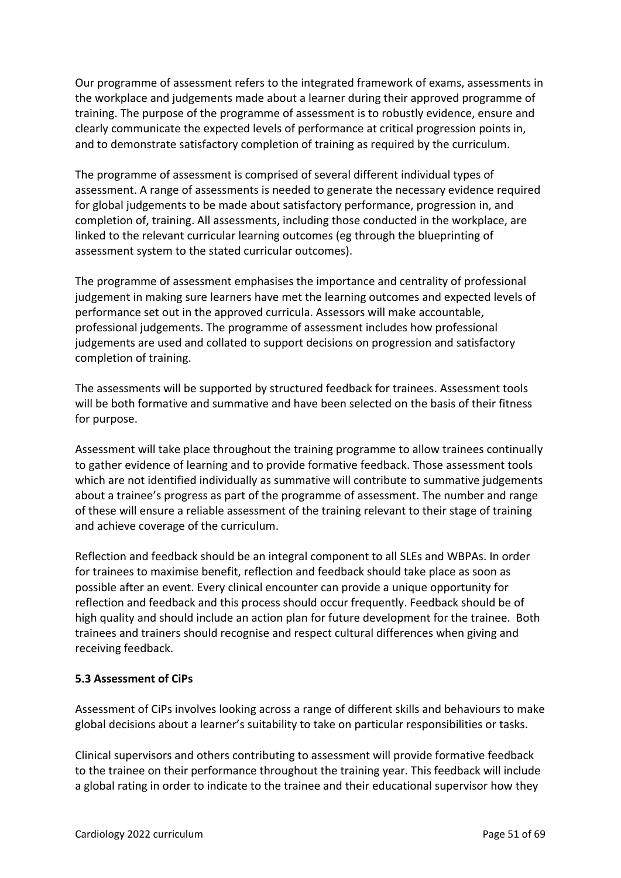Our programme of assessment refers to the integrated framework of exams, assessments in the workplace and judgements made about a learner during their approved programme of training. The purpose of the programme of assessment is to robustly evidence, ensure and clearly communicate the expected levels of performance at critical progression points in, and to demonstrate satisfactory completion of training as required by the curriculum.

The programme of assessment is comprised of several different individual types of assessment. A range of assessments is needed to generate the necessary evidence required for global judgements to be made about satisfactory performance, progression in, and completion of, training. All assessments, including those conducted in the workplace, are linked to the relevant curricular learning outcomes (eg through the blueprinting of assessment system to the stated curricular outcomes).

The programme of assessment emphasises the importance and centrality of professional judgement in making sure learners have met the learning outcomes and expected levels of performance set out in the approved curricula. Assessors will make accountable, professional judgements. The programme of assessment includes how professional judgements are used and collated to support decisions on progression and satisfactory completion of training.

The assessments will be supported by structured feedback for trainees. Assessment tools will be both formative and summative and have been selected on the basis of their fitness for purpose.

Assessment will take place throughout the training programme to allow trainees continually to gather evidence of learning and to provide formative feedback. Those assessment tools which are not identified individually as summative will contribute to summative judgements about a trainee's progress as part of the programme of assessment. The number and range of these will ensure a reliable assessment of the training relevant to their stage of training and achieve coverage of the curriculum.

Reflection and feedback should be an integral component to all SLEs and WBPAs. In order for trainees to maximise benefit, reflection and feedback should take place as soon as possible after an event. Every clinical encounter can provide a unique opportunity for reflection and feedback and this process should occur frequently. Feedback should be of high quality and should include an action plan for future development for the trainee. Both trainees and trainers should recognise and respect cultural differences when giving and receiving feedback.

### <span id="page-50-0"></span>**5.3 Assessment of CiPs**

Assessment of CiPs involves looking across a range of different skills and behaviours to make global decisions about a learner's suitability to take on particular responsibilities or tasks.

Clinical supervisors and others contributing to assessment will provide formative feedback to the trainee on their performance throughout the training year. This feedback will include a global rating in order to indicate to the trainee and their educational supervisor how they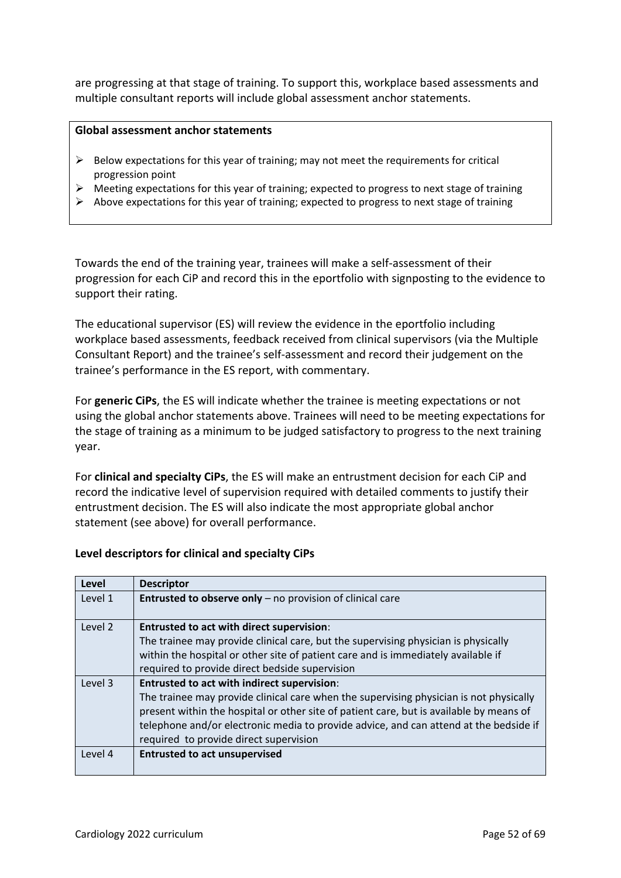are progressing at that stage of training. To support this, workplace based assessments and multiple consultant reports will include global assessment anchor statements.

### **Global assessment anchor statements**

- ➢ Below expectations for this year of training; may not meet the requirements for critical progression point
- $\triangleright$  Meeting expectations for this year of training; expected to progress to next stage of training
- $\triangleright$  Above expectations for this year of training; expected to progress to next stage of training

Towards the end of the training year, trainees will make a self-assessment of their progression for each CiP and record this in the eportfolio with signposting to the evidence to support their rating.

The educational supervisor (ES) will review the evidence in the eportfolio including workplace based assessments, feedback received from clinical supervisors (via the Multiple Consultant Report) and the trainee's self-assessment and record their judgement on the trainee's performance in the ES report, with commentary.

For **generic CiPs**, the ES will indicate whether the trainee is meeting expectations or not using the global anchor statements above. Trainees will need to be meeting expectations for the stage of training as a minimum to be judged satisfactory to progress to the next training year.

For **clinical and specialty CiPs**, the ES will make an entrustment decision for each CiP and record the indicative level of supervision required with detailed comments to justify their entrustment decision. The ES will also indicate the most appropriate global anchor statement (see above) for overall performance.

### **Level descriptors for clinical and specialty CiPs**

| Level   | <b>Descriptor</b>                                                                       |
|---------|-----------------------------------------------------------------------------------------|
| Level 1 | <b>Entrusted to observe only</b> $-$ no provision of clinical care                      |
| Level 2 | <b>Entrusted to act with direct supervision:</b>                                        |
|         | The trainee may provide clinical care, but the supervising physician is physically      |
|         | within the hospital or other site of patient care and is immediately available if       |
|         | required to provide direct bedside supervision                                          |
| Level 3 | Entrusted to act with indirect supervision:                                             |
|         | The trainee may provide clinical care when the supervising physician is not physically  |
|         | present within the hospital or other site of patient care, but is available by means of |
|         | telephone and/or electronic media to provide advice, and can attend at the bedside if   |
|         | required to provide direct supervision                                                  |
| Level 4 | <b>Entrusted to act unsupervised</b>                                                    |
|         |                                                                                         |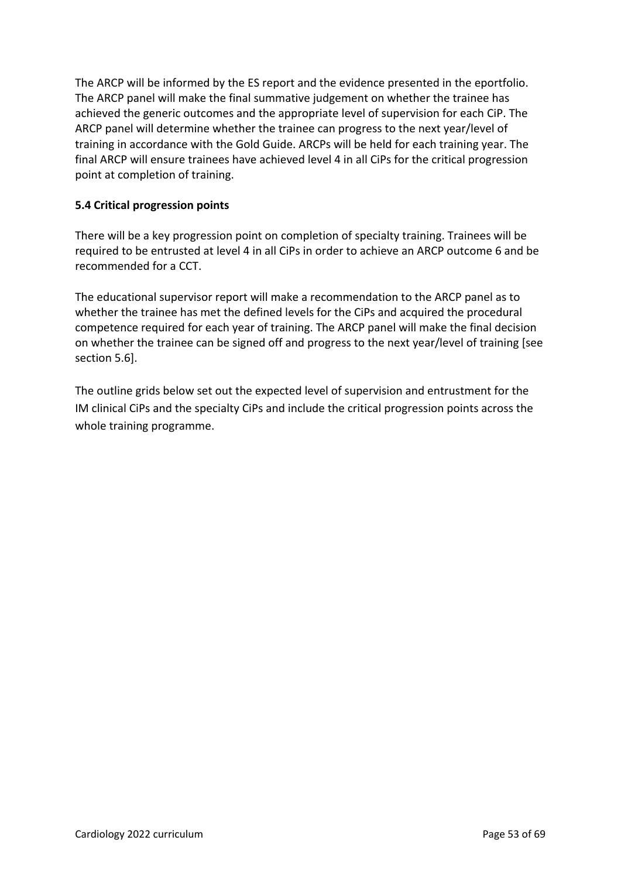The ARCP will be informed by the ES report and the evidence presented in the eportfolio. The ARCP panel will make the final summative judgement on whether the trainee has achieved the generic outcomes and the appropriate level of supervision for each CiP. The ARCP panel will determine whether the trainee can progress to the next year/level of training in accordance with the Gold Guide. ARCPs will be held for each training year. The final ARCP will ensure trainees have achieved level 4 in all CiPs for the critical progression point at completion of training.

### <span id="page-52-0"></span>**5.4 Critical progression points**

There will be a key progression point on completion of specialty training. Trainees will be required to be entrusted at level 4 in all CiPs in order to achieve an ARCP outcome 6 and be recommended for a CCT.

The educational supervisor report will make a recommendation to the ARCP panel as to whether the trainee has met the defined levels for the CiPs and acquired the procedural competence required for each year of training. The ARCP panel will make the final decision on whether the trainee can be signed off and progress to the next year/level of training [see section 5.6].

The outline grids below set out the expected level of supervision and entrustment for the IM clinical CiPs and the specialty CiPs and include the critical progression points across the whole training programme.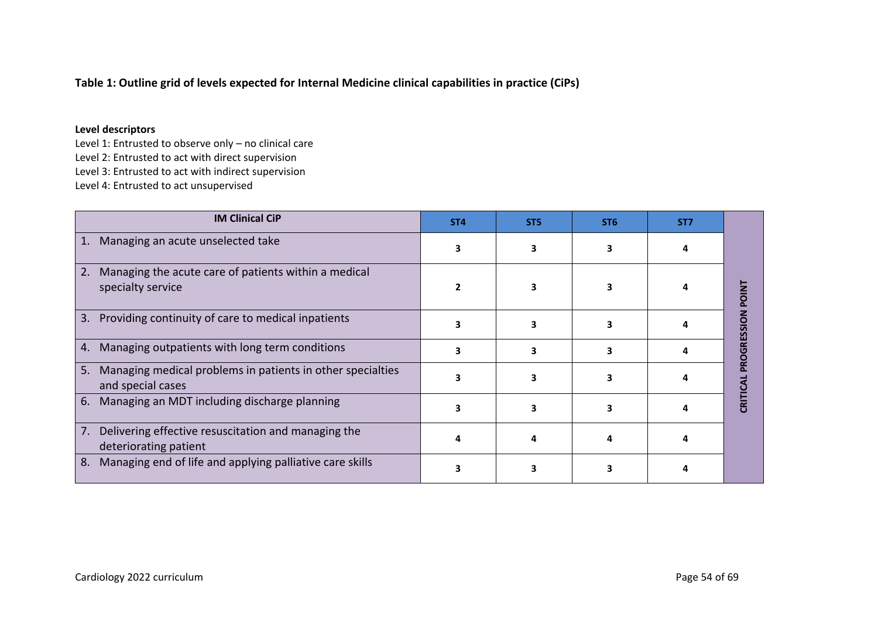### **Table 1: Outline grid of levels expected for Internal Medicine clinical capabilities in practice (CiPs)**

#### **Level descriptors**

Level 1: Entrusted to observe only – no clinical care Level 2: Entrusted to act with direct supervision Level 3: Entrusted to act with indirect supervision Level 4: Entrusted to act unsupervised

| <b>IM Clinical CiP</b>                                                                | ST <sub>4</sub> | ST <sub>5</sub> | ST <sub>6</sub> | ST <sub>7</sub> |            |
|---------------------------------------------------------------------------------------|-----------------|-----------------|-----------------|-----------------|------------|
| Managing an acute unselected take<br>1.                                               | ٩               |                 |                 |                 |            |
| 2.<br>Managing the acute care of patients within a medical<br>specialty service       |                 |                 |                 |                 | POIN       |
| Providing continuity of care to medical inpatients<br>3.                              |                 |                 |                 |                 | ROGRESSION |
| Managing outpatients with long term conditions<br>4.                                  |                 |                 |                 |                 |            |
| Managing medical problems in patients in other specialties<br>5.<br>and special cases |                 |                 |                 |                 |            |
| Managing an MDT including discharge planning<br>6.                                    |                 |                 |                 |                 | CRITICA    |
| Delivering effective resuscitation and managing the<br>7.<br>deteriorating patient    |                 |                 |                 |                 |            |
| Managing end of life and applying palliative care skills<br>8.                        |                 |                 |                 |                 |            |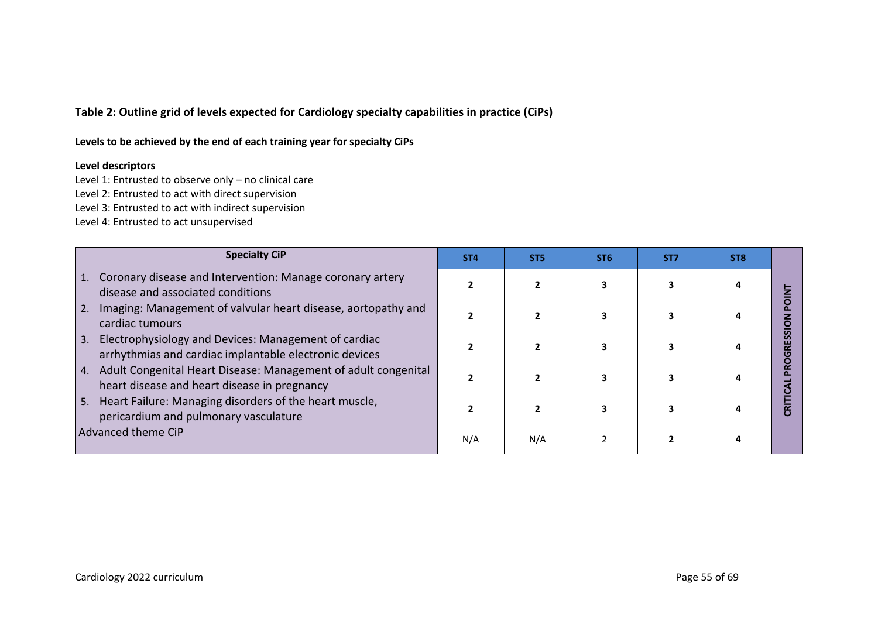**Table 2: Outline grid of levels expected for Cardiology specialty capabilities in practice (CiPs)**

**Levels to be achieved by the end of each training year for specialty CiPs**

#### **Level descriptors**

Level 1: Entrusted to observe only – no clinical care

Level 2: Entrusted to act with direct supervision

Level 3: Entrusted to act with indirect supervision

Level 4: Entrusted to act unsupervised

| <b>Specialty CiP</b>                                                                                                 | ST <sub>4</sub> | ST <sub>5</sub> | ST <sub>6</sub> | ST <sub>7</sub> | ST <sub>8</sub> |  |
|----------------------------------------------------------------------------------------------------------------------|-----------------|-----------------|-----------------|-----------------|-----------------|--|
| Coronary disease and Intervention: Manage coronary artery<br>disease and associated conditions                       |                 |                 |                 |                 |                 |  |
| Imaging: Management of valvular heart disease, aortopathy and<br>2.<br>cardiac tumours                               |                 |                 |                 |                 |                 |  |
| Electrophysiology and Devices: Management of cardiac<br>3.<br>arrhythmias and cardiac implantable electronic devices |                 |                 |                 |                 |                 |  |
| Adult Congenital Heart Disease: Management of adult congenital<br>4.<br>heart disease and heart disease in pregnancy |                 |                 |                 |                 |                 |  |
| Heart Failure: Managing disorders of the heart muscle,<br>5.<br>pericardium and pulmonary vasculature                |                 |                 |                 |                 |                 |  |
| Advanced theme CiP                                                                                                   | N/A             | N/A             |                 |                 |                 |  |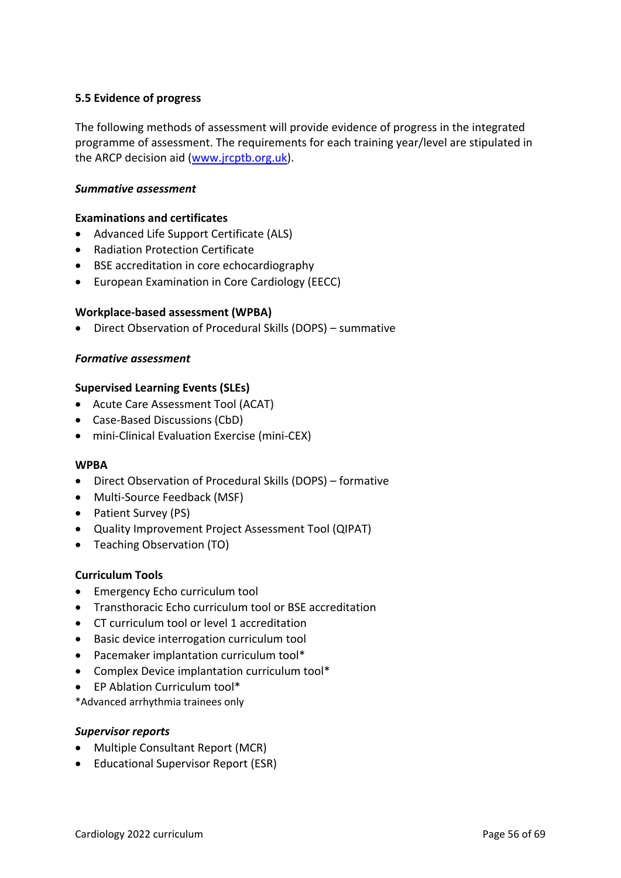### <span id="page-55-0"></span>**5.5 Evidence of progress**

The following methods of assessment will provide evidence of progress in the integrated programme of assessment. The requirements for each training year/level are stipulated in the ARCP decision aid [\(www.jrcptb.org.uk\)](http://www.jrcptb.org.uk/).

#### *Summative assessment*

#### **Examinations and certificates**

- Advanced Life Support Certificate (ALS)
- Radiation Protection Certificate
- BSE accreditation in core echocardiography
- European Examination in Core Cardiology (EECC)

#### **Workplace-based assessment (WPBA)**

• Direct Observation of Procedural Skills (DOPS) – summative

### *Formative assessment*

#### **Supervised Learning Events (SLEs)**

- Acute Care Assessment Tool (ACAT)
- Case-Based Discussions (CbD)
- mini-Clinical Evaluation Exercise (mini-CEX)

#### **WPBA**

- Direct Observation of Procedural Skills (DOPS) formative
- Multi-Source Feedback (MSF)
- Patient Survey (PS)
- Quality Improvement Project Assessment Tool (QIPAT)
- Teaching Observation (TO)

### **Curriculum Tools**

- Emergency Echo curriculum tool
- Transthoracic Echo curriculum tool or BSE accreditation
- CT curriculum tool or level 1 accreditation
- Basic device interrogation curriculum tool
- Pacemaker implantation curriculum tool\*
- Complex Device implantation curriculum tool\*
- EP Ablation Curriculum tool\*

\*Advanced arrhythmia trainees only

#### *Supervisor reports*

- Multiple Consultant Report (MCR)
- Educational Supervisor Report (ESR)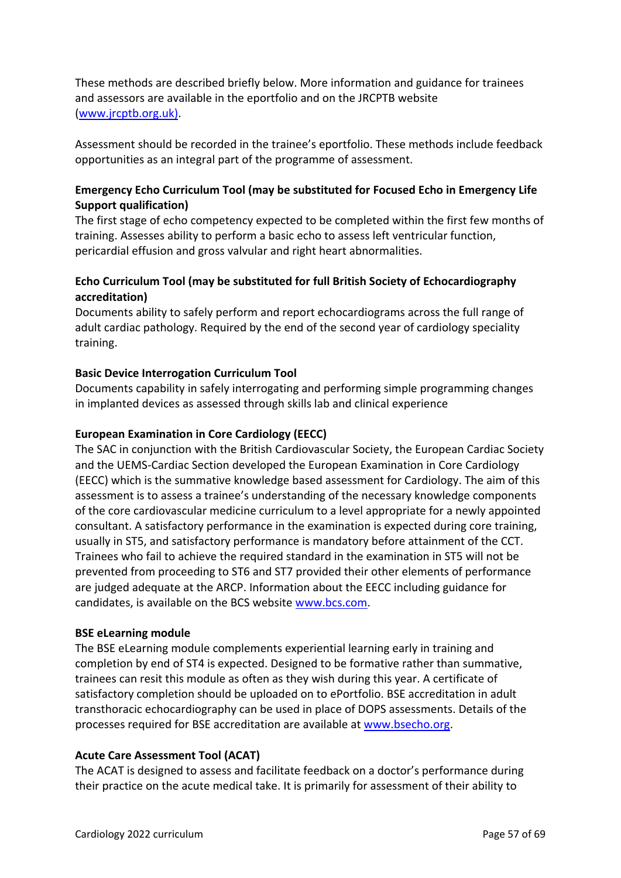These methods are described briefly below. More information and guidance for trainees and assessors are available in the eportfolio and on the JRCPTB website [\(www.jrcptb.org.uk\)](http://www.jrcptb.org.uk/).

Assessment should be recorded in the trainee's eportfolio. These methods include feedback opportunities as an integral part of the programme of assessment.

### **Emergency Echo Curriculum Tool (may be substituted for Focused Echo in Emergency Life Support qualification)**

The first stage of echo competency expected to be completed within the first few months of training. Assesses ability to perform a basic echo to assess left ventricular function, pericardial effusion and gross valvular and right heart abnormalities.

## **Echo Curriculum Tool (may be substituted for full British Society of Echocardiography accreditation)**

Documents ability to safely perform and report echocardiograms across the full range of adult cardiac pathology. Required by the end of the second year of cardiology speciality training.

### **Basic Device Interrogation Curriculum Tool**

Documents capability in safely interrogating and performing simple programming changes in implanted devices as assessed through skills lab and clinical experience

### **European Examination in Core Cardiology (EECC)**

The SAC in conjunction with the British Cardiovascular Society, the European Cardiac Society and the UEMS-Cardiac Section developed the European Examination in Core Cardiology (EECC) which is the summative knowledge based assessment for Cardiology. The aim of this assessment is to assess a trainee's understanding of the necessary knowledge components of the core cardiovascular medicine curriculum to a level appropriate for a newly appointed consultant. A satisfactory performance in the examination is expected during core training, usually in ST5, and satisfactory performance is mandatory before attainment of the CCT. Trainees who fail to achieve the required standard in the examination in ST5 will not be prevented from proceeding to ST6 and ST7 provided their other elements of performance are judged adequate at the ARCP. Information about the EECC including guidance for candidates, is available on the BCS website [www.bcs.com.](http://www.bcs.com/)

### **BSE eLearning module**

The BSE eLearning module complements experiential learning early in training and completion by end of ST4 is expected. Designed to be formative rather than summative, trainees can resit this module as often as they wish during this year. A certificate of satisfactory completion should be uploaded on to ePortfolio. BSE accreditation in adult transthoracic echocardiography can be used in place of DOPS assessments. Details of the processes required for BSE accreditation are available at [www.bsecho.org.](file:///C:/Users/paisej1/Downloads/www.bsecho.org)

### **Acute Care Assessment Tool (ACAT)**

The ACAT is designed to assess and facilitate feedback on a doctor's performance during their practice on the acute medical take. It is primarily for assessment of their ability to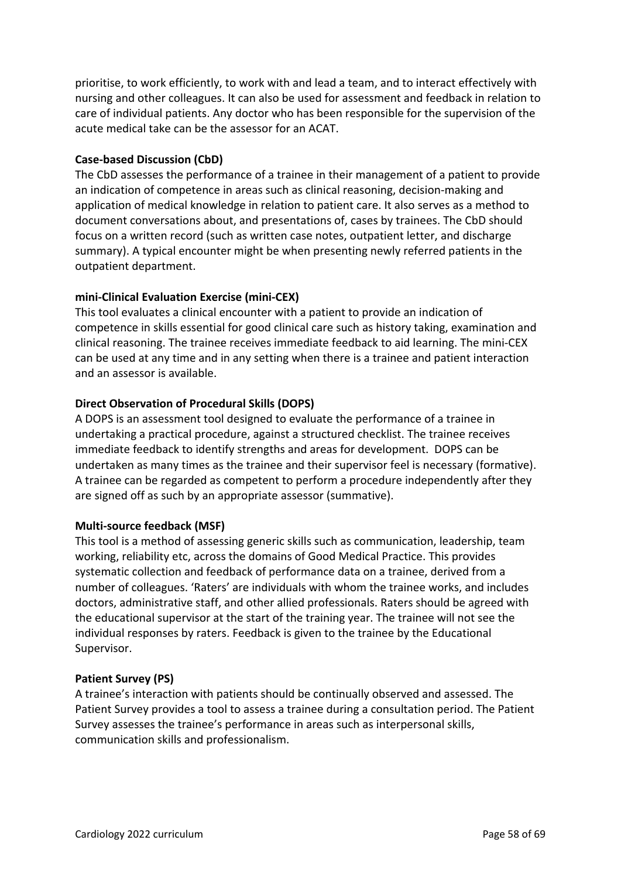prioritise, to work efficiently, to work with and lead a team, and to interact effectively with nursing and other colleagues. It can also be used for assessment and feedback in relation to care of individual patients. Any doctor who has been responsible for the supervision of the acute medical take can be the assessor for an ACAT.

### **Case-based Discussion (CbD)**

The CbD assesses the performance of a trainee in their management of a patient to provide an indication of competence in areas such as clinical reasoning, decision-making and application of medical knowledge in relation to patient care. It also serves as a method to document conversations about, and presentations of, cases by trainees. The CbD should focus on a written record (such as written case notes, outpatient letter, and discharge summary). A typical encounter might be when presenting newly referred patients in the outpatient department.

### **mini-Clinical Evaluation Exercise (mini-CEX)**

This tool evaluates a clinical encounter with a patient to provide an indication of competence in skills essential for good clinical care such as history taking, examination and clinical reasoning. The trainee receives immediate feedback to aid learning. The mini-CEX can be used at any time and in any setting when there is a trainee and patient interaction and an assessor is available.

### **Direct Observation of Procedural Skills (DOPS)**

A DOPS is an assessment tool designed to evaluate the performance of a trainee in undertaking a practical procedure, against a structured checklist. The trainee receives immediate feedback to identify strengths and areas for development. DOPS can be undertaken as many times as the trainee and their supervisor feel is necessary (formative). A trainee can be regarded as competent to perform a procedure independently after they are signed off as such by an appropriate assessor (summative).

### **Multi-source feedback (MSF)**

This tool is a method of assessing generic skills such as communication, leadership, team working, reliability etc, across the domains of Good Medical Practice. This provides systematic collection and feedback of performance data on a trainee, derived from a number of colleagues. 'Raters' are individuals with whom the trainee works, and includes doctors, administrative staff, and other allied professionals. Raters should be agreed with the educational supervisor at the start of the training year. The trainee will not see the individual responses by raters. Feedback is given to the trainee by the Educational Supervisor.

### **Patient Survey (PS)**

A trainee's interaction with patients should be continually observed and assessed. The Patient Survey provides a tool to assess a trainee during a consultation period. The Patient Survey assesses the trainee's performance in areas such as interpersonal skills, communication skills and professionalism.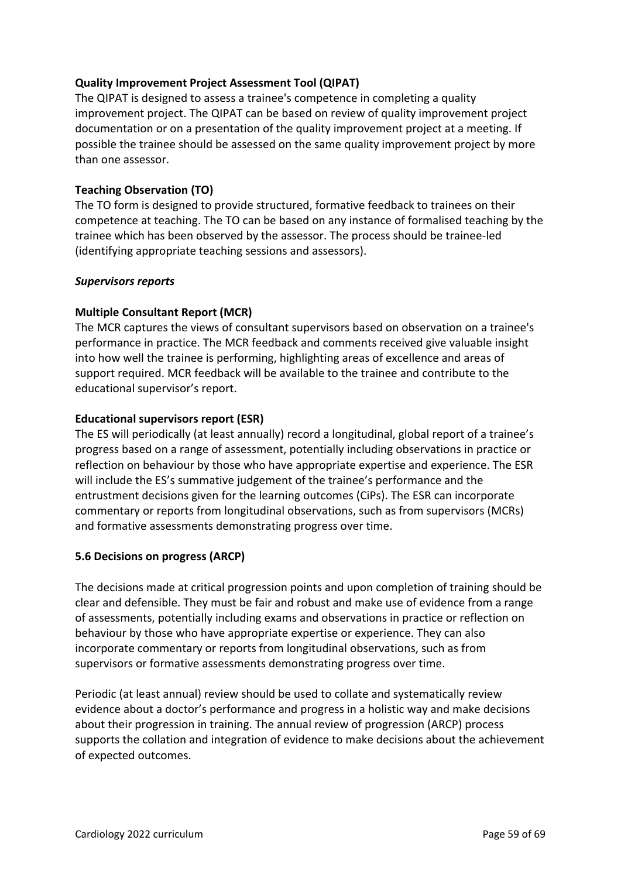### **Quality Improvement Project Assessment Tool (QIPAT)**

The QIPAT is designed to assess a trainee's competence in completing a quality improvement project. The QIPAT can be based on review of quality improvement project documentation or on a presentation of the quality improvement project at a meeting. If possible the trainee should be assessed on the same quality improvement project by more than one assessor.

### **Teaching Observation (TO)**

The TO form is designed to provide structured, formative feedback to trainees on their competence at teaching. The TO can be based on any instance of formalised teaching by the trainee which has been observed by the assessor. The process should be trainee-led (identifying appropriate teaching sessions and assessors).

### *Supervisors reports*

### **Multiple Consultant Report (MCR)**

The MCR captures the views of consultant supervisors based on observation on a trainee's performance in practice. The MCR feedback and comments received give valuable insight into how well the trainee is performing, highlighting areas of excellence and areas of support required. MCR feedback will be available to the trainee and contribute to the educational supervisor's report.

### **Educational supervisors report (ESR)**

The ES will periodically (at least annually) record a longitudinal, global report of a trainee's progress based on a range of assessment, potentially including observations in practice or reflection on behaviour by those who have appropriate expertise and experience. The ESR will include the ES's summative judgement of the trainee's performance and the entrustment decisions given for the learning outcomes (CiPs). The ESR can incorporate commentary or reports from longitudinal observations, such as from supervisors (MCRs) and formative assessments demonstrating progress over time.

### <span id="page-58-0"></span>**5.6 Decisions on progress (ARCP)**

The decisions made at critical progression points and upon completion of training should be clear and defensible. They must be fair and robust and make use of evidence from a range of assessments, potentially including exams and observations in practice or reflection on behaviour by those who have appropriate expertise or experience. They can also incorporate commentary or reports from longitudinal observations, such as from supervisors or formative assessments demonstrating progress over time.

Periodic (at least annual) review should be used to collate and systematically review evidence about a doctor's performance and progress in a holistic way and make decisions about their progression in training. The annual review of progression (ARCP) process supports the collation and integration of evidence to make decisions about the achievement of expected outcomes.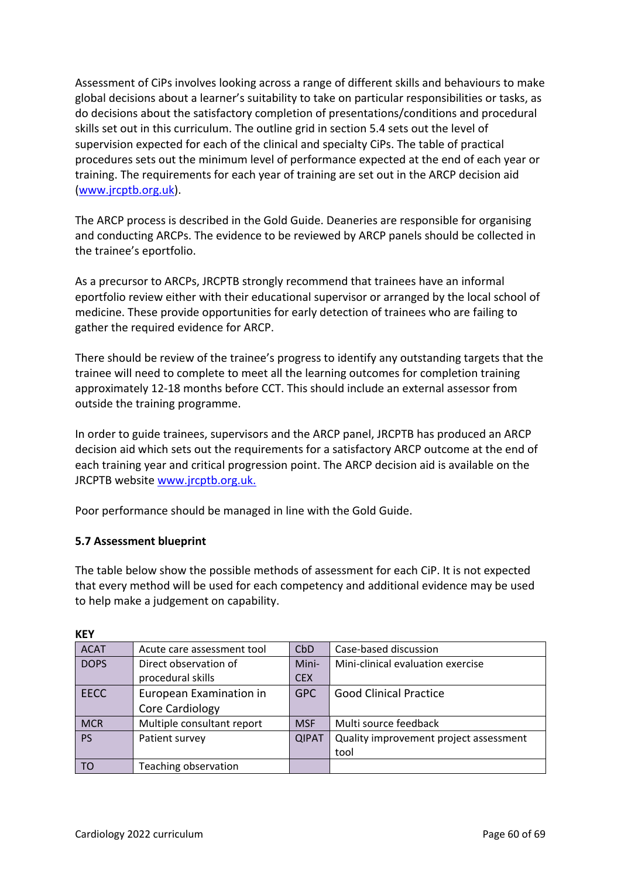Assessment of CiPs involves looking across a range of different skills and behaviours to make global decisions about a learner's suitability to take on particular responsibilities or tasks, as do decisions about the satisfactory completion of presentations/conditions and procedural skills set out in this curriculum. The outline grid in section 5.4 sets out the level of supervision expected for each of the clinical and specialty CiPs. The table of practical procedures sets out the minimum level of performance expected at the end of each year or training. The requirements for each year of training are set out in the ARCP decision aid [\(www.jrcptb.org.uk\)](http://www.jrcptb.org.uk/).

The ARCP process is described in the Gold Guide. Deaneries are responsible for organising and conducting ARCPs. The evidence to be reviewed by ARCP panels should be collected in the trainee's eportfolio.

As a precursor to ARCPs, JRCPTB strongly recommend that trainees have an informal eportfolio review either with their educational supervisor or arranged by the local school of medicine. These provide opportunities for early detection of trainees who are failing to gather the required evidence for ARCP.

There should be review of the trainee's progress to identify any outstanding targets that the trainee will need to complete to meet all the learning outcomes for completion training approximately 12-18 months before CCT. This should include an external assessor from outside the training programme.

In order to guide trainees, supervisors and the ARCP panel, JRCPTB has produced an ARCP decision aid which sets out the requirements for a satisfactory ARCP outcome at the end of each training year and critical progression point. The ARCP decision aid is available on the JRCPTB website [www.jrcptb.org.uk.](http://www.jrcptb.org.uk/)

Poor performance should be managed in line with the Gold Guide.

### <span id="page-59-0"></span>**5.7 Assessment blueprint**

The table below show the possible methods of assessment for each CiP. It is not expected that every method will be used for each competency and additional evidence may be used to help make a judgement on capability.

| <b>ACAT</b> | Acute care assessment tool | CbD          | Case-based discussion                  |
|-------------|----------------------------|--------------|----------------------------------------|
| <b>DOPS</b> | Direct observation of      | Mini-        | Mini-clinical evaluation exercise      |
|             | procedural skills          | <b>CEX</b>   |                                        |
| <b>EECC</b> | European Examination in    | <b>GPC</b>   | <b>Good Clinical Practice</b>          |
|             | Core Cardiology            |              |                                        |
| <b>MCR</b>  | Multiple consultant report | <b>MSF</b>   | Multi source feedback                  |
| <b>PS</b>   | Patient survey             | <b>QIPAT</b> | Quality improvement project assessment |
|             |                            |              | tool                                   |
| TO          | Teaching observation       |              |                                        |

#### **KEY**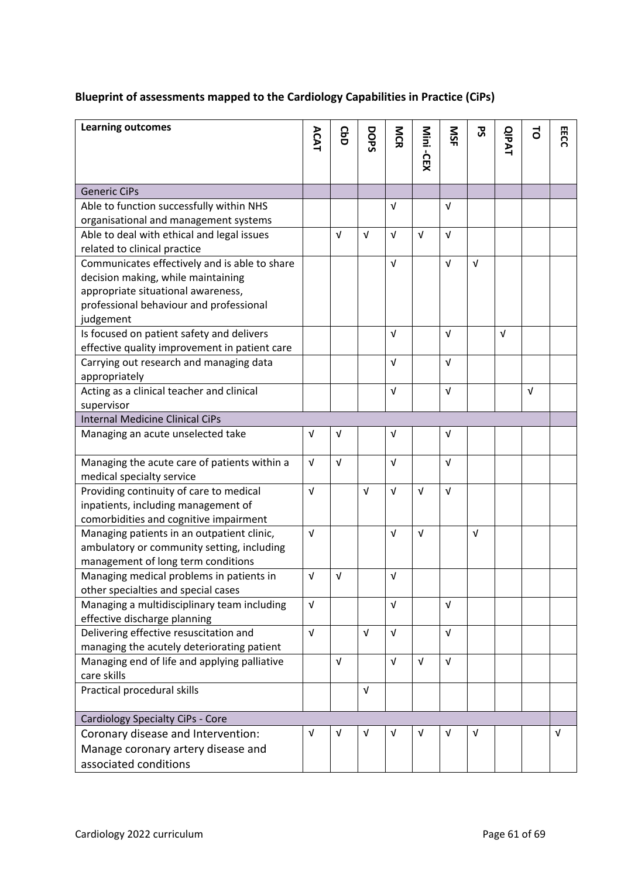# **Blueprint of assessments mapped to the Cardiology Capabilities in Practice (CiPs)**

| <b>Learning outcomes</b>                                               | ACAT       | <b>GbD</b> | DOPS       | <b>NCR</b> | Mini -CEX  | SK         | ჯ<br>ა     | <b>QIPAT</b> | 5          | EECC       |
|------------------------------------------------------------------------|------------|------------|------------|------------|------------|------------|------------|--------------|------------|------------|
|                                                                        |            |            |            |            |            |            |            |              |            |            |
| <b>Generic CiPs</b>                                                    |            |            |            |            |            |            |            |              |            |            |
| Able to function successfully within NHS                               |            |            |            | $\sqrt{ }$ |            | $\sqrt{ }$ |            |              |            |            |
| organisational and management systems                                  |            |            |            |            |            |            |            |              |            |            |
| Able to deal with ethical and legal issues                             |            | $\sqrt{ }$ | $\sqrt{ }$ | $\sqrt{ }$ | $\sqrt{ }$ | $\sqrt{ }$ |            |              |            |            |
| related to clinical practice                                           |            |            |            |            |            |            |            |              |            |            |
| Communicates effectively and is able to share                          |            |            |            | $\sqrt{ }$ |            | $\sqrt{ }$ | $\sqrt{ }$ |              |            |            |
| decision making, while maintaining                                     |            |            |            |            |            |            |            |              |            |            |
| appropriate situational awareness,                                     |            |            |            |            |            |            |            |              |            |            |
| professional behaviour and professional                                |            |            |            |            |            |            |            |              |            |            |
| judgement                                                              |            |            |            |            |            |            |            |              |            |            |
| Is focused on patient safety and delivers                              |            |            |            | $\sqrt{ }$ |            | $\sqrt{ }$ |            | $\sqrt{ }$   |            |            |
| effective quality improvement in patient care                          |            |            |            |            |            |            |            |              |            |            |
| Carrying out research and managing data                                |            |            |            | $\sqrt{ }$ |            | $\sqrt{ }$ |            |              |            |            |
| appropriately                                                          |            |            |            |            |            |            |            |              |            |            |
| Acting as a clinical teacher and clinical                              |            |            |            | $\sqrt{ }$ |            | $\sqrt{ }$ |            |              | $\sqrt{ }$ |            |
| supervisor                                                             |            |            |            |            |            |            |            |              |            |            |
| <b>Internal Medicine Clinical CiPs</b>                                 |            |            |            |            |            |            |            |              |            |            |
| Managing an acute unselected take                                      | $\sqrt{ }$ | $\sqrt{ }$ |            | $\sqrt{ }$ |            | V          |            |              |            |            |
| Managing the acute care of patients within a                           | $\sqrt{ }$ | $\sqrt{ }$ |            | $\sqrt{ }$ |            | $\sqrt{ }$ |            |              |            |            |
| medical specialty service                                              |            |            |            |            |            |            |            |              |            |            |
| Providing continuity of care to medical                                | $\sqrt{ }$ |            | $\sqrt{ }$ | $\sqrt{ }$ | $\sqrt{ }$ | $\sqrt{ }$ |            |              |            |            |
| inpatients, including management of                                    |            |            |            |            |            |            |            |              |            |            |
| comorbidities and cognitive impairment                                 |            |            |            |            |            |            |            |              |            |            |
| Managing patients in an outpatient clinic,                             | $\sqrt{ }$ |            |            | $\sqrt{ }$ | $\sqrt{ }$ |            | $\sqrt{ }$ |              |            |            |
| ambulatory or community setting, including                             |            |            |            |            |            |            |            |              |            |            |
| management of long term conditions                                     |            |            |            |            |            |            |            |              |            |            |
| Managing medical problems in patients in                               | $\sqrt{ }$ | $\sqrt{ }$ |            | $\sqrt{ }$ |            |            |            |              |            |            |
| other specialties and special cases                                    | $\sqrt{ }$ |            |            | $\sqrt{ }$ |            | $\sqrt{ }$ |            |              |            |            |
| Managing a multidisciplinary team including                            |            |            |            |            |            |            |            |              |            |            |
| effective discharge planning<br>Delivering effective resuscitation and | $\sqrt{ }$ |            | V          | $\sqrt{ }$ |            | $\sqrt{ }$ |            |              |            |            |
| managing the acutely deteriorating patient                             |            |            |            |            |            |            |            |              |            |            |
|                                                                        |            | $\sqrt{ }$ |            | $\sqrt{ }$ | $\sqrt{ }$ | $\sqrt{ }$ |            |              |            |            |
| Managing end of life and applying palliative<br>care skills            |            |            |            |            |            |            |            |              |            |            |
| Practical procedural skills                                            |            |            | $\sqrt{ }$ |            |            |            |            |              |            |            |
|                                                                        |            |            |            |            |            |            |            |              |            |            |
| Cardiology Specialty CiPs - Core                                       |            |            |            |            |            |            |            |              |            |            |
| Coronary disease and Intervention:                                     | $\sqrt{ }$ | V          | V          | $\sqrt{ }$ | $\sqrt{ }$ | $\sqrt{ }$ | $\sqrt{ }$ |              |            | $\sqrt{ }$ |
| Manage coronary artery disease and                                     |            |            |            |            |            |            |            |              |            |            |
| associated conditions                                                  |            |            |            |            |            |            |            |              |            |            |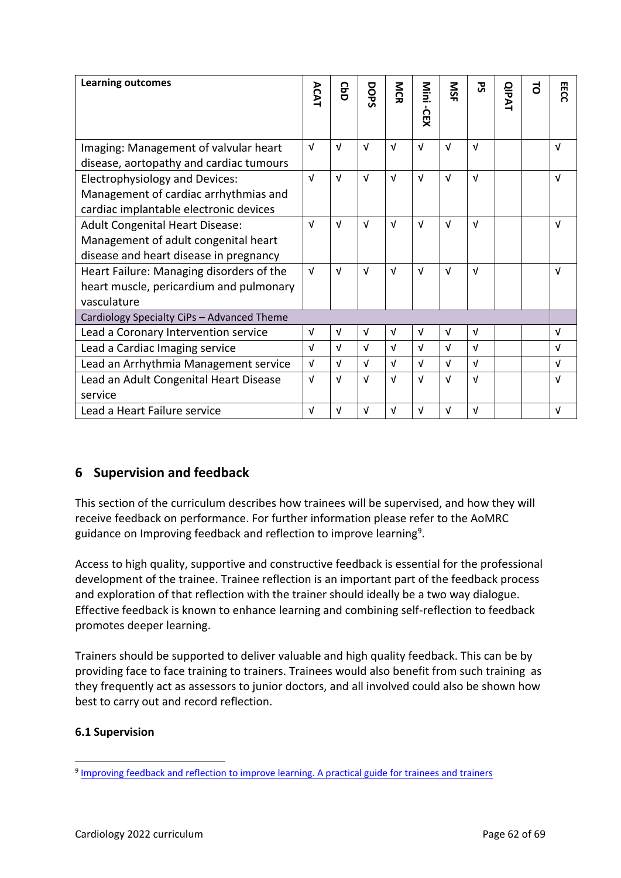| <b>Learning outcomes</b>                                                                                                 | ACAT       | GaD        | DOPS       | <b>NG</b>  | Mini<br><b>CEX</b> | SM         | უ<br>ა     | <b>QIPAT</b> | $\vec{0}$ | EECC       |
|--------------------------------------------------------------------------------------------------------------------------|------------|------------|------------|------------|--------------------|------------|------------|--------------|-----------|------------|
| Imaging: Management of valvular heart<br>disease, aortopathy and cardiac tumours                                         | $\sqrt{ }$ | $\sqrt{ }$ | $\sqrt{ }$ | $\sqrt{ }$ | $\sqrt{ }$         | $\sqrt{ }$ | $\sqrt{ }$ |              |           | $\sqrt{ }$ |
| <b>Electrophysiology and Devices:</b><br>Management of cardiac arrhythmias and<br>cardiac implantable electronic devices | $\sqrt{ }$ | $\sqrt{ }$ | $\sqrt{ }$ | $\sqrt{ }$ | $\sqrt{ }$         | $\sqrt{ }$ | $\sqrt{ }$ |              |           | $\sqrt{ }$ |
| <b>Adult Congenital Heart Disease:</b><br>Management of adult congenital heart<br>disease and heart disease in pregnancy | $\sqrt{ }$ | $\sqrt{ }$ | $\sqrt{ }$ | $\sqrt{ }$ | $\sqrt{ }$         | $\sqrt{ }$ | $\sqrt{ }$ |              |           | $\sqrt{ }$ |
| Heart Failure: Managing disorders of the<br>heart muscle, pericardium and pulmonary<br>vasculature                       | $\sqrt{ }$ | $\sqrt{ }$ | $\sqrt{ }$ | $\sqrt{ }$ | $\sqrt{ }$         | $\sqrt{ }$ | $\sqrt{ }$ |              |           | $\sqrt{ }$ |
| Cardiology Specialty CiPs - Advanced Theme                                                                               |            |            |            |            |                    |            |            |              |           |            |
| Lead a Coronary Intervention service                                                                                     | $\sqrt{ }$ | $\sqrt{ }$ | v          | $\sqrt{ }$ | $\sqrt{ }$         | $\sqrt{ }$ | $\sqrt{ }$ |              |           | $\sqrt{ }$ |
| Lead a Cardiac Imaging service                                                                                           | $\sqrt{ }$ | $\sqrt{ }$ | $\sqrt{ }$ | $\sqrt{ }$ | $\sqrt{ }$         | $\sqrt{ }$ | $\sqrt{ }$ |              |           | $\sqrt{ }$ |
| Lead an Arrhythmia Management service                                                                                    | $\sqrt{ }$ | $\sqrt{ }$ | $\sqrt{ }$ | $\sqrt{ }$ | $\sqrt{ }$         | $\sqrt{ }$ | $\sqrt{ }$ |              |           | $\sqrt{ }$ |
| Lead an Adult Congenital Heart Disease<br>service                                                                        | $\sqrt{ }$ | $\sqrt{ }$ | $\sqrt{ }$ | $\sqrt{ }$ | $\sqrt{ }$         | $\sqrt{ }$ | $\sqrt{ }$ |              |           | $\sqrt{ }$ |
| Lead a Heart Failure service                                                                                             | $\sqrt{ }$ | v          | v          | $\sqrt{ }$ | $\sqrt{ }$         | $\sqrt{ }$ | $\sqrt{ }$ |              |           | $\sqrt{ }$ |

# <span id="page-61-0"></span>**6 Supervision and feedback**

This section of the curriculum describes how trainees will be supervised, and how they will receive feedback on performance. For further information please refer to the AoMRC guidance on Improving feedback and reflection to improve learning<sup>9</sup>.

Access to high quality, supportive and constructive feedback is essential for the professional development of the trainee. Trainee reflection is an important part of the feedback process and exploration of that reflection with the trainer should ideally be a two way dialogue. Effective feedback is known to enhance learning and combining self-reflection to feedback promotes deeper learning.

Trainers should be supported to deliver valuable and high quality feedback. This can be by providing face to face training to trainers. Trainees would also benefit from such training as they frequently act as assessors to junior doctors, and all involved could also be shown how best to carry out and record reflection.

### <span id="page-61-1"></span>**6.1 Supervision**

<sup>&</sup>lt;sup>9</sup> [Improving feedback and reflection to improve learning. A practical guide for trainees and trainers](http://www.aomrc.org.uk/publications/reports-guidance/improving-feedback-reflection-improve-learning-practical-guide-trainees-trainers/)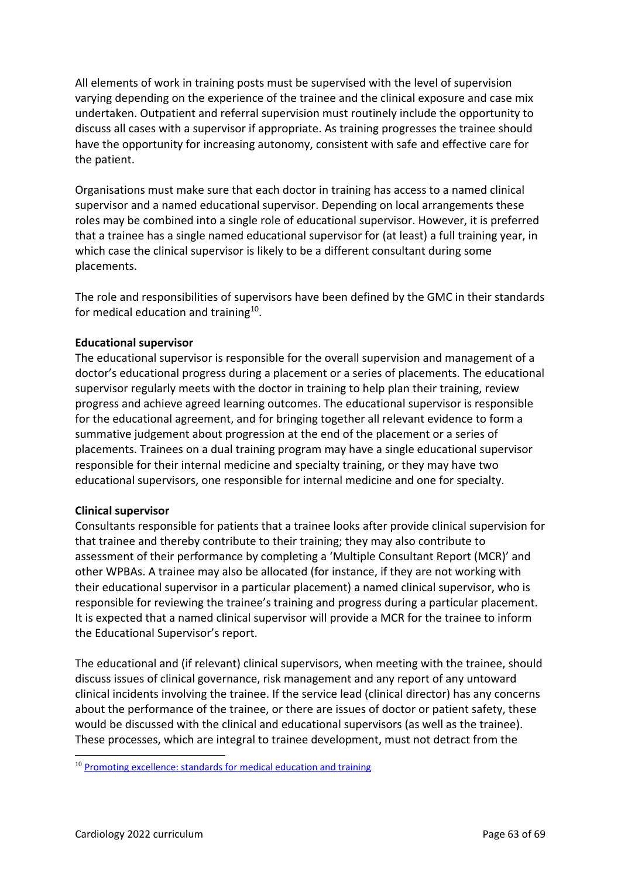All elements of work in training posts must be supervised with the level of supervision varying depending on the experience of the trainee and the clinical exposure and case mix undertaken. Outpatient and referral supervision must routinely include the opportunity to discuss all cases with a supervisor if appropriate. As training progresses the trainee should have the opportunity for increasing autonomy, consistent with safe and effective care for the patient.

Organisations must make sure that each doctor in training has access to a named clinical supervisor and a named educational supervisor. Depending on local arrangements these roles may be combined into a single role of educational supervisor. However, it is preferred that a trainee has a single named educational supervisor for (at least) a full training year, in which case the clinical supervisor is likely to be a different consultant during some placements.

The role and responsibilities of supervisors have been defined by the GMC in their standards for medical education and training<sup>10</sup>.

### **Educational supervisor**

The educational supervisor is responsible for the overall supervision and management of a doctor's educational progress during a placement or a series of placements. The educational supervisor regularly meets with the doctor in training to help plan their training, review progress and achieve agreed learning outcomes. The educational supervisor is responsible for the educational agreement, and for bringing together all relevant evidence to form a summative judgement about progression at the end of the placement or a series of placements. Trainees on a dual training program may have a single educational supervisor responsible for their internal medicine and specialty training, or they may have two educational supervisors, one responsible for internal medicine and one for specialty.

### **Clinical supervisor**

Consultants responsible for patients that a trainee looks after provide clinical supervision for that trainee and thereby contribute to their training; they may also contribute to assessment of their performance by completing a 'Multiple Consultant Report (MCR)' and other WPBAs. A trainee may also be allocated (for instance, if they are not working with their educational supervisor in a particular placement) a named clinical supervisor, who is responsible for reviewing the trainee's training and progress during a particular placement. It is expected that a named clinical supervisor will provide a MCR for the trainee to inform the Educational Supervisor's report.

The educational and (if relevant) clinical supervisors, when meeting with the trainee, should discuss issues of clinical governance, risk management and any report of any untoward clinical incidents involving the trainee. If the service lead (clinical director) has any concerns about the performance of the trainee, or there are issues of doctor or patient safety, these would be discussed with the clinical and educational supervisors (as well as the trainee). These processes, which are integral to trainee development, must not detract from the

 $10$  [Promoting excellence: standards for medical education and training](http://www.gmc-uk.org/education/standards.asp)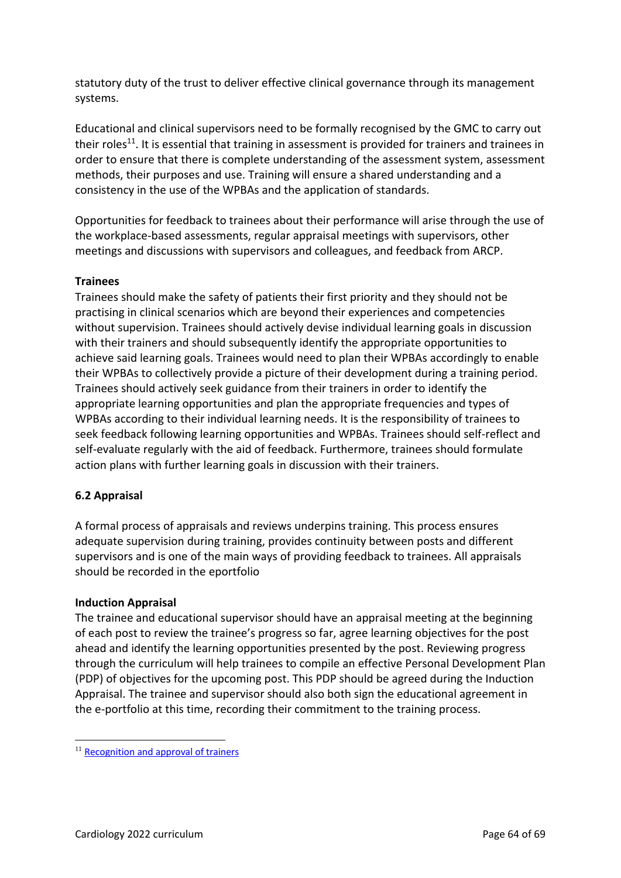statutory duty of the trust to deliver effective clinical governance through its management systems.

Educational and clinical supervisors need to be formally recognised by the GMC to carry out their roles<sup>11</sup>. It is essential that training in assessment is provided for trainers and trainees in order to ensure that there is complete understanding of the assessment system, assessment methods, their purposes and use. Training will ensure a shared understanding and a consistency in the use of the WPBAs and the application of standards.

Opportunities for feedback to trainees about their performance will arise through the use of the workplace-based assessments, regular appraisal meetings with supervisors, other meetings and discussions with supervisors and colleagues, and feedback from ARCP.

### **Trainees**

Trainees should make the safety of patients their first priority and they should not be practising in clinical scenarios which are beyond their experiences and competencies without supervision. Trainees should actively devise individual learning goals in discussion with their trainers and should subsequently identify the appropriate opportunities to achieve said learning goals. Trainees would need to plan their WPBAs accordingly to enable their WPBAs to collectively provide a picture of their development during a training period. Trainees should actively seek guidance from their trainers in order to identify the appropriate learning opportunities and plan the appropriate frequencies and types of WPBAs according to their individual learning needs. It is the responsibility of trainees to seek feedback following learning opportunities and WPBAs. Trainees should self-reflect and self-evaluate regularly with the aid of feedback. Furthermore, trainees should formulate action plans with further learning goals in discussion with their trainers.

### <span id="page-63-0"></span>**6.2 Appraisal**

A formal process of appraisals and reviews underpins training. This process ensures adequate supervision during training, provides continuity between posts and different supervisors and is one of the main ways of providing feedback to trainees. All appraisals should be recorded in the eportfolio

### **Induction Appraisal**

The trainee and educational supervisor should have an appraisal meeting at the beginning of each post to review the trainee's progress so far, agree learning objectives for the post ahead and identify the learning opportunities presented by the post. Reviewing progress through the curriculum will help trainees to compile an effective Personal Development Plan (PDP) of objectives for the upcoming post. This PDP should be agreed during the Induction Appraisal. The trainee and supervisor should also both sign the educational agreement in the e-portfolio at this time, recording their commitment to the training process.

<sup>&</sup>lt;sup>11</sup> [Recognition and approval of trainers](http://www.gmc-uk.org/education/10264.asp)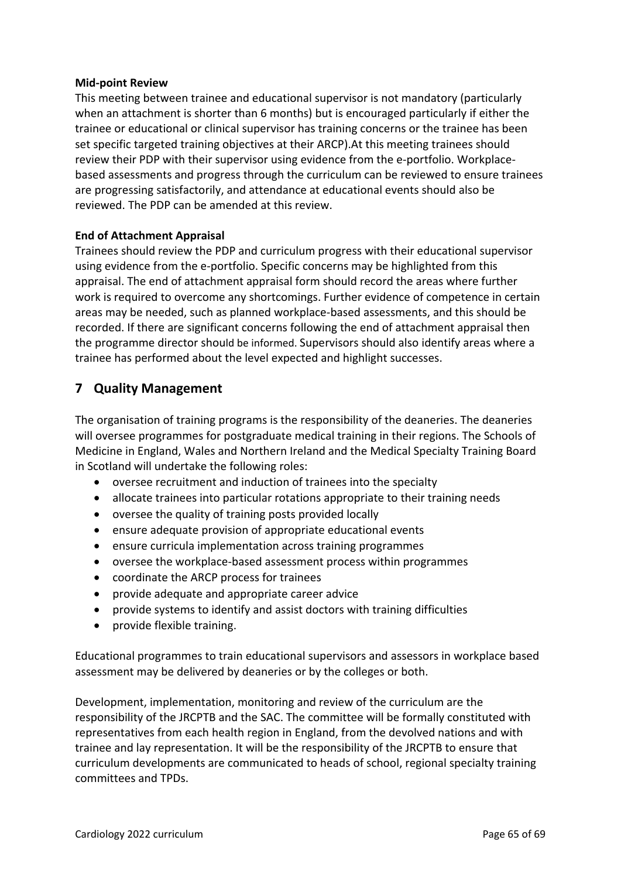#### **Mid-point Review**

This meeting between trainee and educational supervisor is not mandatory (particularly when an attachment is shorter than 6 months) but is encouraged particularly if either the trainee or educational or clinical supervisor has training concerns or the trainee has been set specific targeted training objectives at their ARCP).At this meeting trainees should review their PDP with their supervisor using evidence from the e-portfolio. Workplacebased assessments and progress through the curriculum can be reviewed to ensure trainees are progressing satisfactorily, and attendance at educational events should also be reviewed. The PDP can be amended at this review.

### **End of Attachment Appraisal**

Trainees should review the PDP and curriculum progress with their educational supervisor using evidence from the e-portfolio. Specific concerns may be highlighted from this appraisal. The end of attachment appraisal form should record the areas where further work is required to overcome any shortcomings. Further evidence of competence in certain areas may be needed, such as planned workplace-based assessments, and this should be recorded. If there are significant concerns following the end of attachment appraisal then the programme director should be informed. Supervisors should also identify areas where a trainee has performed about the level expected and highlight successes.

# <span id="page-64-0"></span>**7 Quality Management**

The organisation of training programs is the responsibility of the deaneries. The deaneries will oversee programmes for postgraduate medical training in their regions. The Schools of Medicine in England, Wales and Northern Ireland and the Medical Specialty Training Board in Scotland will undertake the following roles:

- oversee recruitment and induction of trainees into the specialty
- allocate trainees into particular rotations appropriate to their training needs
- oversee the quality of training posts provided locally
- ensure adequate provision of appropriate educational events
- ensure curricula implementation across training programmes
- oversee the workplace-based assessment process within programmes
- coordinate the ARCP process for trainees
- provide adequate and appropriate career advice
- provide systems to identify and assist doctors with training difficulties
- provide flexible training.

Educational programmes to train educational supervisors and assessors in workplace based assessment may be delivered by deaneries or by the colleges or both.

Development, implementation, monitoring and review of the curriculum are the responsibility of the JRCPTB and the SAC. The committee will be formally constituted with representatives from each health region in England, from the devolved nations and with trainee and lay representation. It will be the responsibility of the JRCPTB to ensure that curriculum developments are communicated to heads of school, regional specialty training committees and TPDs.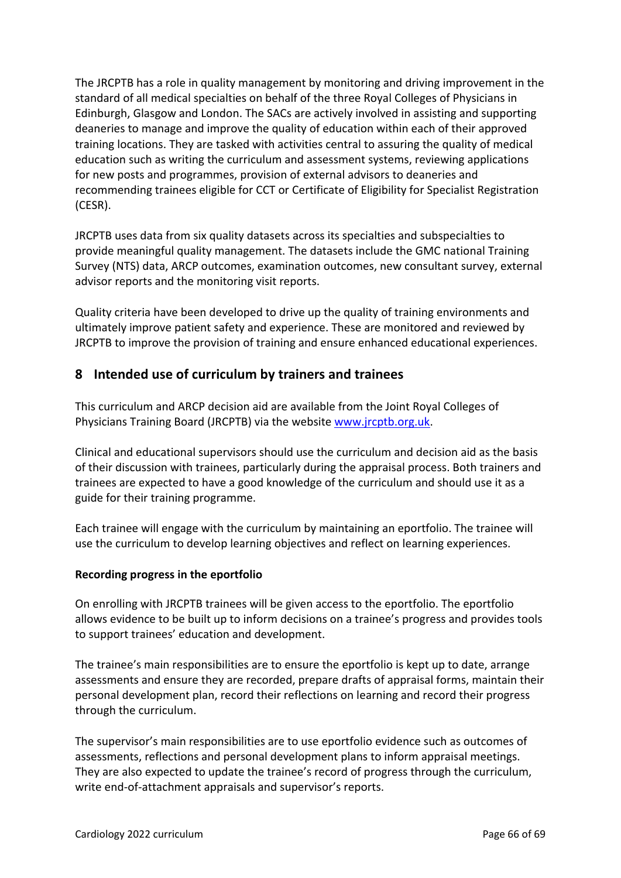The JRCPTB has a role in quality management by monitoring and driving improvement in the standard of all medical specialties on behalf of the three Royal Colleges of Physicians in Edinburgh, Glasgow and London. The SACs are actively involved in assisting and supporting deaneries to manage and improve the quality of education within each of their approved training locations. They are tasked with activities central to assuring the quality of medical education such as writing the curriculum and assessment systems, reviewing applications for new posts and programmes, provision of external advisors to deaneries and recommending trainees eligible for CCT or Certificate of Eligibility for Specialist Registration (CESR).

JRCPTB uses data from six quality datasets across its specialties and subspecialties to provide meaningful quality management. The datasets include the GMC national Training Survey (NTS) data, ARCP outcomes, examination outcomes, new consultant survey, external advisor reports and the monitoring visit reports.

Quality criteria have been developed to drive up the quality of training environments and ultimately improve patient safety and experience. These are monitored and reviewed by JRCPTB to improve the provision of training and ensure enhanced educational experiences.

# <span id="page-65-0"></span>**8 Intended use of curriculum by trainers and trainees**

This curriculum and ARCP decision aid are available from the Joint Royal Colleges of Physicians Training Board (JRCPTB) via the website [www.jrcptb.org.uk.](http://www.jrcptb.org.uk/)

Clinical and educational supervisors should use the curriculum and decision aid as the basis of their discussion with trainees, particularly during the appraisal process. Both trainers and trainees are expected to have a good knowledge of the curriculum and should use it as a guide for their training programme.

Each trainee will engage with the curriculum by maintaining an eportfolio. The trainee will use the curriculum to develop learning objectives and reflect on learning experiences.

### **Recording progress in the eportfolio**

On enrolling with JRCPTB trainees will be given access to the eportfolio. The eportfolio allows evidence to be built up to inform decisions on a trainee's progress and provides tools to support trainees' education and development.

The trainee's main responsibilities are to ensure the eportfolio is kept up to date, arrange assessments and ensure they are recorded, prepare drafts of appraisal forms, maintain their personal development plan, record their reflections on learning and record their progress through the curriculum.

The supervisor's main responsibilities are to use eportfolio evidence such as outcomes of assessments, reflections and personal development plans to inform appraisal meetings. They are also expected to update the trainee's record of progress through the curriculum, write end-of-attachment appraisals and supervisor's reports.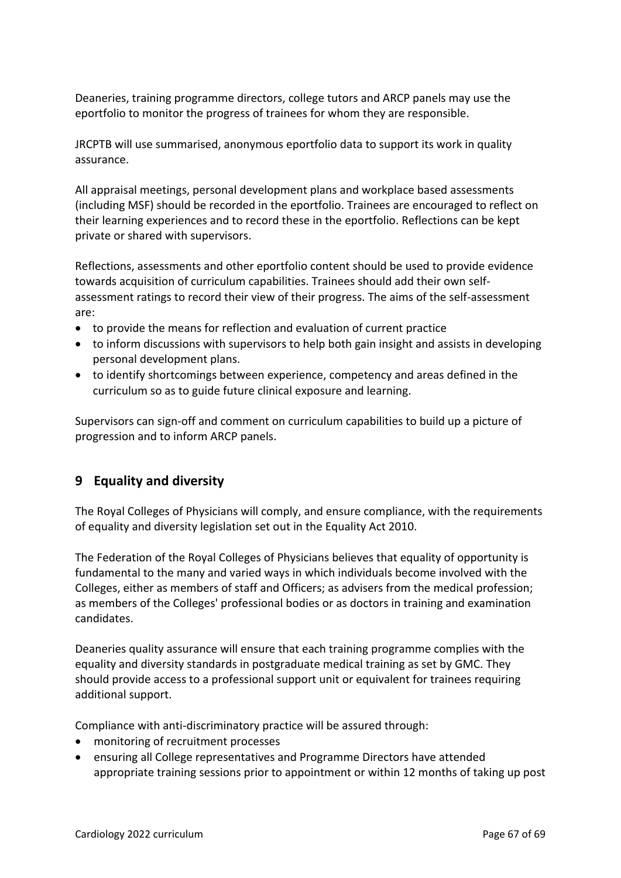Deaneries, training programme directors, college tutors and ARCP panels may use the eportfolio to monitor the progress of trainees for whom they are responsible.

JRCPTB will use summarised, anonymous eportfolio data to support its work in quality assurance.

All appraisal meetings, personal development plans and workplace based assessments (including MSF) should be recorded in the eportfolio. Trainees are encouraged to reflect on their learning experiences and to record these in the eportfolio. Reflections can be kept private or shared with supervisors.

Reflections, assessments and other eportfolio content should be used to provide evidence towards acquisition of curriculum capabilities. Trainees should add their own selfassessment ratings to record their view of their progress. The aims of the self-assessment are:

- to provide the means for reflection and evaluation of current practice
- to inform discussions with supervisors to help both gain insight and assists in developing personal development plans.
- to identify shortcomings between experience, competency and areas defined in the curriculum so as to guide future clinical exposure and learning.

Supervisors can sign-off and comment on curriculum capabilities to build up a picture of progression and to inform ARCP panels.

# <span id="page-66-0"></span>**9 Equality and diversity**

The Royal Colleges of Physicians will comply, and ensure compliance, with the requirements of equality and diversity legislation set out in the Equality Act 2010.

The Federation of the Royal Colleges of Physicians believes that equality of opportunity is fundamental to the many and varied ways in which individuals become involved with the Colleges, either as members of staff and Officers; as advisers from the medical profession; as members of the Colleges' professional bodies or as doctors in training and examination candidates.

Deaneries quality assurance will ensure that each training programme complies with the equality and diversity standards in postgraduate medical training as set by GMC. They should provide access to a professional support unit or equivalent for trainees requiring additional support.

Compliance with anti-discriminatory practice will be assured through:

- monitoring of recruitment processes
- ensuring all College representatives and Programme Directors have attended appropriate training sessions prior to appointment or within 12 months of taking up post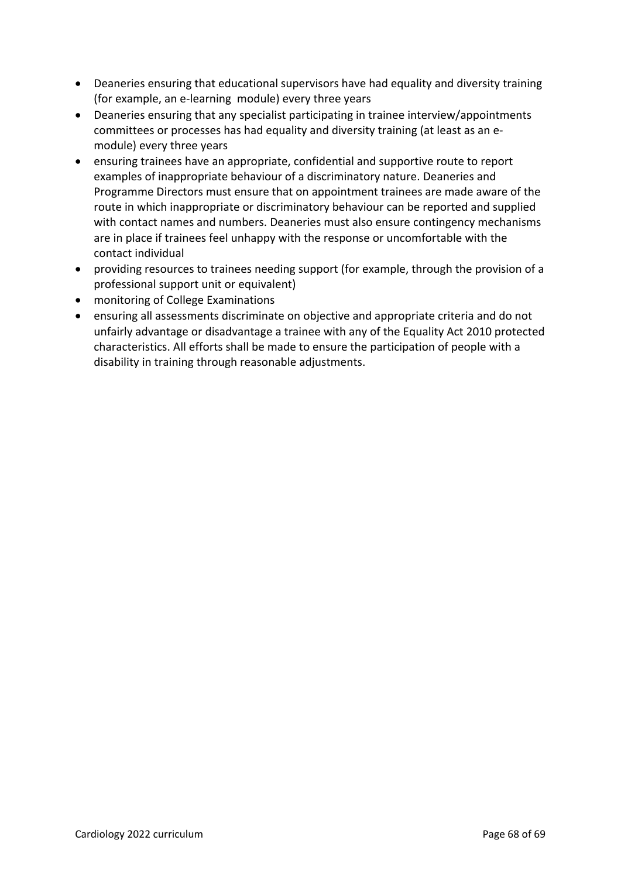- Deaneries ensuring that educational supervisors have had equality and diversity training (for example, an e-learning module) every three years
- Deaneries ensuring that any specialist participating in trainee interview/appointments committees or processes has had equality and diversity training (at least as an emodule) every three years
- ensuring trainees have an appropriate, confidential and supportive route to report examples of inappropriate behaviour of a discriminatory nature. Deaneries and Programme Directors must ensure that on appointment trainees are made aware of the route in which inappropriate or discriminatory behaviour can be reported and supplied with contact names and numbers. Deaneries must also ensure contingency mechanisms are in place if trainees feel unhappy with the response or uncomfortable with the contact individual
- providing resources to trainees needing support (for example, through the provision of a professional support unit or equivalent)
- monitoring of College Examinations
- ensuring all assessments discriminate on objective and appropriate criteria and do not unfairly advantage or disadvantage a trainee with any of the Equality Act 2010 protected characteristics. All efforts shall be made to ensure the participation of people with a disability in training through reasonable adjustments.